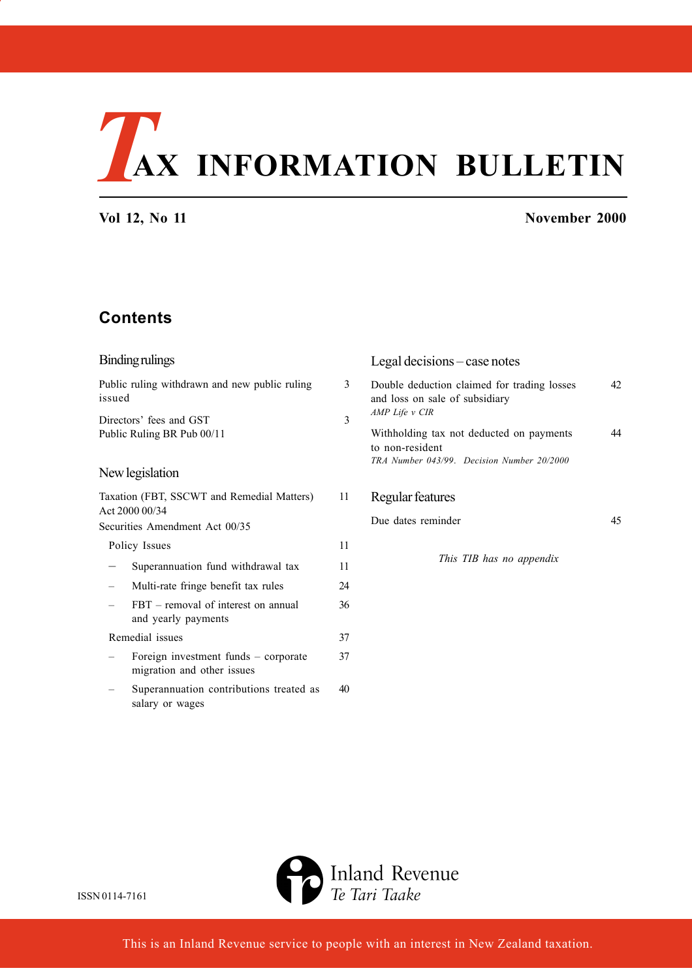# *T* **AX INFORMATION BULLETIN**

## **Vol 12, No 11** November 2000

# **Contents**

|                                                         | Binding rulings                                                    |    | Legal decisions – case notes                                                                              |    |
|---------------------------------------------------------|--------------------------------------------------------------------|----|-----------------------------------------------------------------------------------------------------------|----|
| Public ruling withdrawn and new public ruling<br>issued |                                                                    | 3  | Double deduction claimed for trading losses<br>and loss on sale of subsidiary<br>AMP Life v CIR           | 42 |
| Directors' fees and GST<br>Public Ruling BR Pub 00/11   |                                                                    | 3  | Withholding tax not deducted on payments<br>to non-resident<br>TRA Number 043/99. Decision Number 20/2000 | 44 |
|                                                         | New legislation                                                    |    |                                                                                                           |    |
|                                                         | Taxation (FBT, SSCWT and Remedial Matters)<br>Act 2000 00/34       | 11 | Regular features                                                                                          |    |
| Securities Amendment Act 00/35                          |                                                                    |    | Due dates reminder                                                                                        | 45 |
|                                                         | Policy Issues                                                      | 11 |                                                                                                           |    |
|                                                         | Superannuation fund withdrawal tax                                 | 11 | This TIB has no appendix                                                                                  |    |
|                                                         | Multi-rate fringe benefit tax rules                                | 24 |                                                                                                           |    |
|                                                         | FBT – removal of interest on annual<br>and yearly payments         | 36 |                                                                                                           |    |
|                                                         | Remedial issues                                                    | 37 |                                                                                                           |    |
|                                                         | Foreign investment funds – corporate<br>migration and other issues | 37 |                                                                                                           |    |
|                                                         | Superannuation contributions treated as<br>salary or wages         | 40 |                                                                                                           |    |



ISSN 0114-7161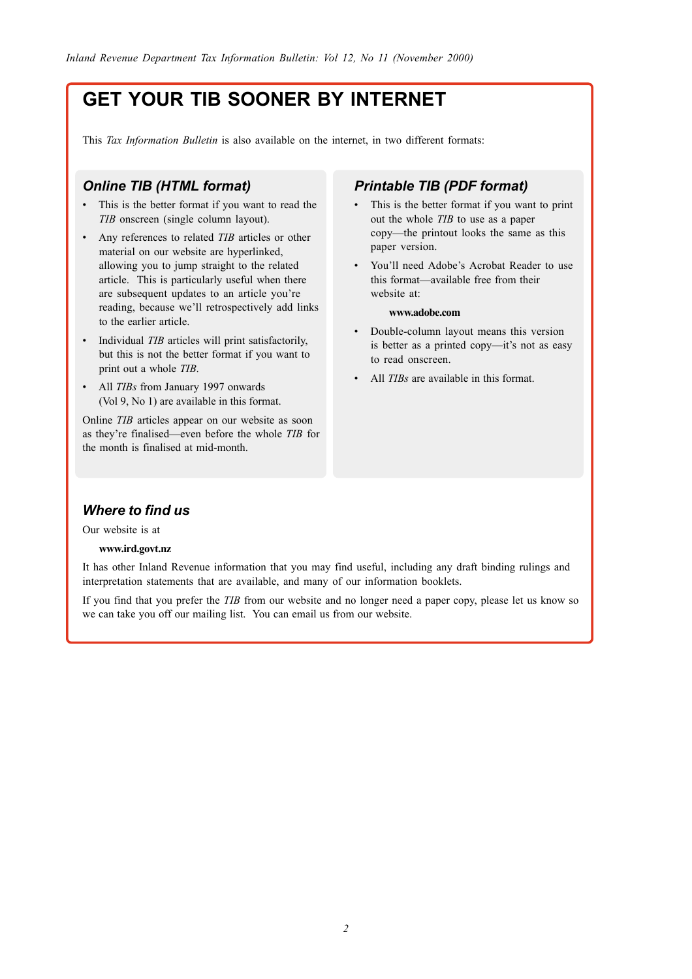# **GET YOUR TIB SOONER BY INTERNET**

This *Tax Information Bulletin* is also available on the internet, in two different formats:

## *Online TIB (HTML format)*

- This is the better format if you want to read the *TIB* onscreen (single column layout).
- Any references to related *TIB* articles or other material on our website are hyperlinked, allowing you to jump straight to the related article. This is particularly useful when there are subsequent updates to an article you're reading, because we'll retrospectively add links to the earlier article.
- Individual *TIB* articles will print satisfactorily, but this is not the better format if you want to print out a whole *TIB*.
- All *TIBs* from January 1997 onwards (Vol 9, No 1) are available in this format.

Online *TIB* articles appear on our website as soon as they're finalised—even before the whole *TIB* for the month is finalised at mid-month.

## *Printable TIB (PDF format)*

- This is the better format if you want to print out the whole *TIB* to use as a paper copy—the printout looks the same as this paper version.
- You'll need Adobe's Acrobat Reader to use this format—available free from their website at:

#### **www.adobe.com**

- Double-column layout means this version is better as a printed copy—it's not as easy to read onscreen.
- All *TIBs* are available in this format.

## *Where to find us*

Our website is at

**www.ird.govt.nz**

It has other Inland Revenue information that you may find useful, including any draft binding rulings and interpretation statements that are available, and many of our information booklets.

If you find that you prefer the *TIB* from our website and no longer need a paper copy, please let us know so we can take you off our mailing list. You can email us from our website.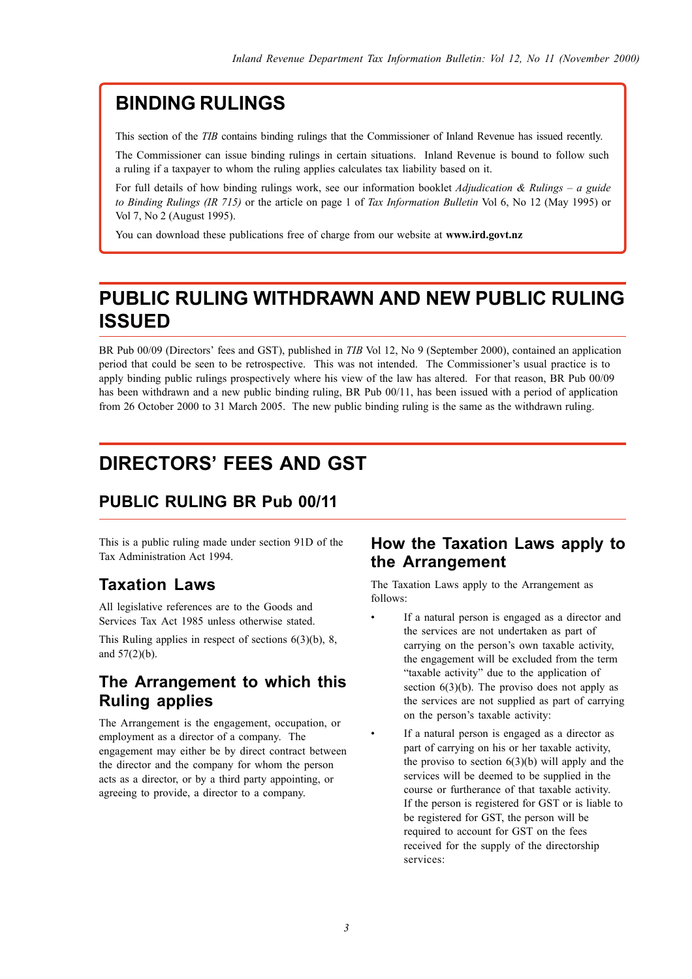# **BINDING RULINGS**

This section of the *TIB* contains binding rulings that the Commissioner of Inland Revenue has issued recently.

The Commissioner can issue binding rulings in certain situations. Inland Revenue is bound to follow such a ruling if a taxpayer to whom the ruling applies calculates tax liability based on it.

For full details of how binding rulings work, see our information booklet *Adjudication & Rulings – a guide to Binding Rulings (IR 715)* or the article on page 1 of *Tax Information Bulletin* Vol 6, No 12 (May 1995) or Vol 7, No 2 (August 1995).

You can download these publications free of charge from our website at **www.ird.govt.nz**

# **PUBLIC RULING WITHDRAWN AND NEW PUBLIC RULING ISSUED**

BR Pub 00/09 (Directors' fees and GST), published in *TIB* Vol 12, No 9 (September 2000), contained an application period that could be seen to be retrospective. This was not intended. The Commissioner's usual practice is to apply binding public rulings prospectively where his view of the law has altered. For that reason, BR Pub 00/09 has been withdrawn and a new public binding ruling, BR Pub 00/11, has been issued with a period of application from 26 October 2000 to 31 March 2005. The new public binding ruling is the same as the withdrawn ruling.

# **DIRECTORS' FEES AND GST**

## **PUBLIC RULING BR Pub 00/11**

This is a public ruling made under section 91D of the Tax Administration Act 1994.

## **Taxation Laws**

All legislative references are to the Goods and Services Tax Act 1985 unless otherwise stated.

This Ruling applies in respect of sections 6(3)(b), 8, and 57(2)(b).

## **The Arrangement to which this Ruling applies**

The Arrangement is the engagement, occupation, or employment as a director of a company. The engagement may either be by direct contract between the director and the company for whom the person acts as a director, or by a third party appointing, or agreeing to provide, a director to a company.

## **How the Taxation Laws apply to the Arrangement**

The Taxation Laws apply to the Arrangement as follows:

- If a natural person is engaged as a director and the services are not undertaken as part of carrying on the person's own taxable activity, the engagement will be excluded from the term "taxable activity" due to the application of section  $6(3)(b)$ . The proviso does not apply as the services are not supplied as part of carrying on the person's taxable activity:
- If a natural person is engaged as a director as part of carrying on his or her taxable activity, the proviso to section  $6(3)(b)$  will apply and the services will be deemed to be supplied in the course or furtherance of that taxable activity. If the person is registered for GST or is liable to be registered for GST, the person will be required to account for GST on the fees received for the supply of the directorship services: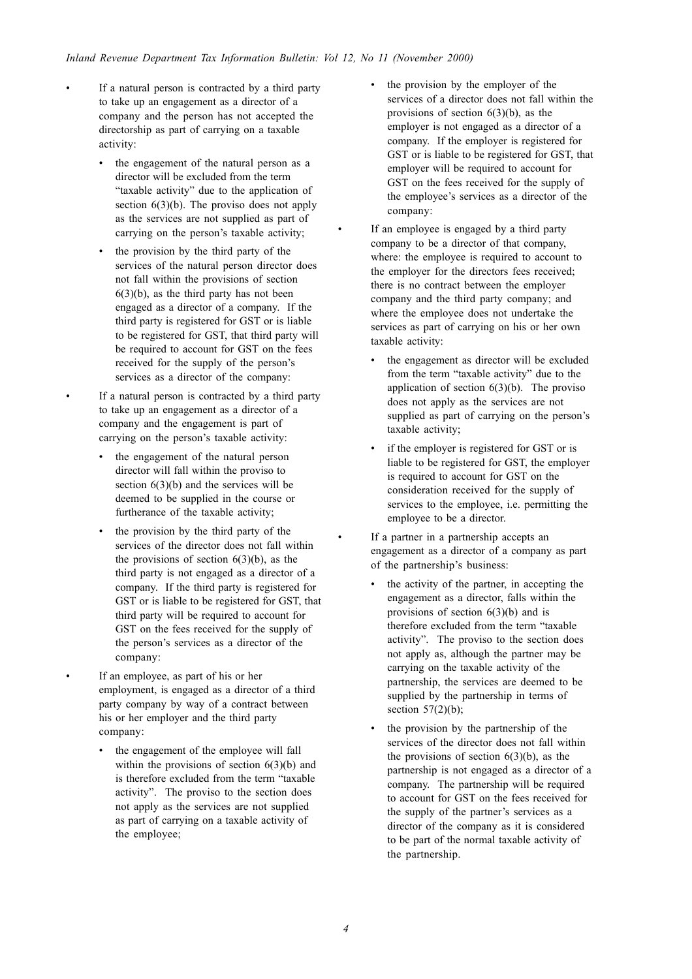#### *Inland Revenue Department Tax Information Bulletin: Vol 12, No 11 (November 2000)*

- If a natural person is contracted by a third party to take up an engagement as a director of a company and the person has not accepted the directorship as part of carrying on a taxable activity:
	- the engagement of the natural person as a director will be excluded from the term "taxable activity" due to the application of section  $6(3)(b)$ . The proviso does not apply as the services are not supplied as part of carrying on the person's taxable activity;
	- the provision by the third party of the services of the natural person director does not fall within the provisions of section  $6(3)(b)$ , as the third party has not been engaged as a director of a company. If the third party is registered for GST or is liable to be registered for GST, that third party will be required to account for GST on the fees received for the supply of the person's services as a director of the company:
	- If a natural person is contracted by a third party to take up an engagement as a director of a company and the engagement is part of carrying on the person's taxable activity:
	- the engagement of the natural person director will fall within the proviso to section 6(3)(b) and the services will be deemed to be supplied in the course or furtherance of the taxable activity;
	- the provision by the third party of the services of the director does not fall within the provisions of section  $6(3)(b)$ , as the third party is not engaged as a director of a company. If the third party is registered for GST or is liable to be registered for GST, that third party will be required to account for GST on the fees received for the supply of the person's services as a director of the company:
	- If an employee, as part of his or her employment, is engaged as a director of a third party company by way of a contract between his or her employer and the third party company:
		- the engagement of the employee will fall within the provisions of section  $6(3)(b)$  and is therefore excluded from the term "taxable activity". The proviso to the section does not apply as the services are not supplied as part of carrying on a taxable activity of the employee;
- the provision by the employer of the services of a director does not fall within the provisions of section 6(3)(b), as the employer is not engaged as a director of a company. If the employer is registered for GST or is liable to be registered for GST, that employer will be required to account for GST on the fees received for the supply of the employee's services as a director of the company:
- If an employee is engaged by a third party company to be a director of that company, where: the employee is required to account to the employer for the directors fees received; there is no contract between the employer company and the third party company; and where the employee does not undertake the services as part of carrying on his or her own taxable activity:
	- the engagement as director will be excluded from the term "taxable activity" due to the application of section  $6(3)(b)$ . The proviso does not apply as the services are not supplied as part of carrying on the person's taxable activity;
	- if the employer is registered for GST or is liable to be registered for GST, the employer is required to account for GST on the consideration received for the supply of services to the employee, i.e. permitting the employee to be a director.

If a partner in a partnership accepts an engagement as a director of a company as part of the partnership's business:

- the activity of the partner, in accepting the engagement as a director, falls within the provisions of section 6(3)(b) and is therefore excluded from the term "taxable activity". The proviso to the section does not apply as, although the partner may be carrying on the taxable activity of the partnership, the services are deemed to be supplied by the partnership in terms of section  $57(2)(b)$ ;
- the provision by the partnership of the services of the director does not fall within the provisions of section  $6(3)(b)$ , as the partnership is not engaged as a director of a company. The partnership will be required to account for GST on the fees received for the supply of the partner's services as a director of the company as it is considered to be part of the normal taxable activity of the partnership.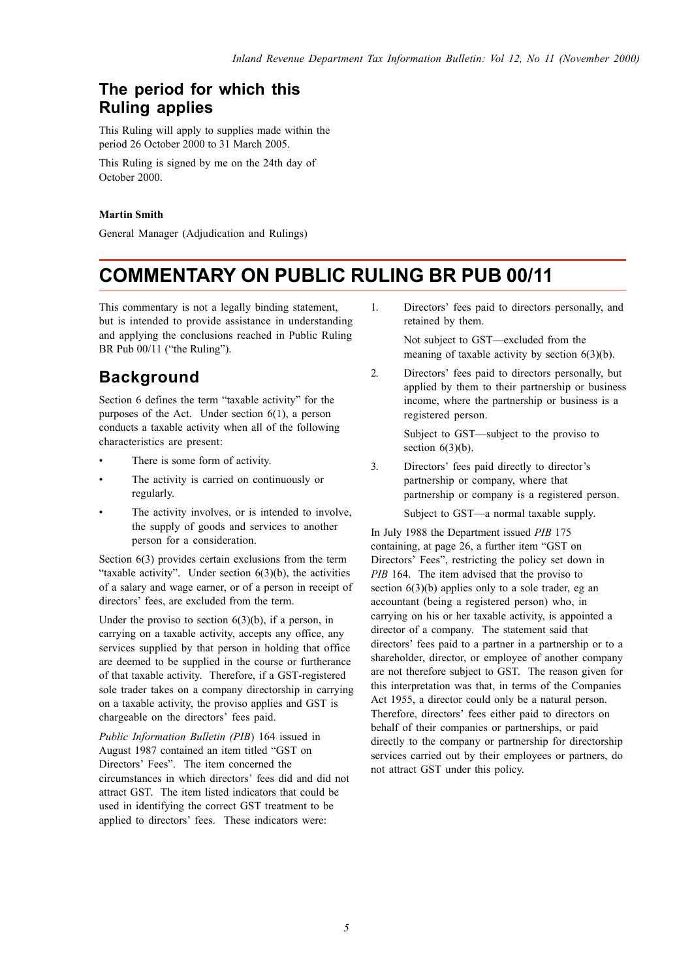# **The period for which this Ruling applies**

This Ruling will apply to supplies made within the period 26 October 2000 to 31 March 2005.

This Ruling is signed by me on the 24th day of October 2000.

## **Martin Smith**

General Manager (Adjudication and Rulings)

# **COMMENTARY ON PUBLIC RULING BR PUB 00/11**

This commentary is not a legally binding statement, but is intended to provide assistance in understanding and applying the conclusions reached in Public Ruling BR Pub 00/11 ("the Ruling").

# **Background**

Section 6 defines the term "taxable activity" for the purposes of the Act. Under section 6(1), a person conducts a taxable activity when all of the following characteristics are present:

- There is some form of activity.
- The activity is carried on continuously or regularly.
- The activity involves, or is intended to involve, the supply of goods and services to another person for a consideration.

Section 6(3) provides certain exclusions from the term "taxable activity". Under section  $6(3)(b)$ , the activities of a salary and wage earner, or of a person in receipt of directors' fees, are excluded from the term.

Under the proviso to section  $6(3)(b)$ , if a person, in carrying on a taxable activity, accepts any office, any services supplied by that person in holding that office are deemed to be supplied in the course or furtherance of that taxable activity. Therefore, if a GST-registered sole trader takes on a company directorship in carrying on a taxable activity, the proviso applies and GST is chargeable on the directors' fees paid.

*Public Information Bulletin (PIB*) 164 issued in August 1987 contained an item titled "GST on Directors' Fees". The item concerned the circumstances in which directors' fees did and did not attract GST. The item listed indicators that could be used in identifying the correct GST treatment to be applied to directors' fees. These indicators were:

1. Directors' fees paid to directors personally, and retained by them.

> Not subject to GST—excluded from the meaning of taxable activity by section 6(3)(b).

2. Directors' fees paid to directors personally, but applied by them to their partnership or business income, where the partnership or business is a registered person.

> Subject to GST—subject to the proviso to section  $6(3)(b)$ .

3. Directors' fees paid directly to director's partnership or company, where that partnership or company is a registered person.

Subject to GST—a normal taxable supply.

In July 1988 the Department issued *PIB* 175 containing, at page 26, a further item "GST on Directors' Fees", restricting the policy set down in *PIB* 164. The item advised that the proviso to section 6(3)(b) applies only to a sole trader, eg an accountant (being a registered person) who, in carrying on his or her taxable activity, is appointed a director of a company. The statement said that directors' fees paid to a partner in a partnership or to a shareholder, director, or employee of another company are not therefore subject to GST. The reason given for this interpretation was that, in terms of the Companies Act 1955, a director could only be a natural person. Therefore, directors' fees either paid to directors on behalf of their companies or partnerships, or paid directly to the company or partnership for directorship services carried out by their employees or partners, do not attract GST under this policy.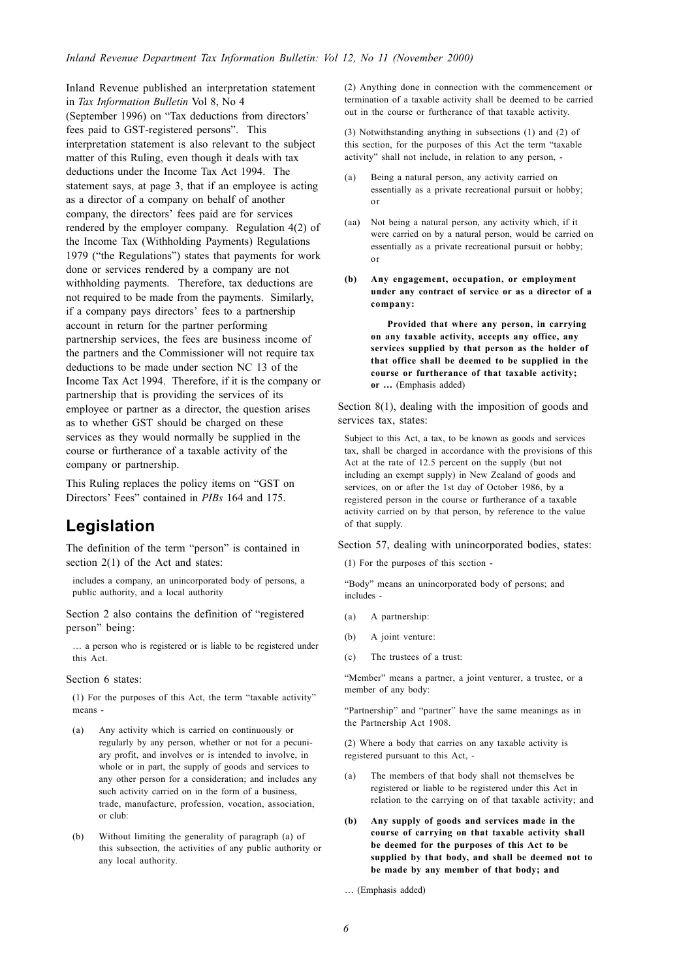Inland Revenue published an interpretation statement in *Tax Information Bulletin* Vol 8, No 4 (September 1996) on "Tax deductions from directors' fees paid to GST-registered persons". This interpretation statement is also relevant to the subject matter of this Ruling, even though it deals with tax deductions under the Income Tax Act 1994. The statement says, at page 3, that if an employee is acting as a director of a company on behalf of another company, the directors' fees paid are for services rendered by the employer company. Regulation 4(2) of the Income Tax (Withholding Payments) Regulations 1979 ("the Regulations") states that payments for work done or services rendered by a company are not withholding payments. Therefore, tax deductions are not required to be made from the payments. Similarly, if a company pays directors' fees to a partnership account in return for the partner performing partnership services, the fees are business income of the partners and the Commissioner will not require tax deductions to be made under section NC 13 of the Income Tax Act 1994. Therefore, if it is the company or partnership that is providing the services of its employee or partner as a director, the question arises as to whether GST should be charged on these services as they would normally be supplied in the course or furtherance of a taxable activity of the company or partnership.

This Ruling replaces the policy items on "GST on Directors' Fees" contained in *PIBs* 164 and 175.

## **Legislation**

The definition of the term "person" is contained in section 2(1) of the Act and states:

includes a company, an unincorporated body of persons, a public authority, and a local authority

Section 2 also contains the definition of "registered person" being:

… a person who is registered or is liable to be registered under this Act.

#### Section 6 states:

(1) For the purposes of this Act, the term "taxable activity" means -

- (a) Any activity which is carried on continuously or regularly by any person, whether or not for a pecuniary profit, and involves or is intended to involve, in whole or in part, the supply of goods and services to any other person for a consideration; and includes any such activity carried on in the form of a business, trade, manufacture, profession, vocation, association, or club:
- (b) Without limiting the generality of paragraph (a) of this subsection, the activities of any public authority or any local authority.

(2) Anything done in connection with the commencement or termination of a taxable activity shall be deemed to be carried out in the course or furtherance of that taxable activity.

(3) Notwithstanding anything in subsections (1) and (2) of this section, for the purposes of this Act the term "taxable activity" shall not include, in relation to any person, -

- (a) Being a natural person, any activity carried on essentially as a private recreational pursuit or hobby; or
- (aa) Not being a natural person, any activity which, if it were carried on by a natural person, would be carried on essentially as a private recreational pursuit or hobby; or
- **(b) Any engagement, occupation, or employment under any contract of service or as a director of a company:**

**Provided that where any person, in carrying on any taxable activity, accepts any office, any services supplied by that person as the holder of that office shall be deemed to be supplied in the course or furtherance of that taxable activity; or …** (Emphasis added)

Section 8(1), dealing with the imposition of goods and services tax, states:

Subject to this Act, a tax, to be known as goods and services tax, shall be charged in accordance with the provisions of this Act at the rate of 12.5 percent on the supply (but not including an exempt supply) in New Zealand of goods and services, on or after the 1st day of October 1986, by a registered person in the course or furtherance of a taxable activity carried on by that person, by reference to the value of that supply.

Section 57, dealing with unincorporated bodies, states:

(1) For the purposes of this section -

"Body" means an unincorporated body of persons; and includes -

- (a) A partnership:
- (b) A joint venture:
- (c) The trustees of a trust:

"Member" means a partner, a joint venturer, a trustee, or a member of any body:

"Partnership" and "partner" have the same meanings as in the Partnership Act 1908.

(2) Where a body that carries on any taxable activity is registered pursuant to this Act, -

- (a) The members of that body shall not themselves be registered or liable to be registered under this Act in relation to the carrying on of that taxable activity; and
- **(b) Any supply of goods and services made in the course of carrying on that taxable activity shall be deemed for the purposes of this Act to be supplied by that body, and shall be deemed not to be made by any member of that body; and**

… (Emphasis added)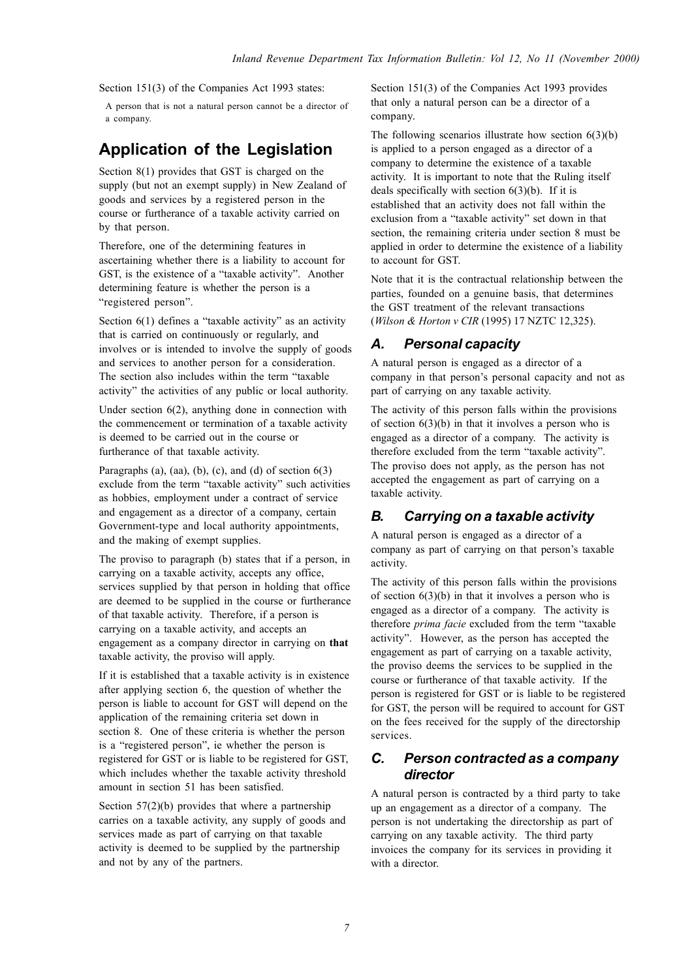Section 151(3) of the Companies Act 1993 states:

A person that is not a natural person cannot be a director of a company.

## **Application of the Legislation**

Section 8(1) provides that GST is charged on the supply (but not an exempt supply) in New Zealand of goods and services by a registered person in the course or furtherance of a taxable activity carried on by that person.

Therefore, one of the determining features in ascertaining whether there is a liability to account for GST, is the existence of a "taxable activity". Another determining feature is whether the person is a "registered person".

Section 6(1) defines a "taxable activity" as an activity that is carried on continuously or regularly, and involves or is intended to involve the supply of goods and services to another person for a consideration. The section also includes within the term "taxable activity" the activities of any public or local authority.

Under section 6(2), anything done in connection with the commencement or termination of a taxable activity is deemed to be carried out in the course or furtherance of that taxable activity.

Paragraphs (a), (aa), (b), (c), and (d) of section  $6(3)$ exclude from the term "taxable activity" such activities as hobbies, employment under a contract of service and engagement as a director of a company, certain Government-type and local authority appointments, and the making of exempt supplies.

The proviso to paragraph (b) states that if a person, in carrying on a taxable activity, accepts any office, services supplied by that person in holding that office are deemed to be supplied in the course or furtherance of that taxable activity. Therefore, if a person is carrying on a taxable activity, and accepts an engagement as a company director in carrying on **that** taxable activity, the proviso will apply.

If it is established that a taxable activity is in existence after applying section 6, the question of whether the person is liable to account for GST will depend on the application of the remaining criteria set down in section 8. One of these criteria is whether the person is a "registered person", ie whether the person is registered for GST or is liable to be registered for GST, which includes whether the taxable activity threshold amount in section 51 has been satisfied.

Section  $57(2)(b)$  provides that where a partnership carries on a taxable activity, any supply of goods and services made as part of carrying on that taxable activity is deemed to be supplied by the partnership and not by any of the partners.

Section 151(3) of the Companies Act 1993 provides that only a natural person can be a director of a company.

The following scenarios illustrate how section  $6(3)(b)$ is applied to a person engaged as a director of a company to determine the existence of a taxable activity. It is important to note that the Ruling itself deals specifically with section  $6(3)(b)$ . If it is established that an activity does not fall within the exclusion from a "taxable activity" set down in that section, the remaining criteria under section 8 must be applied in order to determine the existence of a liability to account for GST.

Note that it is the contractual relationship between the parties, founded on a genuine basis, that determines the GST treatment of the relevant transactions (*Wilson & Horton v CIR* (1995) 17 NZTC 12,325).

## *A. Personal capacity*

A natural person is engaged as a director of a company in that person's personal capacity and not as part of carrying on any taxable activity.

The activity of this person falls within the provisions of section  $6(3)(b)$  in that it involves a person who is engaged as a director of a company. The activity is therefore excluded from the term "taxable activity". The proviso does not apply, as the person has not accepted the engagement as part of carrying on a taxable activity.

## *B. Carrying on a taxable activity*

A natural person is engaged as a director of a company as part of carrying on that person's taxable activity.

The activity of this person falls within the provisions of section  $6(3)(b)$  in that it involves a person who is engaged as a director of a company. The activity is therefore *prima facie* excluded from the term "taxable activity". However, as the person has accepted the engagement as part of carrying on a taxable activity, the proviso deems the services to be supplied in the course or furtherance of that taxable activity. If the person is registered for GST or is liable to be registered for GST, the person will be required to account for GST on the fees received for the supply of the directorship services.

## *C. Person contracted as a company director*

A natural person is contracted by a third party to take up an engagement as a director of a company. The person is not undertaking the directorship as part of carrying on any taxable activity. The third party invoices the company for its services in providing it with a director.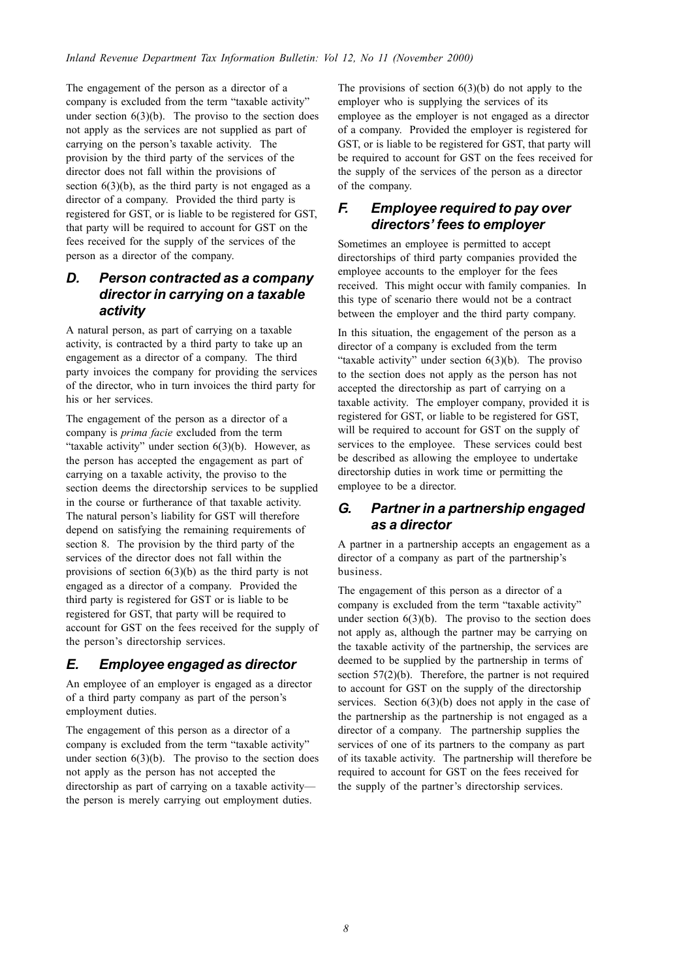The engagement of the person as a director of a company is excluded from the term "taxable activity" under section  $6(3)(b)$ . The proviso to the section does not apply as the services are not supplied as part of carrying on the person's taxable activity. The provision by the third party of the services of the director does not fall within the provisions of section  $6(3)(b)$ , as the third party is not engaged as a director of a company. Provided the third party is registered for GST, or is liable to be registered for GST, that party will be required to account for GST on the fees received for the supply of the services of the person as a director of the company.

## *D. Person contracted as a company director in carrying on a taxable activity*

A natural person, as part of carrying on a taxable activity, is contracted by a third party to take up an engagement as a director of a company. The third party invoices the company for providing the services of the director, who in turn invoices the third party for his or her services.

The engagement of the person as a director of a company is *prima facie* excluded from the term "taxable activity" under section  $6(3)(b)$ . However, as the person has accepted the engagement as part of carrying on a taxable activity, the proviso to the section deems the directorship services to be supplied in the course or furtherance of that taxable activity. The natural person's liability for GST will therefore depend on satisfying the remaining requirements of section 8. The provision by the third party of the services of the director does not fall within the provisions of section 6(3)(b) as the third party is not engaged as a director of a company. Provided the third party is registered for GST or is liable to be registered for GST, that party will be required to account for GST on the fees received for the supply of the person's directorship services.

## *E. Employee engaged as director*

An employee of an employer is engaged as a director of a third party company as part of the person's employment duties.

The engagement of this person as a director of a company is excluded from the term "taxable activity" under section  $6(3)(b)$ . The proviso to the section does not apply as the person has not accepted the directorship as part of carrying on a taxable activity the person is merely carrying out employment duties.

The provisions of section  $6(3)(b)$  do not apply to the employer who is supplying the services of its employee as the employer is not engaged as a director of a company. Provided the employer is registered for GST, or is liable to be registered for GST, that party will be required to account for GST on the fees received for the supply of the services of the person as a director of the company.

## *F. Employee required to pay over directors' fees to employer*

Sometimes an employee is permitted to accept directorships of third party companies provided the employee accounts to the employer for the fees received. This might occur with family companies. In this type of scenario there would not be a contract between the employer and the third party company.

In this situation, the engagement of the person as a director of a company is excluded from the term "taxable activity" under section  $6(3)(b)$ . The proviso to the section does not apply as the person has not accepted the directorship as part of carrying on a taxable activity. The employer company, provided it is registered for GST, or liable to be registered for GST, will be required to account for GST on the supply of services to the employee. These services could best be described as allowing the employee to undertake directorship duties in work time or permitting the employee to be a director.

## *G. Partner in a partnership engaged as a director*

A partner in a partnership accepts an engagement as a director of a company as part of the partnership's business.

The engagement of this person as a director of a company is excluded from the term "taxable activity" under section  $6(3)(b)$ . The proviso to the section does not apply as, although the partner may be carrying on the taxable activity of the partnership, the services are deemed to be supplied by the partnership in terms of section 57(2)(b). Therefore, the partner is not required to account for GST on the supply of the directorship services. Section  $6(3)(b)$  does not apply in the case of the partnership as the partnership is not engaged as a director of a company. The partnership supplies the services of one of its partners to the company as part of its taxable activity. The partnership will therefore be required to account for GST on the fees received for the supply of the partner's directorship services.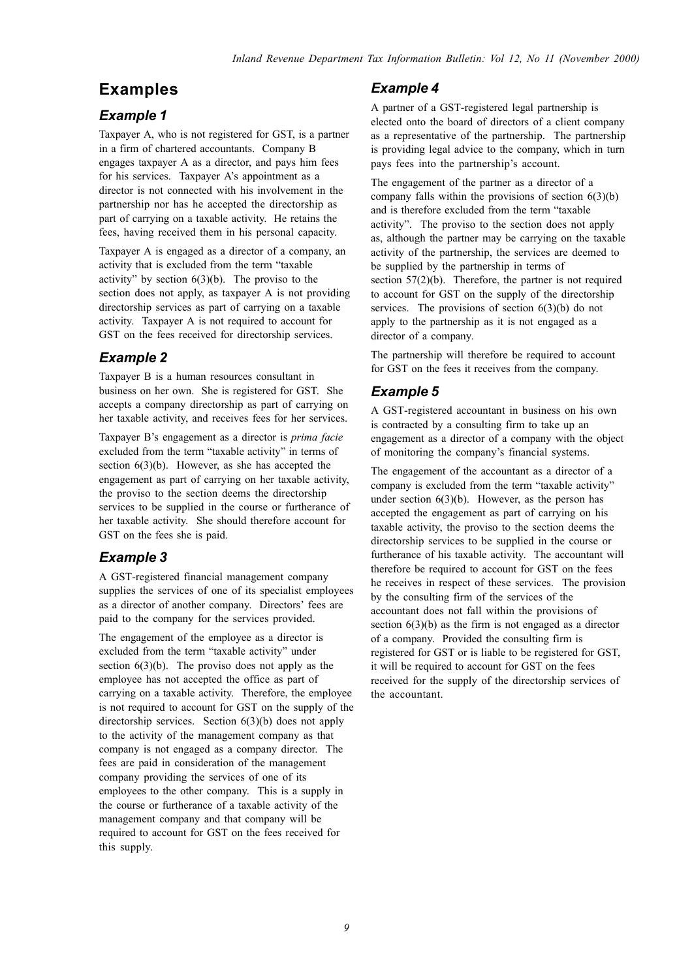## **Examples**

## *Example 1*

Taxpayer A, who is not registered for GST, is a partner in a firm of chartered accountants. Company B engages taxpayer A as a director, and pays him fees for his services. Taxpayer A's appointment as a director is not connected with his involvement in the partnership nor has he accepted the directorship as part of carrying on a taxable activity. He retains the fees, having received them in his personal capacity.

Taxpayer A is engaged as a director of a company, an activity that is excluded from the term "taxable activity" by section  $6(3)(b)$ . The proviso to the section does not apply, as taxpayer A is not providing directorship services as part of carrying on a taxable activity. Taxpayer A is not required to account for GST on the fees received for directorship services.

## *Example 2*

Taxpayer B is a human resources consultant in business on her own. She is registered for GST. She accepts a company directorship as part of carrying on her taxable activity, and receives fees for her services.

Taxpayer B's engagement as a director is *prima facie* excluded from the term "taxable activity" in terms of section 6(3)(b). However, as she has accepted the engagement as part of carrying on her taxable activity, the proviso to the section deems the directorship services to be supplied in the course or furtherance of her taxable activity. She should therefore account for GST on the fees she is paid.

## *Example 3*

A GST-registered financial management company supplies the services of one of its specialist employees as a director of another company. Directors' fees are paid to the company for the services provided.

The engagement of the employee as a director is excluded from the term "taxable activity" under section  $6(3)(b)$ . The proviso does not apply as the employee has not accepted the office as part of carrying on a taxable activity. Therefore, the employee is not required to account for GST on the supply of the directorship services. Section 6(3)(b) does not apply to the activity of the management company as that company is not engaged as a company director. The fees are paid in consideration of the management company providing the services of one of its employees to the other company. This is a supply in the course or furtherance of a taxable activity of the management company and that company will be required to account for GST on the fees received for this supply.

## *Example 4*

A partner of a GST-registered legal partnership is elected onto the board of directors of a client company as a representative of the partnership. The partnership is providing legal advice to the company, which in turn pays fees into the partnership's account.

The engagement of the partner as a director of a company falls within the provisions of section 6(3)(b) and is therefore excluded from the term "taxable activity". The proviso to the section does not apply as, although the partner may be carrying on the taxable activity of the partnership, the services are deemed to be supplied by the partnership in terms of section 57(2)(b). Therefore, the partner is not required to account for GST on the supply of the directorship services. The provisions of section  $6(3)(b)$  do not apply to the partnership as it is not engaged as a director of a company.

The partnership will therefore be required to account for GST on the fees it receives from the company.

## *Example 5*

A GST-registered accountant in business on his own is contracted by a consulting firm to take up an engagement as a director of a company with the object of monitoring the company's financial systems.

The engagement of the accountant as a director of a company is excluded from the term "taxable activity" under section  $6(3)(b)$ . However, as the person has accepted the engagement as part of carrying on his taxable activity, the proviso to the section deems the directorship services to be supplied in the course or furtherance of his taxable activity. The accountant will therefore be required to account for GST on the fees he receives in respect of these services. The provision by the consulting firm of the services of the accountant does not fall within the provisions of section  $6(3)(b)$  as the firm is not engaged as a director of a company. Provided the consulting firm is registered for GST or is liable to be registered for GST, it will be required to account for GST on the fees received for the supply of the directorship services of the accountant.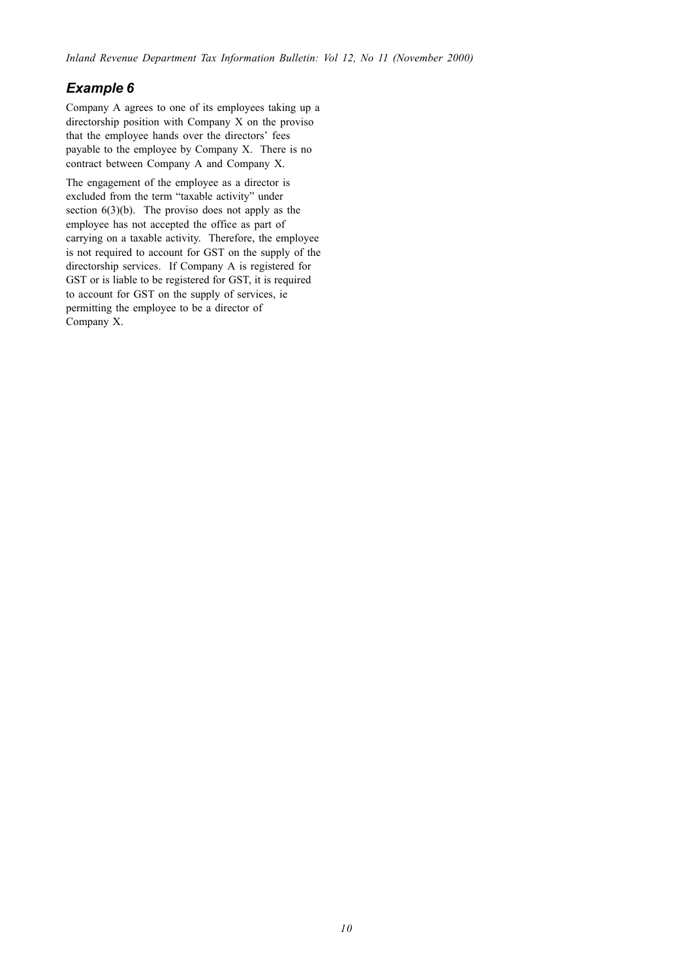## *Example 6*

Company A agrees to one of its employees taking up a directorship position with Company X on the proviso that the employee hands over the directors' fees payable to the employee by Company X. There is no contract between Company A and Company X.

The engagement of the employee as a director is excluded from the term "taxable activity" under section  $6(3)(b)$ . The proviso does not apply as the employee has not accepted the office as part of carrying on a taxable activity. Therefore, the employee is not required to account for GST on the supply of the directorship services. If Company A is registered for GST or is liable to be registered for GST, it is required to account for GST on the supply of services, ie permitting the employee to be a director of Company X.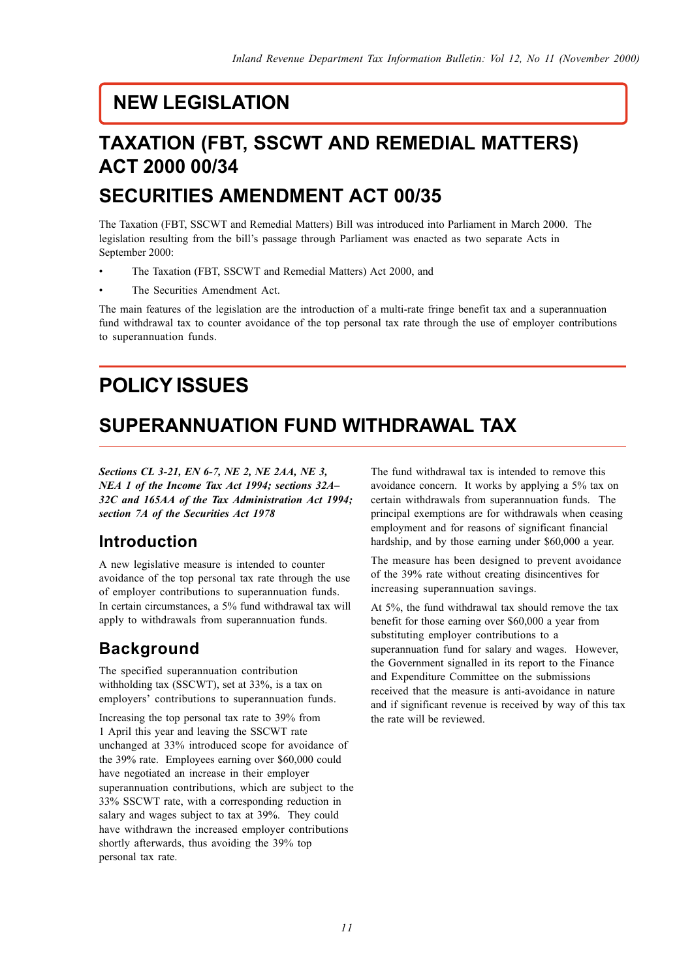# **NEW LEGISLATION**

# **TAXATION (FBT, SSCWT AND REMEDIAL MATTERS) ACT 2000 00/34**

# **SECURITIES AMENDMENT ACT 00/35**

The Taxation (FBT, SSCWT and Remedial Matters) Bill was introduced into Parliament in March 2000. The legislation resulting from the bill's passage through Parliament was enacted as two separate Acts in September 2000:

- The Taxation (FBT, SSCWT and Remedial Matters) Act 2000, and
- The Securities Amendment Act.

The main features of the legislation are the introduction of a multi-rate fringe benefit tax and a superannuation fund withdrawal tax to counter avoidance of the top personal tax rate through the use of employer contributions to superannuation funds.

# **POLICY ISSUES**

# **SUPERANNUATION FUND WITHDRAWAL TAX**

*Sections CL 3-21, EN 6-7, NE 2, NE 2AA, NE 3, NEA 1 of the Income Tax Act 1994; sections 32A– 32C and 165AA of the Tax Administration Act 1994; section 7A of the Securities Act 1978*

# **Introduction**

A new legislative measure is intended to counter avoidance of the top personal tax rate through the use of employer contributions to superannuation funds. In certain circumstances, a 5% fund withdrawal tax will apply to withdrawals from superannuation funds.

# **Background**

The specified superannuation contribution withholding tax (SSCWT), set at 33%, is a tax on employers' contributions to superannuation funds.

Increasing the top personal tax rate to 39% from 1 April this year and leaving the SSCWT rate unchanged at 33% introduced scope for avoidance of the 39% rate. Employees earning over \$60,000 could have negotiated an increase in their employer superannuation contributions, which are subject to the 33% SSCWT rate, with a corresponding reduction in salary and wages subject to tax at 39%. They could have withdrawn the increased employer contributions shortly afterwards, thus avoiding the 39% top personal tax rate.

The fund withdrawal tax is intended to remove this avoidance concern. It works by applying a 5% tax on certain withdrawals from superannuation funds. The principal exemptions are for withdrawals when ceasing employment and for reasons of significant financial hardship, and by those earning under \$60,000 a year.

The measure has been designed to prevent avoidance of the 39% rate without creating disincentives for increasing superannuation savings.

At 5%, the fund withdrawal tax should remove the tax benefit for those earning over \$60,000 a year from substituting employer contributions to a superannuation fund for salary and wages. However, the Government signalled in its report to the Finance and Expenditure Committee on the submissions received that the measure is anti-avoidance in nature and if significant revenue is received by way of this tax the rate will be reviewed.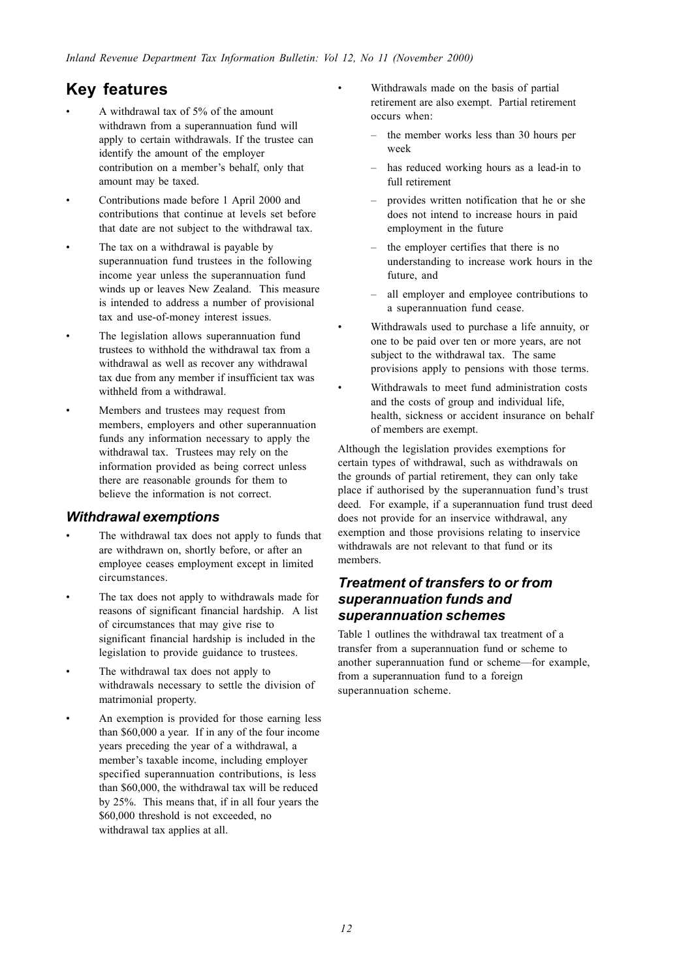# **Key features**

- A withdrawal tax of 5% of the amount withdrawn from a superannuation fund will apply to certain withdrawals. If the trustee can identify the amount of the employer contribution on a member's behalf, only that amount may be taxed.
- Contributions made before 1 April 2000 and contributions that continue at levels set before that date are not subject to the withdrawal tax.
- The tax on a withdrawal is payable by superannuation fund trustees in the following income year unless the superannuation fund winds up or leaves New Zealand. This measure is intended to address a number of provisional tax and use-of-money interest issues.
- The legislation allows superannuation fund trustees to withhold the withdrawal tax from a withdrawal as well as recover any withdrawal tax due from any member if insufficient tax was withheld from a withdrawal.
- Members and trustees may request from members, employers and other superannuation funds any information necessary to apply the withdrawal tax. Trustees may rely on the information provided as being correct unless there are reasonable grounds for them to believe the information is not correct.

## *Withdrawal exemptions*

- The withdrawal tax does not apply to funds that are withdrawn on, shortly before, or after an employee ceases employment except in limited circumstances.
- The tax does not apply to withdrawals made for reasons of significant financial hardship. A list of circumstances that may give rise to significant financial hardship is included in the legislation to provide guidance to trustees.
- The withdrawal tax does not apply to withdrawals necessary to settle the division of matrimonial property.
- An exemption is provided for those earning less than \$60,000 a year. If in any of the four income years preceding the year of a withdrawal, a member's taxable income, including employer specified superannuation contributions, is less than \$60,000, the withdrawal tax will be reduced by 25%. This means that, if in all four years the \$60,000 threshold is not exceeded, no withdrawal tax applies at all.

Withdrawals made on the basis of partial retirement are also exempt. Partial retirement occurs when:

- the member works less than 30 hours per week
- has reduced working hours as a lead-in to full retirement
- provides written notification that he or she does not intend to increase hours in paid employment in the future
- the employer certifies that there is no understanding to increase work hours in the future, and
- all employer and employee contributions to a superannuation fund cease.
- Withdrawals used to purchase a life annuity, or one to be paid over ten or more years, are not subject to the withdrawal tax. The same provisions apply to pensions with those terms.
- Withdrawals to meet fund administration costs and the costs of group and individual life, health, sickness or accident insurance on behalf of members are exempt.

Although the legislation provides exemptions for certain types of withdrawal, such as withdrawals on the grounds of partial retirement, they can only take place if authorised by the superannuation fund's trust deed. For example, if a superannuation fund trust deed does not provide for an inservice withdrawal, any exemption and those provisions relating to inservice withdrawals are not relevant to that fund or its members.

## *Treatment of transfers to or from superannuation funds and superannuation schemes*

Table 1 outlines the withdrawal tax treatment of a transfer from a superannuation fund or scheme to another superannuation fund or scheme—for example, from a superannuation fund to a foreign superannuation scheme.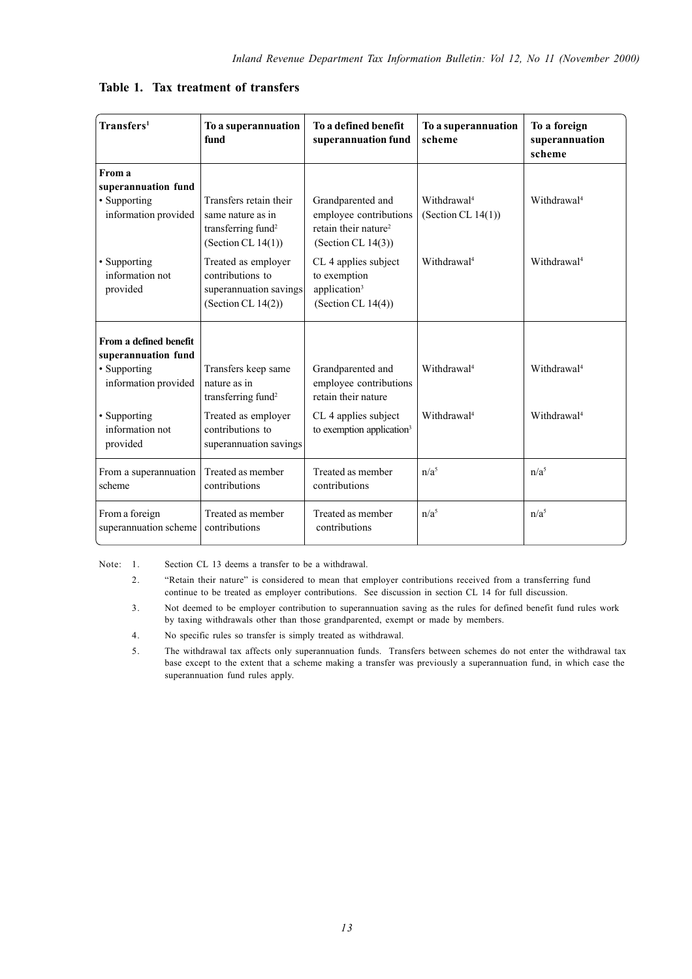| Transfers <sup>1</sup>                      | To a superannuation<br>fund                                                                            | To a defined benefit<br>superannuation fund                                                              | To a superannuation<br>scheme                    | To a foreign<br>superannuation<br>scheme |
|---------------------------------------------|--------------------------------------------------------------------------------------------------------|----------------------------------------------------------------------------------------------------------|--------------------------------------------------|------------------------------------------|
| From a                                      |                                                                                                        |                                                                                                          |                                                  |                                          |
| superannuation fund                         |                                                                                                        |                                                                                                          |                                                  |                                          |
| • Supporting<br>information provided        | Transfers retain their<br>same nature as in<br>transferring fund <sup>2</sup><br>(Section CL $14(1)$ ) | Grandparented and<br>employee contributions<br>retain their nature <sup>2</sup><br>(Section CL $14(3)$ ) | Withdrawal <sup>4</sup><br>(Section CL $14(1)$ ) | Withdrawal <sup>4</sup>                  |
| • Supporting<br>information not<br>provided | Treated as employer<br>contributions to<br>superannuation savings<br>(Section CL $14(2)$ )             | CL 4 applies subject<br>to exemption<br>application <sup>3</sup><br>(Section CL $14(4)$ )                | Withdrawal <sup>4</sup>                          | Withdrawal <sup>4</sup>                  |
| From a defined benefit                      |                                                                                                        |                                                                                                          |                                                  |                                          |
| superannuation fund                         |                                                                                                        |                                                                                                          |                                                  |                                          |
| • Supporting<br>information provided        | Transfers keep same<br>nature as in<br>transferring fund <sup>2</sup>                                  | Grandparented and<br>employee contributions<br>retain their nature                                       | Withdrawal <sup>4</sup>                          | Withdrawal <sup>4</sup>                  |
| • Supporting<br>information not<br>provided | Treated as employer<br>contributions to<br>superannuation savings                                      | CL 4 applies subject<br>to exemption application <sup>3</sup>                                            | Withdrawal <sup>4</sup>                          | Withdrawal <sup>4</sup>                  |
| From a superannuation<br>scheme             | Treated as member<br>contributions                                                                     | Treated as member<br>contributions                                                                       | n/a <sup>5</sup>                                 | n/a <sup>5</sup>                         |
| From a foreign<br>superannuation scheme     | Treated as member<br>contributions                                                                     | Treated as member<br>contributions                                                                       | n/a <sup>5</sup>                                 | n/a <sup>5</sup>                         |

**Table 1. Tax treatment of transfers**

Note: 1. Section CL 13 deems a transfer to be a withdrawal.

2. "Retain their nature" is considered to mean that employer contributions received from a transferring fund continue to be treated as employer contributions. See discussion in section CL 14 for full discussion.

3. Not deemed to be employer contribution to superannuation saving as the rules for defined benefit fund rules work by taxing withdrawals other than those grandparented, exempt or made by members.

4. No specific rules so transfer is simply treated as withdrawal.

5. The withdrawal tax affects only superannuation funds. Transfers between schemes do not enter the withdrawal tax base except to the extent that a scheme making a transfer was previously a superannuation fund, in which case the superannuation fund rules apply.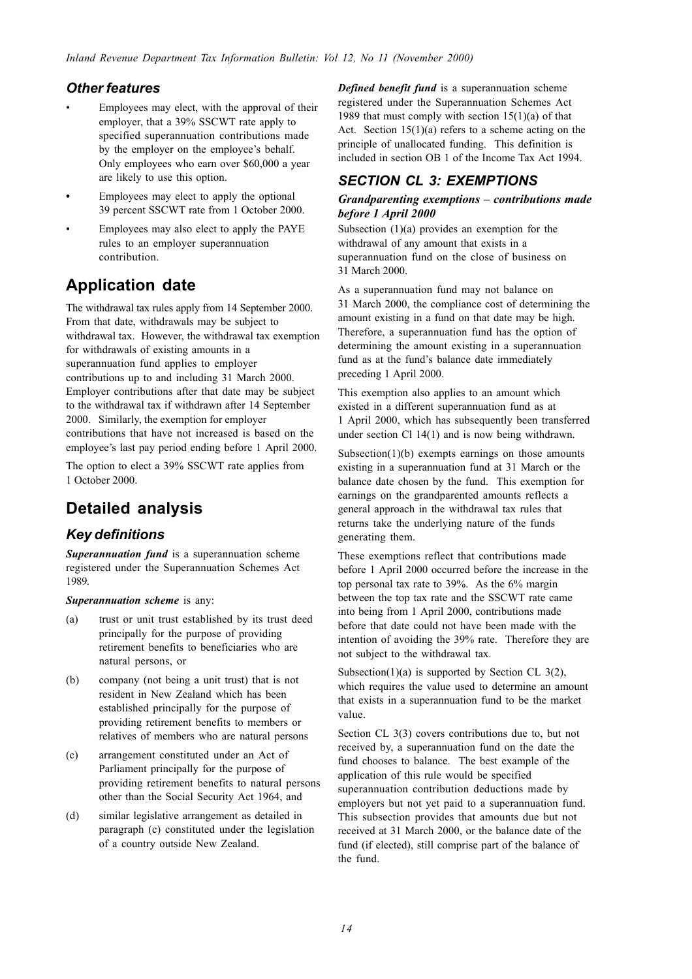## *Other features*

- Employees may elect, with the approval of their employer, that a 39% SSCWT rate apply to specified superannuation contributions made by the employer on the employee's behalf. Only employees who earn over \$60,000 a year are likely to use this option.
- **•** Employees may elect to apply the optional 39 percent SSCWT rate from 1 October 2000.
- Employees may also elect to apply the PAYE rules to an employer superannuation contribution.

# **Application date**

The withdrawal tax rules apply from 14 September 2000. From that date, withdrawals may be subject to withdrawal tax. However, the withdrawal tax exemption for withdrawals of existing amounts in a superannuation fund applies to employer contributions up to and including 31 March 2000. Employer contributions after that date may be subject to the withdrawal tax if withdrawn after 14 September 2000. Similarly, the exemption for employer contributions that have not increased is based on the employee's last pay period ending before 1 April 2000.

The option to elect a 39% SSCWT rate applies from 1 October 2000.

## **Detailed analysis**

## *Key definitions*

*Superannuation fund* is a superannuation scheme registered under the Superannuation Schemes Act 1989.

*Superannuation scheme* is any:

- (a) trust or unit trust established by its trust deed principally for the purpose of providing retirement benefits to beneficiaries who are natural persons, or
- (b) company (not being a unit trust) that is not resident in New Zealand which has been established principally for the purpose of providing retirement benefits to members or relatives of members who are natural persons
- (c) arrangement constituted under an Act of Parliament principally for the purpose of providing retirement benefits to natural persons other than the Social Security Act 1964, and
- (d) similar legislative arrangement as detailed in paragraph (c) constituted under the legislation of a country outside New Zealand.

*Defined benefit fund* is a superannuation scheme registered under the Superannuation Schemes Act 1989 that must comply with section  $15(1)(a)$  of that Act. Section  $15(1)(a)$  refers to a scheme acting on the principle of unallocated funding. This definition is included in section OB 1 of the Income Tax Act 1994.

## *SECTION CL 3: EXEMPTIONS*

#### *Grandparenting exemptions – contributions made before 1 April 2000*

Subsection (1)(a) provides an exemption for the withdrawal of any amount that exists in a superannuation fund on the close of business on 31 March 2000.

As a superannuation fund may not balance on 31 March 2000, the compliance cost of determining the amount existing in a fund on that date may be high. Therefore, a superannuation fund has the option of determining the amount existing in a superannuation fund as at the fund's balance date immediately preceding 1 April 2000.

This exemption also applies to an amount which existed in a different superannuation fund as at 1 April 2000, which has subsequently been transferred under section Cl 14(1) and is now being withdrawn.

Subsection(1)(b) exempts earnings on those amounts existing in a superannuation fund at 31 March or the balance date chosen by the fund. This exemption for earnings on the grandparented amounts reflects a general approach in the withdrawal tax rules that returns take the underlying nature of the funds generating them.

These exemptions reflect that contributions made before 1 April 2000 occurred before the increase in the top personal tax rate to 39%. As the 6% margin between the top tax rate and the SSCWT rate came into being from 1 April 2000, contributions made before that date could not have been made with the intention of avoiding the 39% rate. Therefore they are not subject to the withdrawal tax.

Subsection(1)(a) is supported by Section CL  $3(2)$ , which requires the value used to determine an amount that exists in a superannuation fund to be the market value.

Section CL 3(3) covers contributions due to, but not received by, a superannuation fund on the date the fund chooses to balance. The best example of the application of this rule would be specified superannuation contribution deductions made by employers but not yet paid to a superannuation fund. This subsection provides that amounts due but not received at 31 March 2000, or the balance date of the fund (if elected), still comprise part of the balance of the fund.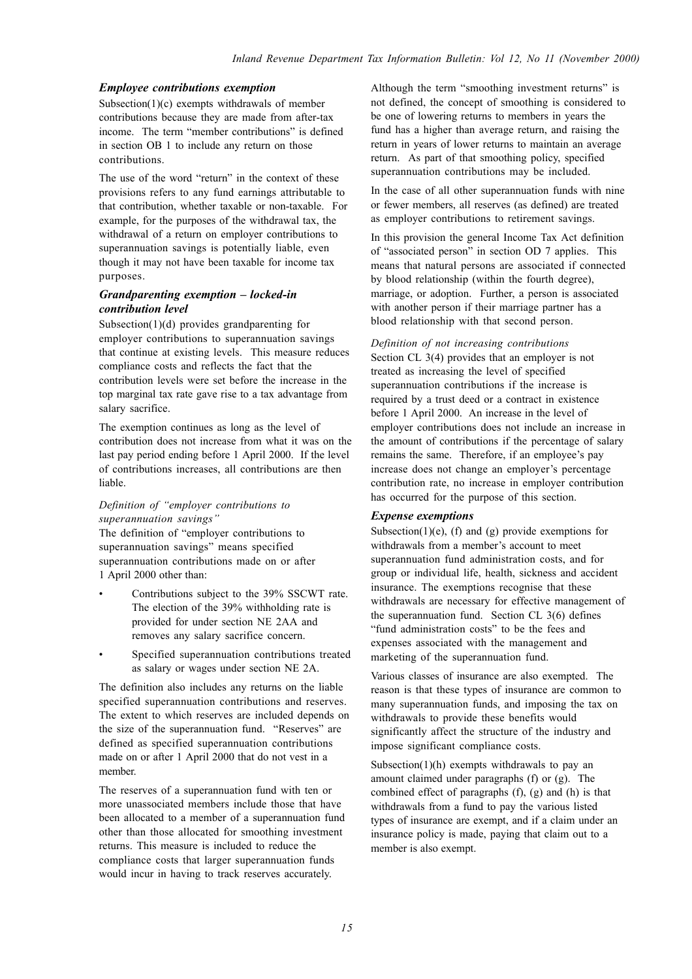#### *Employee contributions exemption*

Subsection(1)(c) exempts withdrawals of member contributions because they are made from after-tax income. The term "member contributions" is defined in section OB 1 to include any return on those contributions.

The use of the word "return" in the context of these provisions refers to any fund earnings attributable to that contribution, whether taxable or non-taxable. For example, for the purposes of the withdrawal tax, the withdrawal of a return on employer contributions to superannuation savings is potentially liable, even though it may not have been taxable for income tax purposes.

#### *Grandparenting exemption – locked-in contribution level*

Subsection(1)(d) provides grandparenting for employer contributions to superannuation savings that continue at existing levels. This measure reduces compliance costs and reflects the fact that the contribution levels were set before the increase in the top marginal tax rate gave rise to a tax advantage from salary sacrifice.

The exemption continues as long as the level of contribution does not increase from what it was on the last pay period ending before 1 April 2000. If the level of contributions increases, all contributions are then liable.

## *Definition of "employer contributions to superannuation savings"*

The definition of "employer contributions to superannuation savings" means specified superannuation contributions made on or after 1 April 2000 other than:

- Contributions subject to the 39% SSCWT rate. The election of the 39% withholding rate is provided for under section NE 2AA and removes any salary sacrifice concern.
- Specified superannuation contributions treated as salary or wages under section NE 2A.

The definition also includes any returns on the liable specified superannuation contributions and reserves. The extent to which reserves are included depends on the size of the superannuation fund. "Reserves" are defined as specified superannuation contributions made on or after 1 April 2000 that do not vest in a member.

The reserves of a superannuation fund with ten or more unassociated members include those that have been allocated to a member of a superannuation fund other than those allocated for smoothing investment returns. This measure is included to reduce the compliance costs that larger superannuation funds would incur in having to track reserves accurately.

Although the term "smoothing investment returns" is not defined, the concept of smoothing is considered to be one of lowering returns to members in years the fund has a higher than average return, and raising the return in years of lower returns to maintain an average return. As part of that smoothing policy, specified superannuation contributions may be included.

In the case of all other superannuation funds with nine or fewer members, all reserves (as defined) are treated as employer contributions to retirement savings.

In this provision the general Income Tax Act definition of "associated person" in section OD 7 applies. This means that natural persons are associated if connected by blood relationship (within the fourth degree), marriage, or adoption. Further, a person is associated with another person if their marriage partner has a blood relationship with that second person.

#### *Definition of not increasing contributions*

Section CL 3(4) provides that an employer is not treated as increasing the level of specified superannuation contributions if the increase is required by a trust deed or a contract in existence before 1 April 2000. An increase in the level of employer contributions does not include an increase in the amount of contributions if the percentage of salary remains the same. Therefore, if an employee's pay increase does not change an employer's percentage contribution rate, no increase in employer contribution has occurred for the purpose of this section.

#### *Expense exemptions*

Subsection(1)(e), (f) and (g) provide exemptions for withdrawals from a member's account to meet superannuation fund administration costs, and for group or individual life, health, sickness and accident insurance. The exemptions recognise that these withdrawals are necessary for effective management of the superannuation fund. Section CL 3(6) defines "fund administration costs" to be the fees and expenses associated with the management and marketing of the superannuation fund.

Various classes of insurance are also exempted. The reason is that these types of insurance are common to many superannuation funds, and imposing the tax on withdrawals to provide these benefits would significantly affect the structure of the industry and impose significant compliance costs.

Subsection(1)(h) exempts withdrawals to pay an amount claimed under paragraphs (f) or (g). The combined effect of paragraphs (f), (g) and (h) is that withdrawals from a fund to pay the various listed types of insurance are exempt, and if a claim under an insurance policy is made, paying that claim out to a member is also exempt.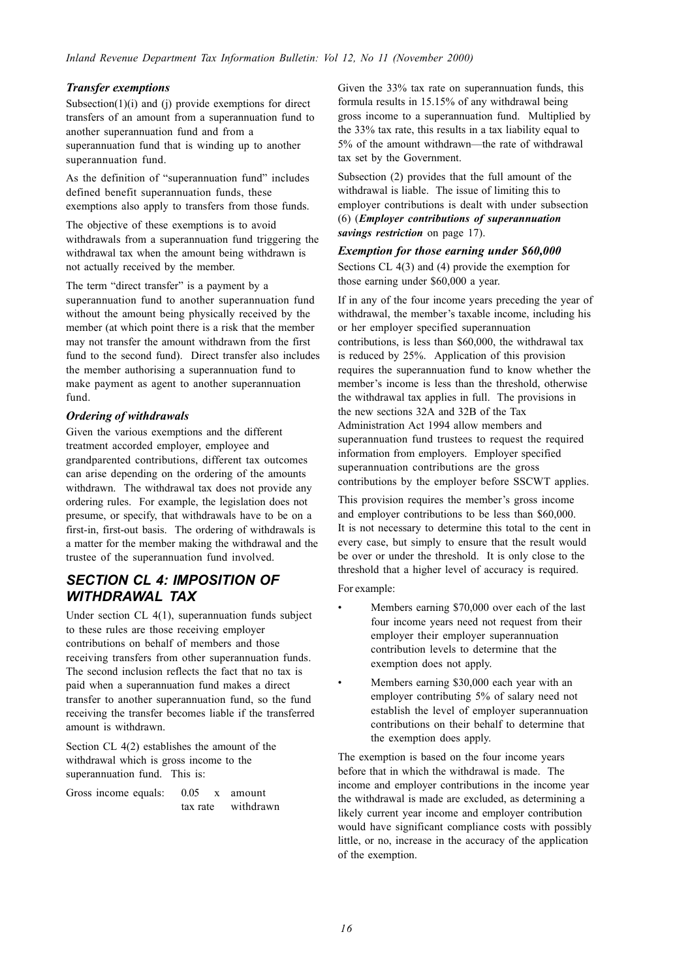## *Transfer exemptions*

Subsection $(1)(i)$  and  $(i)$  provide exemptions for direct transfers of an amount from a superannuation fund to another superannuation fund and from a superannuation fund that is winding up to another superannuation fund.

As the definition of "superannuation fund" includes defined benefit superannuation funds, these exemptions also apply to transfers from those funds.

The objective of these exemptions is to avoid withdrawals from a superannuation fund triggering the withdrawal tax when the amount being withdrawn is not actually received by the member.

The term "direct transfer" is a payment by a superannuation fund to another superannuation fund without the amount being physically received by the member (at which point there is a risk that the member may not transfer the amount withdrawn from the first fund to the second fund). Direct transfer also includes the member authorising a superannuation fund to make payment as agent to another superannuation fund.

## *Ordering of withdrawals*

Given the various exemptions and the different treatment accorded employer, employee and grandparented contributions, different tax outcomes can arise depending on the ordering of the amounts withdrawn. The withdrawal tax does not provide any ordering rules. For example, the legislation does not presume, or specify, that withdrawals have to be on a first-in, first-out basis. The ordering of withdrawals is a matter for the member making the withdrawal and the trustee of the superannuation fund involved.

## *SECTION CL 4: IMPOSITION OF WITHDRAWAL TAX*

Under section CL 4(1), superannuation funds subject to these rules are those receiving employer contributions on behalf of members and those receiving transfers from other superannuation funds. The second inclusion reflects the fact that no tax is paid when a superannuation fund makes a direct transfer to another superannuation fund, so the fund receiving the transfer becomes liable if the transferred amount is withdrawn.

Section CL 4(2) establishes the amount of the withdrawal which is gross income to the superannuation fund. This is:

Gross income equals: 0.05 x amount tax rate withdrawn Given the 33% tax rate on superannuation funds, this formula results in 15.15% of any withdrawal being gross income to a superannuation fund. Multiplied by the 33% tax rate, this results in a tax liability equal to 5% of the amount withdrawn—the rate of withdrawal tax set by the Government.

Subsection (2) provides that the full amount of the withdrawal is liable. The issue of limiting this to employer contributions is dealt with under subsection (6) (*Employer contributions of superannuation savings restriction* on page 17).

#### *Exemption for those earning under \$60,000*

Sections CL 4(3) and (4) provide the exemption for those earning under \$60,000 a year.

If in any of the four income years preceding the year of withdrawal, the member's taxable income, including his or her employer specified superannuation contributions, is less than \$60,000, the withdrawal tax is reduced by 25%. Application of this provision requires the superannuation fund to know whether the member's income is less than the threshold, otherwise the withdrawal tax applies in full. The provisions in the new sections 32A and 32B of the Tax Administration Act 1994 allow members and superannuation fund trustees to request the required information from employers. Employer specified superannuation contributions are the gross contributions by the employer before SSCWT applies.

This provision requires the member's gross income and employer contributions to be less than \$60,000. It is not necessary to determine this total to the cent in every case, but simply to ensure that the result would be over or under the threshold. It is only close to the threshold that a higher level of accuracy is required.

For example:

- Members earning \$70,000 over each of the last four income years need not request from their employer their employer superannuation contribution levels to determine that the exemption does not apply.
- Members earning \$30,000 each year with an employer contributing 5% of salary need not establish the level of employer superannuation contributions on their behalf to determine that the exemption does apply.

The exemption is based on the four income years before that in which the withdrawal is made. The income and employer contributions in the income year the withdrawal is made are excluded, as determining a likely current year income and employer contribution would have significant compliance costs with possibly little, or no, increase in the accuracy of the application of the exemption.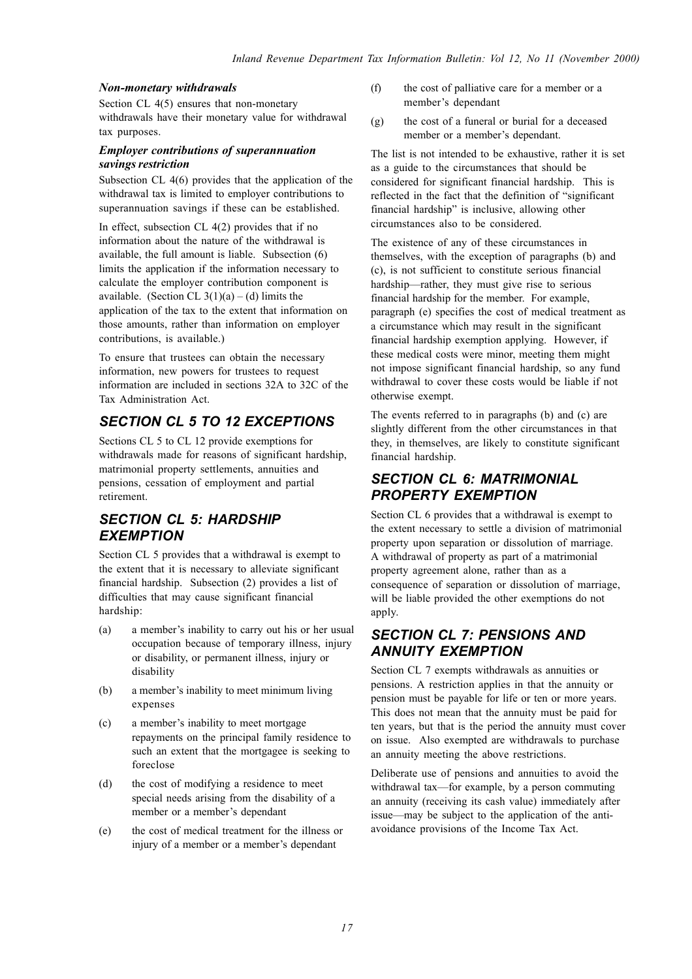#### *Non-monetary withdrawals*

Section CL 4(5) ensures that non-monetary withdrawals have their monetary value for withdrawal tax purposes.

#### *Employer contributions of superannuation savings restriction*

Subsection CL 4(6) provides that the application of the withdrawal tax is limited to employer contributions to superannuation savings if these can be established.

In effect, subsection CL  $4(2)$  provides that if no information about the nature of the withdrawal is available, the full amount is liable. Subsection (6) limits the application if the information necessary to calculate the employer contribution component is available. (Section CL  $3(1)(a) - (d)$  limits the application of the tax to the extent that information on those amounts, rather than information on employer contributions, is available.)

To ensure that trustees can obtain the necessary information, new powers for trustees to request information are included in sections 32A to 32C of the Tax Administration Act.

## *SECTION CL 5 TO 12 EXCEPTIONS*

Sections CL 5 to CL 12 provide exemptions for withdrawals made for reasons of significant hardship, matrimonial property settlements, annuities and pensions, cessation of employment and partial retirement.

## *SECTION CL 5: HARDSHIP EXEMPTION*

Section CL 5 provides that a withdrawal is exempt to the extent that it is necessary to alleviate significant financial hardship. Subsection (2) provides a list of difficulties that may cause significant financial hardship:

- (a) a member's inability to carry out his or her usual occupation because of temporary illness, injury or disability, or permanent illness, injury or disability
- (b) a member's inability to meet minimum living expenses
- (c) a member's inability to meet mortgage repayments on the principal family residence to such an extent that the mortgagee is seeking to foreclose
- (d) the cost of modifying a residence to meet special needs arising from the disability of a member or a member's dependant
- (e) the cost of medical treatment for the illness or injury of a member or a member's dependant
- (f) the cost of palliative care for a member or a member's dependant
- (g) the cost of a funeral or burial for a deceased member or a member's dependant.

The list is not intended to be exhaustive, rather it is set as a guide to the circumstances that should be considered for significant financial hardship. This is reflected in the fact that the definition of "significant financial hardship" is inclusive, allowing other circumstances also to be considered.

The existence of any of these circumstances in themselves, with the exception of paragraphs (b) and (c), is not sufficient to constitute serious financial hardship—rather, they must give rise to serious financial hardship for the member. For example, paragraph (e) specifies the cost of medical treatment as a circumstance which may result in the significant financial hardship exemption applying. However, if these medical costs were minor, meeting them might not impose significant financial hardship, so any fund withdrawal to cover these costs would be liable if not otherwise exempt.

The events referred to in paragraphs (b) and (c) are slightly different from the other circumstances in that they, in themselves, are likely to constitute significant financial hardship.

## *SECTION CL 6: MATRIMONIAL PROPERTY EXEMPTION*

Section CL 6 provides that a withdrawal is exempt to the extent necessary to settle a division of matrimonial property upon separation or dissolution of marriage. A withdrawal of property as part of a matrimonial property agreement alone, rather than as a consequence of separation or dissolution of marriage, will be liable provided the other exemptions do not apply.

## *SECTION CL 7: PENSIONS AND ANNUITY EXEMPTION*

Section CL 7 exempts withdrawals as annuities or pensions. A restriction applies in that the annuity or pension must be payable for life or ten or more years. This does not mean that the annuity must be paid for ten years, but that is the period the annuity must cover on issue. Also exempted are withdrawals to purchase an annuity meeting the above restrictions.

Deliberate use of pensions and annuities to avoid the withdrawal tax—for example, by a person commuting an annuity (receiving its cash value) immediately after issue—may be subject to the application of the antiavoidance provisions of the Income Tax Act.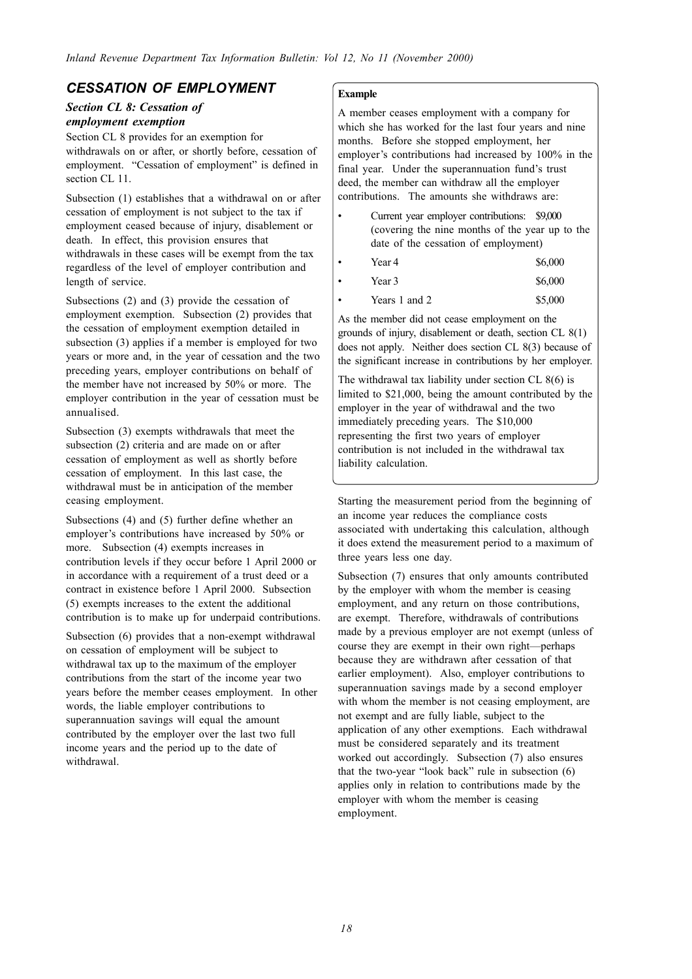## *CESSATION OF EMPLOYMENT*

#### *Section CL 8: Cessation of employment exemption*

Section CL 8 provides for an exemption for withdrawals on or after, or shortly before, cessation of employment. "Cessation of employment" is defined in section CL 11.

Subsection (1) establishes that a withdrawal on or after cessation of employment is not subject to the tax if employment ceased because of injury, disablement or death. In effect, this provision ensures that withdrawals in these cases will be exempt from the tax regardless of the level of employer contribution and length of service.

Subsections (2) and (3) provide the cessation of employment exemption. Subsection (2) provides that the cessation of employment exemption detailed in subsection (3) applies if a member is employed for two years or more and, in the year of cessation and the two preceding years, employer contributions on behalf of the member have not increased by 50% or more. The employer contribution in the year of cessation must be annualised.

Subsection (3) exempts withdrawals that meet the subsection (2) criteria and are made on or after cessation of employment as well as shortly before cessation of employment. In this last case, the withdrawal must be in anticipation of the member ceasing employment.

Subsections (4) and (5) further define whether an employer's contributions have increased by 50% or more. Subsection (4) exempts increases in contribution levels if they occur before 1 April 2000 or in accordance with a requirement of a trust deed or a contract in existence before 1 April 2000. Subsection (5) exempts increases to the extent the additional contribution is to make up for underpaid contributions.

Subsection (6) provides that a non-exempt withdrawal on cessation of employment will be subject to withdrawal tax up to the maximum of the employer contributions from the start of the income year two years before the member ceases employment. In other words, the liable employer contributions to superannuation savings will equal the amount contributed by the employer over the last two full income years and the period up to the date of withdrawal.

#### **Example**

A member ceases employment with a company for which she has worked for the last four years and nine months. Before she stopped employment, her employer's contributions had increased by 100% in the final year. Under the superannuation fund's trust deed, the member can withdraw all the employer contributions. The amounts she withdraws are:

- Current year employer contributions: \$9,000 (covering the nine months of the year up to the date of the cessation of employment)
- $\text{Year } 4$   $\text{\$6,000}$
- **•** Year 3  $\qquad$  \$6,000
- **Frame** 1 and 2 \$5,000

As the member did not cease employment on the grounds of injury, disablement or death, section CL 8(1) does not apply. Neither does section CL 8(3) because of the significant increase in contributions by her employer.

The withdrawal tax liability under section CL 8(6) is limited to \$21,000, being the amount contributed by the employer in the year of withdrawal and the two immediately preceding years. The \$10,000 representing the first two years of employer contribution is not included in the withdrawal tax liability calculation.

Starting the measurement period from the beginning of an income year reduces the compliance costs associated with undertaking this calculation, although it does extend the measurement period to a maximum of three years less one day.

Subsection (7) ensures that only amounts contributed by the employer with whom the member is ceasing employment, and any return on those contributions, are exempt. Therefore, withdrawals of contributions made by a previous employer are not exempt (unless of course they are exempt in their own right—perhaps because they are withdrawn after cessation of that earlier employment). Also, employer contributions to superannuation savings made by a second employer with whom the member is not ceasing employment, are not exempt and are fully liable, subject to the application of any other exemptions. Each withdrawal must be considered separately and its treatment worked out accordingly. Subsection (7) also ensures that the two-year "look back" rule in subsection (6) applies only in relation to contributions made by the employer with whom the member is ceasing employment.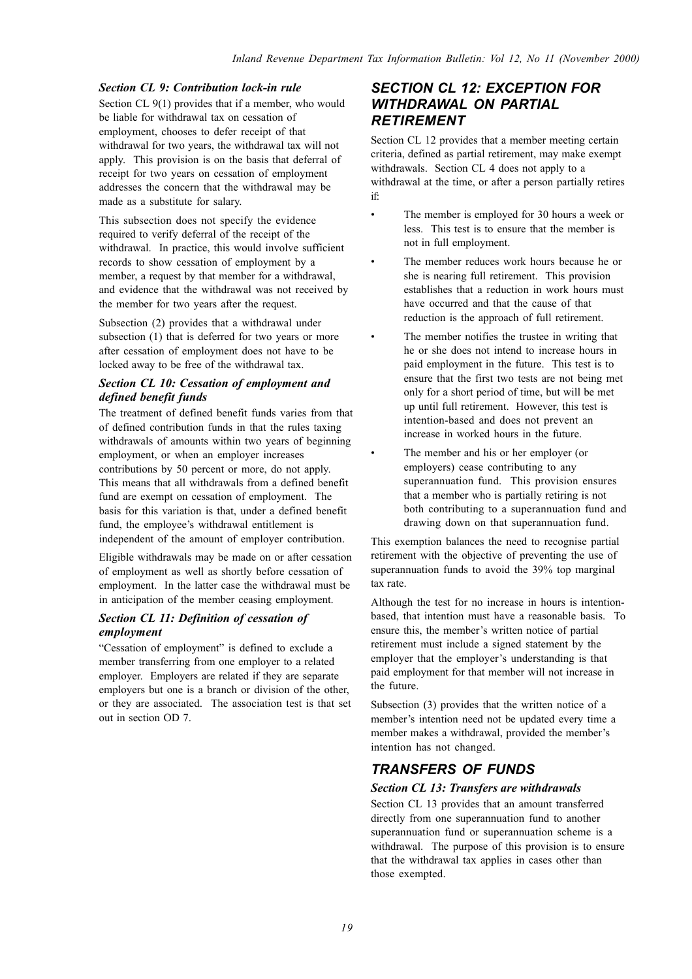## *Section CL 9: Contribution lock-in rule*

Section CL 9(1) provides that if a member, who would be liable for withdrawal tax on cessation of employment, chooses to defer receipt of that withdrawal for two years, the withdrawal tax will not apply. This provision is on the basis that deferral of receipt for two years on cessation of employment addresses the concern that the withdrawal may be made as a substitute for salary.

This subsection does not specify the evidence required to verify deferral of the receipt of the withdrawal. In practice, this would involve sufficient records to show cessation of employment by a member, a request by that member for a withdrawal, and evidence that the withdrawal was not received by the member for two years after the request.

Subsection (2) provides that a withdrawal under subsection (1) that is deferred for two years or more after cessation of employment does not have to be locked away to be free of the withdrawal tax.

## *Section CL 10: Cessation of employment and defined benefit funds*

The treatment of defined benefit funds varies from that of defined contribution funds in that the rules taxing withdrawals of amounts within two years of beginning employment, or when an employer increases contributions by 50 percent or more, do not apply. This means that all withdrawals from a defined benefit fund are exempt on cessation of employment. The basis for this variation is that, under a defined benefit fund, the employee's withdrawal entitlement is independent of the amount of employer contribution.

Eligible withdrawals may be made on or after cessation of employment as well as shortly before cessation of employment. In the latter case the withdrawal must be in anticipation of the member ceasing employment.

## *Section CL 11: Definition of cessation of employment*

"Cessation of employment" is defined to exclude a member transferring from one employer to a related employer. Employers are related if they are separate employers but one is a branch or division of the other, or they are associated. The association test is that set out in section OD 7.

## *SECTION CL 12: EXCEPTION FOR WITHDRAWAL ON PARTIAL RETIREMENT*

Section CL 12 provides that a member meeting certain criteria, defined as partial retirement, may make exempt withdrawals. Section CL 4 does not apply to a withdrawal at the time, or after a person partially retires if:

- The member is employed for 30 hours a week or less. This test is to ensure that the member is not in full employment.
- The member reduces work hours because he or she is nearing full retirement. This provision establishes that a reduction in work hours must have occurred and that the cause of that reduction is the approach of full retirement.
- The member notifies the trustee in writing that he or she does not intend to increase hours in paid employment in the future. This test is to ensure that the first two tests are not being met only for a short period of time, but will be met up until full retirement. However, this test is intention-based and does not prevent an increase in worked hours in the future.
- The member and his or her employer (or employers) cease contributing to any superannuation fund. This provision ensures that a member who is partially retiring is not both contributing to a superannuation fund and drawing down on that superannuation fund.

This exemption balances the need to recognise partial retirement with the objective of preventing the use of superannuation funds to avoid the 39% top marginal tax rate.

Although the test for no increase in hours is intentionbased, that intention must have a reasonable basis. To ensure this, the member's written notice of partial retirement must include a signed statement by the employer that the employer's understanding is that paid employment for that member will not increase in the future.

Subsection (3) provides that the written notice of a member's intention need not be updated every time a member makes a withdrawal, provided the member's intention has not changed.

## *TRANSFERS OF FUNDS*

## *Section CL 13: Transfers are withdrawals*

Section CL 13 provides that an amount transferred directly from one superannuation fund to another superannuation fund or superannuation scheme is a withdrawal. The purpose of this provision is to ensure that the withdrawal tax applies in cases other than those exempted.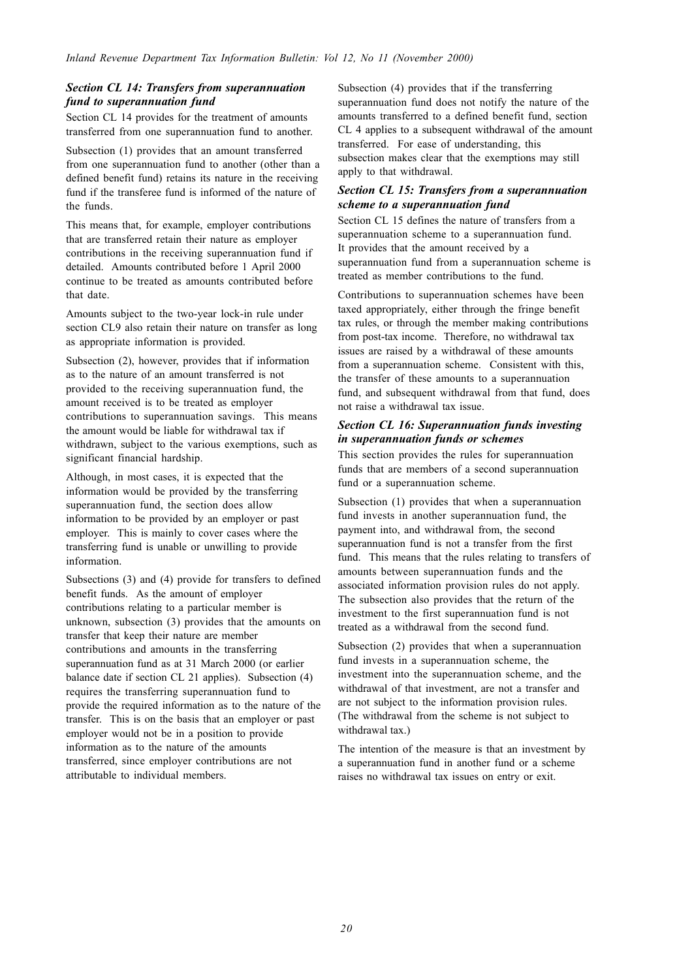#### *Section CL 14: Transfers from superannuation fund to superannuation fund*

Section CL 14 provides for the treatment of amounts transferred from one superannuation fund to another.

Subsection (1) provides that an amount transferred from one superannuation fund to another (other than a defined benefit fund) retains its nature in the receiving fund if the transferee fund is informed of the nature of the funds.

This means that, for example, employer contributions that are transferred retain their nature as employer contributions in the receiving superannuation fund if detailed. Amounts contributed before 1 April 2000 continue to be treated as amounts contributed before that date.

Amounts subject to the two-year lock-in rule under section CL9 also retain their nature on transfer as long as appropriate information is provided.

Subsection (2), however, provides that if information as to the nature of an amount transferred is not provided to the receiving superannuation fund, the amount received is to be treated as employer contributions to superannuation savings. This means the amount would be liable for withdrawal tax if withdrawn, subject to the various exemptions, such as significant financial hardship.

Although, in most cases, it is expected that the information would be provided by the transferring superannuation fund, the section does allow information to be provided by an employer or past employer. This is mainly to cover cases where the transferring fund is unable or unwilling to provide information.

Subsections (3) and (4) provide for transfers to defined benefit funds. As the amount of employer contributions relating to a particular member is unknown, subsection (3) provides that the amounts on transfer that keep their nature are member contributions and amounts in the transferring superannuation fund as at 31 March 2000 (or earlier balance date if section CL 21 applies). Subsection (4) requires the transferring superannuation fund to provide the required information as to the nature of the transfer. This is on the basis that an employer or past employer would not be in a position to provide information as to the nature of the amounts transferred, since employer contributions are not attributable to individual members.

Subsection (4) provides that if the transferring superannuation fund does not notify the nature of the amounts transferred to a defined benefit fund, section CL 4 applies to a subsequent withdrawal of the amount transferred. For ease of understanding, this subsection makes clear that the exemptions may still apply to that withdrawal.

#### *Section CL 15: Transfers from a superannuation scheme to a superannuation fund*

Section CL 15 defines the nature of transfers from a superannuation scheme to a superannuation fund. It provides that the amount received by a superannuation fund from a superannuation scheme is treated as member contributions to the fund.

Contributions to superannuation schemes have been taxed appropriately, either through the fringe benefit tax rules, or through the member making contributions from post-tax income. Therefore, no withdrawal tax issues are raised by a withdrawal of these amounts from a superannuation scheme. Consistent with this, the transfer of these amounts to a superannuation fund, and subsequent withdrawal from that fund, does not raise a withdrawal tax issue.

## *Section CL 16: Superannuation funds investing in superannuation funds or schemes*

This section provides the rules for superannuation funds that are members of a second superannuation fund or a superannuation scheme.

Subsection (1) provides that when a superannuation fund invests in another superannuation fund, the payment into, and withdrawal from, the second superannuation fund is not a transfer from the first fund. This means that the rules relating to transfers of amounts between superannuation funds and the associated information provision rules do not apply. The subsection also provides that the return of the investment to the first superannuation fund is not treated as a withdrawal from the second fund.

Subsection (2) provides that when a superannuation fund invests in a superannuation scheme, the investment into the superannuation scheme, and the withdrawal of that investment, are not a transfer and are not subject to the information provision rules. (The withdrawal from the scheme is not subject to withdrawal tax.)

The intention of the measure is that an investment by a superannuation fund in another fund or a scheme raises no withdrawal tax issues on entry or exit.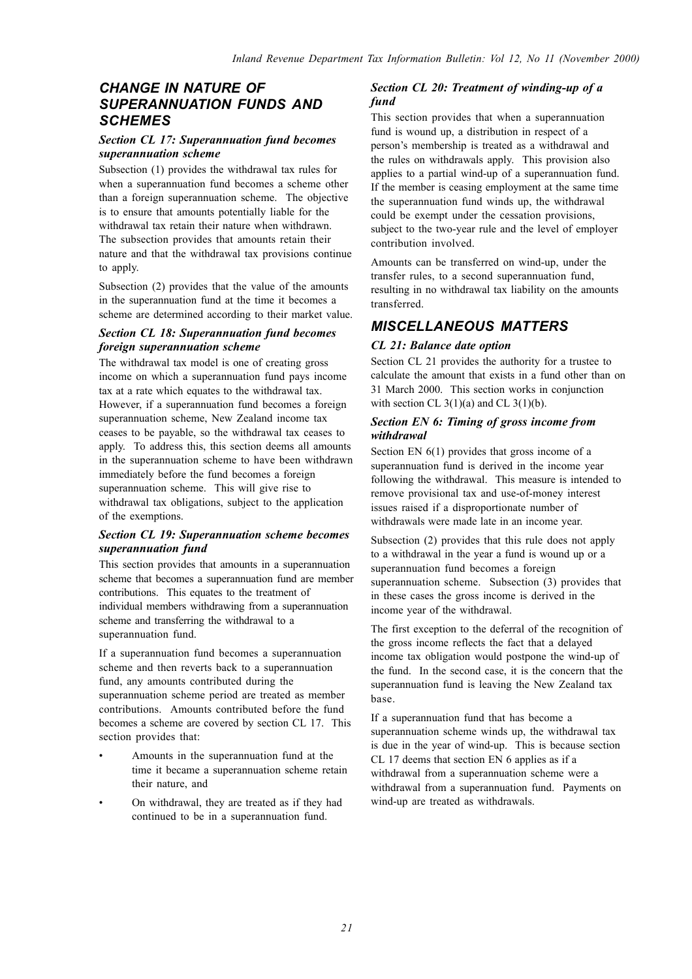## *CHANGE IN NATURE OF SUPERANNUATION FUNDS AND SCHEMES*

#### *Section CL 17: Superannuation fund becomes superannuation scheme*

Subsection (1) provides the withdrawal tax rules for when a superannuation fund becomes a scheme other than a foreign superannuation scheme. The objective is to ensure that amounts potentially liable for the withdrawal tax retain their nature when withdrawn. The subsection provides that amounts retain their nature and that the withdrawal tax provisions continue to apply.

Subsection (2) provides that the value of the amounts in the superannuation fund at the time it becomes a scheme are determined according to their market value.

#### *Section CL 18: Superannuation fund becomes foreign superannuation scheme*

The withdrawal tax model is one of creating gross income on which a superannuation fund pays income tax at a rate which equates to the withdrawal tax. However, if a superannuation fund becomes a foreign superannuation scheme, New Zealand income tax ceases to be payable, so the withdrawal tax ceases to apply. To address this, this section deems all amounts in the superannuation scheme to have been withdrawn immediately before the fund becomes a foreign superannuation scheme. This will give rise to withdrawal tax obligations, subject to the application of the exemptions.

## *Section CL 19: Superannuation scheme becomes superannuation fund*

This section provides that amounts in a superannuation scheme that becomes a superannuation fund are member contributions. This equates to the treatment of individual members withdrawing from a superannuation scheme and transferring the withdrawal to a superannuation fund.

If a superannuation fund becomes a superannuation scheme and then reverts back to a superannuation fund, any amounts contributed during the superannuation scheme period are treated as member contributions. Amounts contributed before the fund becomes a scheme are covered by section CL 17. This section provides that:

- Amounts in the superannuation fund at the time it became a superannuation scheme retain their nature, and
- On withdrawal, they are treated as if they had continued to be in a superannuation fund.

## *Section CL 20: Treatment of winding-up of a fund*

This section provides that when a superannuation fund is wound up, a distribution in respect of a person's membership is treated as a withdrawal and the rules on withdrawals apply. This provision also applies to a partial wind-up of a superannuation fund. If the member is ceasing employment at the same time the superannuation fund winds up, the withdrawal could be exempt under the cessation provisions, subject to the two-year rule and the level of employer contribution involved.

Amounts can be transferred on wind-up, under the transfer rules, to a second superannuation fund, resulting in no withdrawal tax liability on the amounts transferred.

## *MISCELLANEOUS MATTERS*

#### *CL 21: Balance date option*

Section CL 21 provides the authority for a trustee to calculate the amount that exists in a fund other than on 31 March 2000. This section works in conjunction with section CL  $3(1)(a)$  and CL  $3(1)(b)$ .

#### *Section EN 6: Timing of gross income from withdrawal*

Section EN 6(1) provides that gross income of a superannuation fund is derived in the income year following the withdrawal. This measure is intended to remove provisional tax and use-of-money interest issues raised if a disproportionate number of withdrawals were made late in an income year.

Subsection (2) provides that this rule does not apply to a withdrawal in the year a fund is wound up or a superannuation fund becomes a foreign superannuation scheme. Subsection (3) provides that in these cases the gross income is derived in the income year of the withdrawal.

The first exception to the deferral of the recognition of the gross income reflects the fact that a delayed income tax obligation would postpone the wind-up of the fund. In the second case, it is the concern that the superannuation fund is leaving the New Zealand tax base.

If a superannuation fund that has become a superannuation scheme winds up, the withdrawal tax is due in the year of wind-up. This is because section CL 17 deems that section EN 6 applies as if a withdrawal from a superannuation scheme were a withdrawal from a superannuation fund. Payments on wind-up are treated as withdrawals.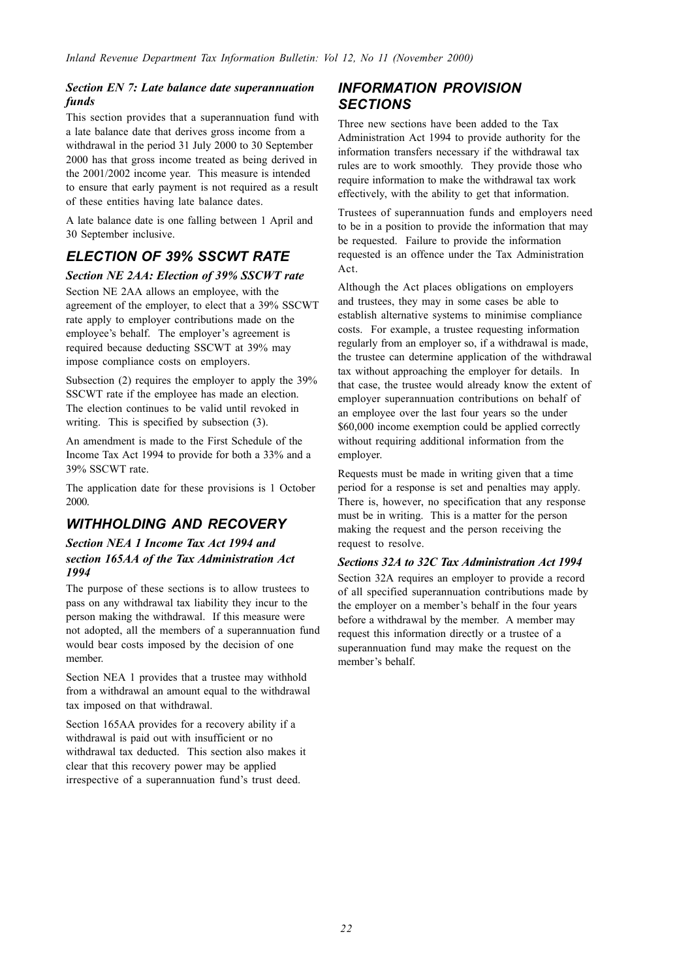## *Section EN 7: Late balance date superannuation funds*

This section provides that a superannuation fund with a late balance date that derives gross income from a withdrawal in the period 31 July 2000 to 30 September 2000 has that gross income treated as being derived in the 2001/2002 income year. This measure is intended to ensure that early payment is not required as a result of these entities having late balance dates.

A late balance date is one falling between 1 April and 30 September inclusive.

## *ELECTION OF 39% SSCWT RATE*

## *Section NE 2AA: Election of 39% SSCWT rate*

Section NE 2AA allows an employee, with the agreement of the employer, to elect that a 39% SSCWT rate apply to employer contributions made on the employee's behalf. The employer's agreement is required because deducting SSCWT at 39% may impose compliance costs on employers.

Subsection (2) requires the employer to apply the  $39\%$ SSCWT rate if the employee has made an election. The election continues to be valid until revoked in writing. This is specified by subsection (3).

An amendment is made to the First Schedule of the Income Tax Act 1994 to provide for both a 33% and a 39% SSCWT rate.

The application date for these provisions is 1 October 2000.

## *WITHHOLDING AND RECOVERY*

## *Section NEA 1 Income Tax Act 1994 and section 165AA of the Tax Administration Act 1994*

The purpose of these sections is to allow trustees to pass on any withdrawal tax liability they incur to the person making the withdrawal. If this measure were not adopted, all the members of a superannuation fund would bear costs imposed by the decision of one member.

Section NEA 1 provides that a trustee may withhold from a withdrawal an amount equal to the withdrawal tax imposed on that withdrawal.

Section 165AA provides for a recovery ability if a withdrawal is paid out with insufficient or no withdrawal tax deducted. This section also makes it clear that this recovery power may be applied irrespective of a superannuation fund's trust deed.

## *INFORMATION PROVISION SECTIONS*

Three new sections have been added to the Tax Administration Act 1994 to provide authority for the information transfers necessary if the withdrawal tax rules are to work smoothly. They provide those who require information to make the withdrawal tax work effectively, with the ability to get that information.

Trustees of superannuation funds and employers need to be in a position to provide the information that may be requested. Failure to provide the information requested is an offence under the Tax Administration Act.

Although the Act places obligations on employers and trustees, they may in some cases be able to establish alternative systems to minimise compliance costs. For example, a trustee requesting information regularly from an employer so, if a withdrawal is made, the trustee can determine application of the withdrawal tax without approaching the employer for details. In that case, the trustee would already know the extent of employer superannuation contributions on behalf of an employee over the last four years so the under \$60,000 income exemption could be applied correctly without requiring additional information from the employer.

Requests must be made in writing given that a time period for a response is set and penalties may apply. There is, however, no specification that any response must be in writing. This is a matter for the person making the request and the person receiving the request to resolve.

#### *Sections 32A to 32C Tax Administration Act 1994*

Section 32A requires an employer to provide a record of all specified superannuation contributions made by the employer on a member's behalf in the four years before a withdrawal by the member. A member may request this information directly or a trustee of a superannuation fund may make the request on the member's behalf.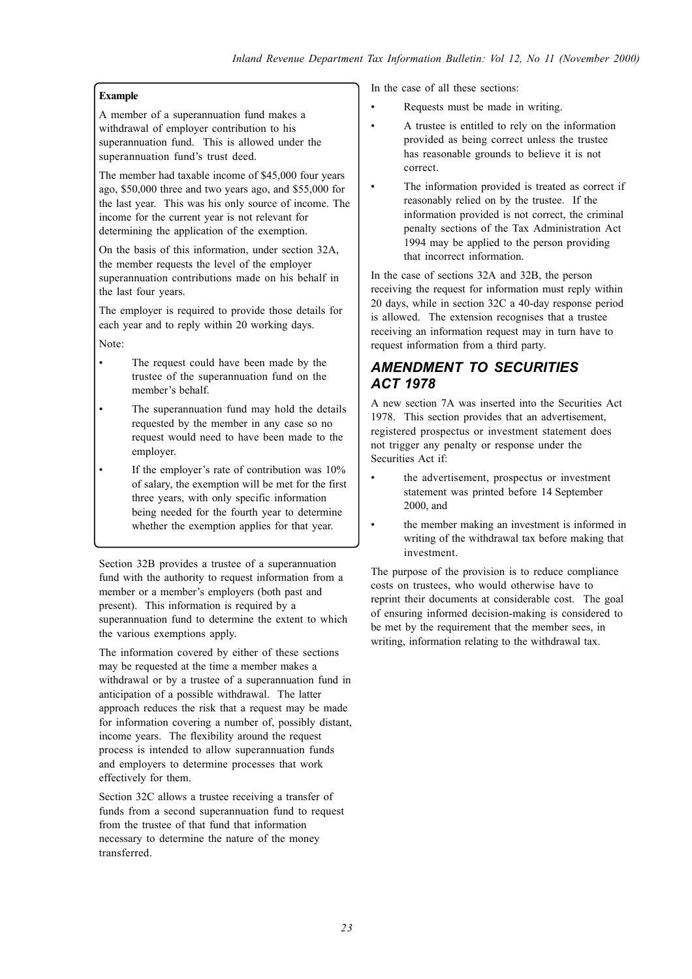#### **Example**

A member of a superannuation fund makes a withdrawal of employer contribution to his superannuation fund. This is allowed under the superannuation fund's trust deed.

The member had taxable income of \$45,000 four years ago, \$50,000 three and two years ago, and \$55,000 for the last year. This was his only source of income. The income for the current year is not relevant for determining the application of the exemption.

On the basis of this information, under section 32A, the member requests the level of the employer superannuation contributions made on his behalf in the last four years.

The employer is required to provide those details for each year and to reply within 20 working days. Note:

- The request could have been made by the trustee of the superannuation fund on the member's behalf.
- The superannuation fund may hold the details requested by the member in any case so no request would need to have been made to the employer.
- If the employer's rate of contribution was  $10\%$ of salary, the exemption will be met for the first three years, with only specific information being needed for the fourth year to determine whether the exemption applies for that year.

Section 32B provides a trustee of a superannuation fund with the authority to request information from a member or a member's employers (both past and present). This information is required by a superannuation fund to determine the extent to which the various exemptions apply.

The information covered by either of these sections may be requested at the time a member makes a withdrawal or by a trustee of a superannuation fund in anticipation of a possible withdrawal. The latter approach reduces the risk that a request may be made for information covering a number of, possibly distant, income years. The flexibility around the request process is intended to allow superannuation funds and employers to determine processes that work effectively for them.

Section 32C allows a trustee receiving a transfer of funds from a second superannuation fund to request from the trustee of that fund that information necessary to determine the nature of the money transferred.

In the case of all these sections:

- Requests must be made in writing.
- A trustee is entitled to rely on the information provided as being correct unless the trustee has reasonable grounds to believe it is not correct.
- The information provided is treated as correct if reasonably relied on by the trustee. If the information provided is not correct, the criminal penalty sections of the Tax Administration Act 1994 may be applied to the person providing that incorrect information.

In the case of sections 32A and 32B, the person receiving the request for information must reply within 20 days, while in section 32C a 40-day response period is allowed. The extension recognises that a trustee receiving an information request may in turn have to request information from a third party.

## *AMENDMENT TO SECURITIES ACT 1978*

A new section 7A was inserted into the Securities Act 1978. This section provides that an advertisement, registered prospectus or investment statement does not trigger any penalty or response under the Securities Act if:

- the advertisement, prospectus or investment statement was printed before 14 September 2000, and
- the member making an investment is informed in writing of the withdrawal tax before making that investment.

The purpose of the provision is to reduce compliance costs on trustees, who would otherwise have to reprint their documents at considerable cost. The goal of ensuring informed decision-making is considered to be met by the requirement that the member sees, in writing, information relating to the withdrawal tax.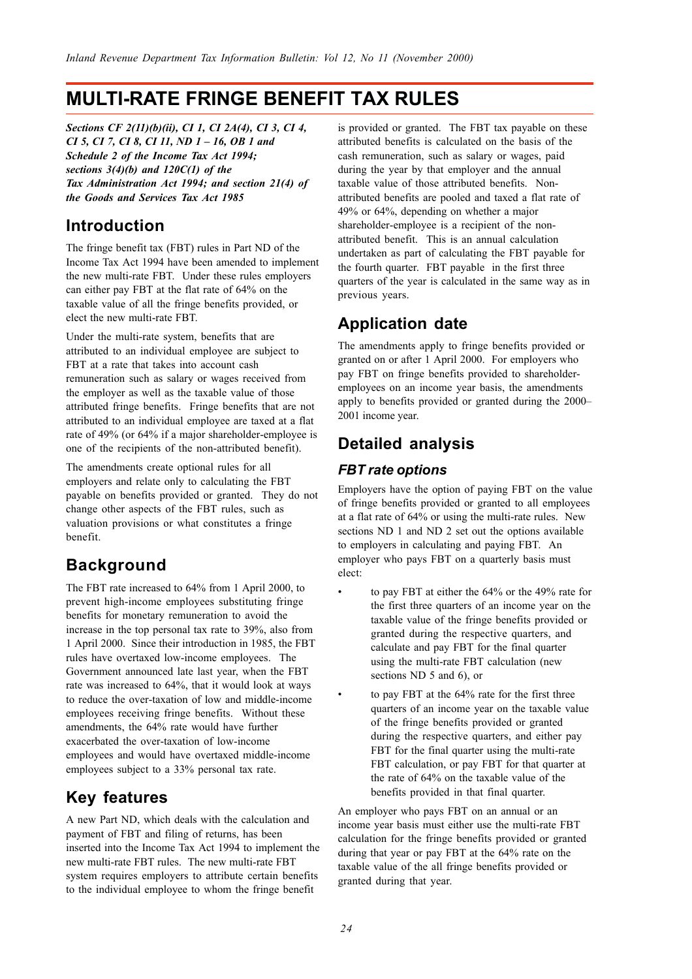# **MULTI-RATE FRINGE BENEFIT TAX RULES**

*Sections CF 2(11)(b)(ii), CI 1, CI 2A(4), CI 3, CI 4, CI 5, CI 7, CI 8, CI 11, ND 1 – 16, OB 1 and Schedule 2 of the Income Tax Act 1994; sections 3(4)(b) and 120C(1) of the Tax Administration Act 1994; and section 21(4) of the Goods and Services Tax Act 1985*

## **Introduction**

The fringe benefit tax (FBT) rules in Part ND of the Income Tax Act 1994 have been amended to implement the new multi-rate FBT. Under these rules employers can either pay FBT at the flat rate of 64% on the taxable value of all the fringe benefits provided, or elect the new multi-rate FBT.

Under the multi-rate system, benefits that are attributed to an individual employee are subject to FBT at a rate that takes into account cash remuneration such as salary or wages received from the employer as well as the taxable value of those attributed fringe benefits. Fringe benefits that are not attributed to an individual employee are taxed at a flat rate of 49% (or 64% if a major shareholder-employee is one of the recipients of the non-attributed benefit).

The amendments create optional rules for all employers and relate only to calculating the FBT payable on benefits provided or granted. They do not change other aspects of the FBT rules, such as valuation provisions or what constitutes a fringe benefit.

# **Background**

The FBT rate increased to 64% from 1 April 2000, to prevent high-income employees substituting fringe benefits for monetary remuneration to avoid the increase in the top personal tax rate to 39%, also from 1 April 2000. Since their introduction in 1985, the FBT rules have overtaxed low-income employees. The Government announced late last year, when the FBT rate was increased to 64%, that it would look at ways to reduce the over-taxation of low and middle-income employees receiving fringe benefits. Without these amendments, the 64% rate would have further exacerbated the over-taxation of low-income employees and would have overtaxed middle-income employees subject to a 33% personal tax rate.

## **Key features**

A new Part ND, which deals with the calculation and payment of FBT and filing of returns, has been inserted into the Income Tax Act 1994 to implement the new multi-rate FBT rules. The new multi-rate FBT system requires employers to attribute certain benefits to the individual employee to whom the fringe benefit

is provided or granted. The FBT tax payable on these attributed benefits is calculated on the basis of the cash remuneration, such as salary or wages, paid during the year by that employer and the annual taxable value of those attributed benefits. Nonattributed benefits are pooled and taxed a flat rate of 49% or 64%, depending on whether a major shareholder-employee is a recipient of the nonattributed benefit. This is an annual calculation undertaken as part of calculating the FBT payable for the fourth quarter. FBT payable in the first three quarters of the year is calculated in the same way as in previous years.

# **Application date**

The amendments apply to fringe benefits provided or granted on or after 1 April 2000. For employers who pay FBT on fringe benefits provided to shareholderemployees on an income year basis, the amendments apply to benefits provided or granted during the 2000– 2001 income year.

# **Detailed analysis**

## *FBT rate options*

Employers have the option of paying FBT on the value of fringe benefits provided or granted to all employees at a flat rate of 64% or using the multi-rate rules. New sections ND 1 and ND 2 set out the options available to employers in calculating and paying FBT. An employer who pays FBT on a quarterly basis must elect:

- to pay FBT at either the 64% or the 49% rate for the first three quarters of an income year on the taxable value of the fringe benefits provided or granted during the respective quarters, and calculate and pay FBT for the final quarter using the multi-rate FBT calculation (new sections ND 5 and 6), or
	- to pay FBT at the 64% rate for the first three quarters of an income year on the taxable value of the fringe benefits provided or granted during the respective quarters, and either pay FBT for the final quarter using the multi-rate FBT calculation, or pay FBT for that quarter at the rate of 64% on the taxable value of the benefits provided in that final quarter.

An employer who pays FBT on an annual or an income year basis must either use the multi-rate FBT calculation for the fringe benefits provided or granted during that year or pay FBT at the 64% rate on the taxable value of the all fringe benefits provided or granted during that year.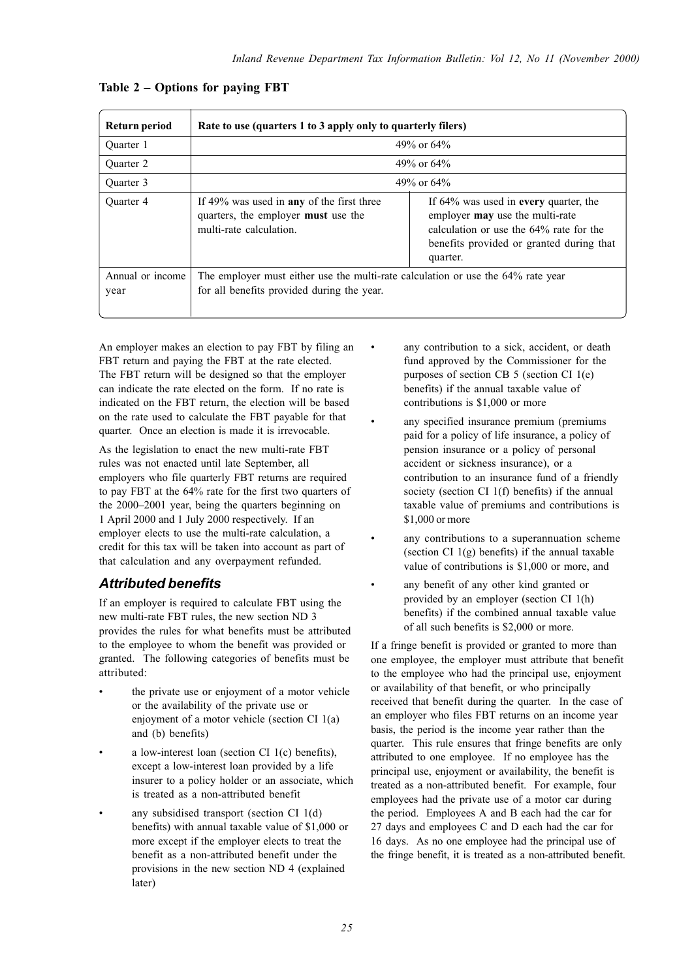| Return period            | Rate to use (quarters 1 to 3 apply only to quarterly filers)                                                                   |                                                                                                                                                                                       |  |  |  |
|--------------------------|--------------------------------------------------------------------------------------------------------------------------------|---------------------------------------------------------------------------------------------------------------------------------------------------------------------------------------|--|--|--|
| Ouarter 1                |                                                                                                                                | 49\% or $64\%$                                                                                                                                                                        |  |  |  |
| Ouarter 2                |                                                                                                                                | 49\% or $64\%$                                                                                                                                                                        |  |  |  |
| Ouarter 3                | 49\% or $64\%$                                                                                                                 |                                                                                                                                                                                       |  |  |  |
| Quarter 4                | If 49% was used in any of the first three<br>quarters, the employer <b>must</b> use the<br>multi-rate calculation.             | If 64% was used in every quarter, the<br>employer <b>may</b> use the multi-rate<br>calculation or use the $64\%$ rate for the<br>benefits provided or granted during that<br>quarter. |  |  |  |
| Annual or income<br>year | The employer must either use the multi-rate calculation or use the 64% rate year<br>for all benefits provided during the year. |                                                                                                                                                                                       |  |  |  |

**Table 2 – Options for paying FBT**

An employer makes an election to pay FBT by filing an FBT return and paying the FBT at the rate elected. The FBT return will be designed so that the employer can indicate the rate elected on the form. If no rate is indicated on the FBT return, the election will be based on the rate used to calculate the FBT payable for that quarter. Once an election is made it is irrevocable.

As the legislation to enact the new multi-rate FBT rules was not enacted until late September, all employers who file quarterly FBT returns are required to pay FBT at the 64% rate for the first two quarters of the 2000–2001 year, being the quarters beginning on 1 April 2000 and 1 July 2000 respectively. If an employer elects to use the multi-rate calculation, a credit for this tax will be taken into account as part of that calculation and any overpayment refunded.

## *Attributed benefits*

If an employer is required to calculate FBT using the new multi-rate FBT rules, the new section ND 3 provides the rules for what benefits must be attributed to the employee to whom the benefit was provided or granted. The following categories of benefits must be attributed:

- the private use or enjoyment of a motor vehicle or the availability of the private use or enjoyment of a motor vehicle (section CI 1(a) and (b) benefits)
- a low-interest loan (section CI  $1(c)$  benefits), except a low-interest loan provided by a life insurer to a policy holder or an associate, which is treated as a non-attributed benefit
- any subsidised transport (section  $CI$   $1(d)$ ) benefits) with annual taxable value of \$1,000 or more except if the employer elects to treat the benefit as a non-attributed benefit under the provisions in the new section ND 4 (explained later)
- any contribution to a sick, accident, or death fund approved by the Commissioner for the purposes of section CB 5 (section CI 1(e) benefits) if the annual taxable value of contributions is \$1,000 or more
- any specified insurance premium (premiums paid for a policy of life insurance, a policy of pension insurance or a policy of personal accident or sickness insurance), or a contribution to an insurance fund of a friendly society (section CI 1(f) benefits) if the annual taxable value of premiums and contributions is \$1,000 or more
- any contributions to a superannuation scheme (section CI 1(g) benefits) if the annual taxable value of contributions is \$1,000 or more, and
- any benefit of any other kind granted or provided by an employer (section CI 1(h) benefits) if the combined annual taxable value of all such benefits is \$2,000 or more.

If a fringe benefit is provided or granted to more than one employee, the employer must attribute that benefit to the employee who had the principal use, enjoyment or availability of that benefit, or who principally received that benefit during the quarter. In the case of an employer who files FBT returns on an income year basis, the period is the income year rather than the quarter. This rule ensures that fringe benefits are only attributed to one employee. If no employee has the principal use, enjoyment or availability, the benefit is treated as a non-attributed benefit. For example, four employees had the private use of a motor car during the period. Employees A and B each had the car for 27 days and employees C and D each had the car for 16 days. As no one employee had the principal use of the fringe benefit, it is treated as a non-attributed benefit.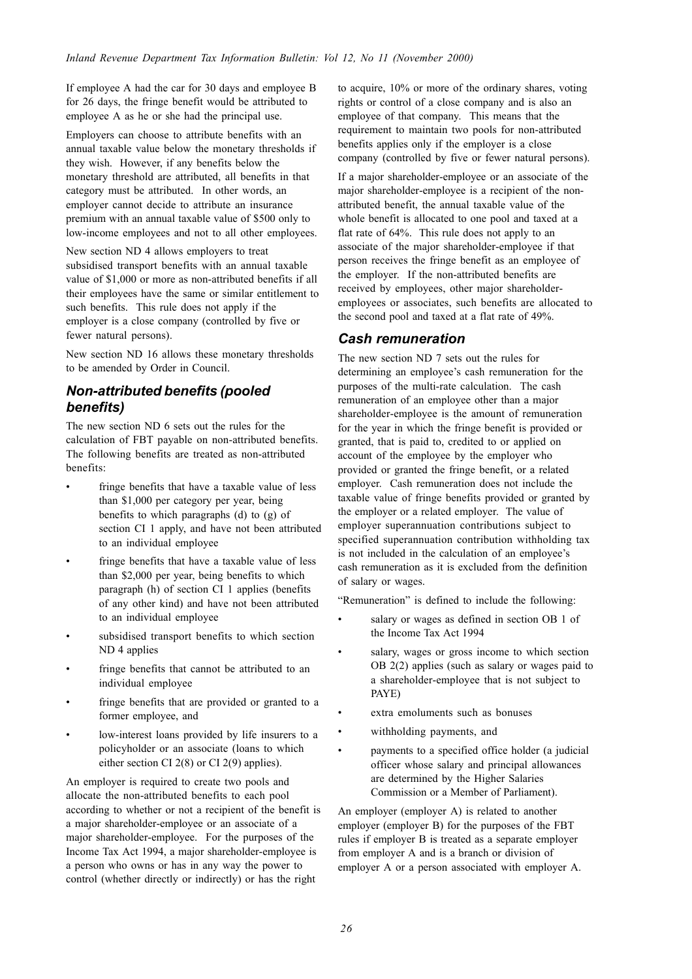If employee A had the car for 30 days and employee B for 26 days, the fringe benefit would be attributed to employee A as he or she had the principal use.

Employers can choose to attribute benefits with an annual taxable value below the monetary thresholds if they wish. However, if any benefits below the monetary threshold are attributed, all benefits in that category must be attributed. In other words, an employer cannot decide to attribute an insurance premium with an annual taxable value of \$500 only to low-income employees and not to all other employees.

New section ND 4 allows employers to treat subsidised transport benefits with an annual taxable value of \$1,000 or more as non-attributed benefits if all their employees have the same or similar entitlement to such benefits. This rule does not apply if the employer is a close company (controlled by five or fewer natural persons).

New section ND 16 allows these monetary thresholds to be amended by Order in Council.

## *Non-attributed benefits (pooled benefits)*

The new section ND 6 sets out the rules for the calculation of FBT payable on non-attributed benefits. The following benefits are treated as non-attributed benefits:

- fringe benefits that have a taxable value of less than \$1,000 per category per year, being benefits to which paragraphs (d) to (g) of section CI 1 apply, and have not been attributed to an individual employee
- fringe benefits that have a taxable value of less than \$2,000 per year, being benefits to which paragraph (h) of section CI 1 applies (benefits of any other kind) and have not been attributed to an individual employee
- subsidised transport benefits to which section ND 4 applies
- fringe benefits that cannot be attributed to an individual employee
- fringe benefits that are provided or granted to a former employee, and
- low-interest loans provided by life insurers to a policyholder or an associate (loans to which either section CI 2(8) or CI 2(9) applies).

An employer is required to create two pools and allocate the non-attributed benefits to each pool according to whether or not a recipient of the benefit is a major shareholder-employee or an associate of a major shareholder-employee. For the purposes of the Income Tax Act 1994, a major shareholder-employee is a person who owns or has in any way the power to control (whether directly or indirectly) or has the right

to acquire, 10% or more of the ordinary shares, voting rights or control of a close company and is also an employee of that company. This means that the requirement to maintain two pools for non-attributed benefits applies only if the employer is a close company (controlled by five or fewer natural persons).

If a major shareholder-employee or an associate of the major shareholder-employee is a recipient of the nonattributed benefit, the annual taxable value of the whole benefit is allocated to one pool and taxed at a flat rate of 64%. This rule does not apply to an associate of the major shareholder-employee if that person receives the fringe benefit as an employee of the employer. If the non-attributed benefits are received by employees, other major shareholderemployees or associates, such benefits are allocated to the second pool and taxed at a flat rate of 49%.

## *Cash remuneration*

The new section ND 7 sets out the rules for determining an employee's cash remuneration for the purposes of the multi-rate calculation. The cash remuneration of an employee other than a major shareholder-employee is the amount of remuneration for the year in which the fringe benefit is provided or granted, that is paid to, credited to or applied on account of the employee by the employer who provided or granted the fringe benefit, or a related employer. Cash remuneration does not include the taxable value of fringe benefits provided or granted by the employer or a related employer. The value of employer superannuation contributions subject to specified superannuation contribution withholding tax is not included in the calculation of an employee's cash remuneration as it is excluded from the definition of salary or wages.

"Remuneration" is defined to include the following:

- salary or wages as defined in section OB 1 of the Income Tax Act 1994
- salary, wages or gross income to which section OB 2(2) applies (such as salary or wages paid to a shareholder-employee that is not subject to PAYE)
- extra emoluments such as bonuses
- withholding payments, and
- payments to a specified office holder (a judicial officer whose salary and principal allowances are determined by the Higher Salaries Commission or a Member of Parliament).

An employer (employer A) is related to another employer (employer B) for the purposes of the FBT rules if employer B is treated as a separate employer from employer A and is a branch or division of employer A or a person associated with employer A.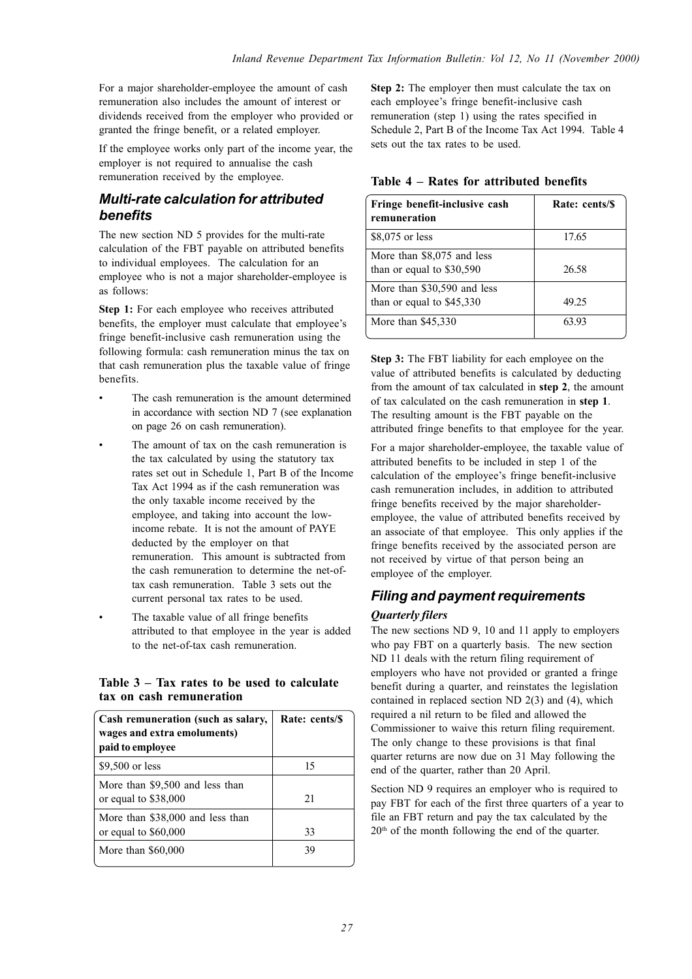For a major shareholder-employee the amount of cash remuneration also includes the amount of interest or dividends received from the employer who provided or granted the fringe benefit, or a related employer.

If the employee works only part of the income year, the employer is not required to annualise the cash remuneration received by the employee.

## *Multi-rate calculation for attributed benefits*

The new section ND 5 provides for the multi-rate calculation of the FBT payable on attributed benefits to individual employees. The calculation for an employee who is not a major shareholder-employee is as follows:

**Step 1:** For each employee who receives attributed benefits, the employer must calculate that employee's fringe benefit-inclusive cash remuneration using the following formula: cash remuneration minus the tax on that cash remuneration plus the taxable value of fringe benefits.

- The cash remuneration is the amount determined in accordance with section ND 7 (see explanation on page 26 on cash remuneration).
- The amount of tax on the cash remuneration is the tax calculated by using the statutory tax rates set out in Schedule 1, Part B of the Income Tax Act 1994 as if the cash remuneration was the only taxable income received by the employee, and taking into account the lowincome rebate. It is not the amount of PAYE deducted by the employer on that remuneration. This amount is subtracted from the cash remuneration to determine the net-oftax cash remuneration. Table 3 sets out the current personal tax rates to be used.
- The taxable value of all fringe benefits attributed to that employee in the year is added to the net-of-tax cash remuneration.

**Table 3 – Tax rates to be used to calculate tax on cash remuneration**

| Cash remuneration (such as salary,<br>wages and extra emoluments)<br>paid to employee | Rate: cents/S |
|---------------------------------------------------------------------------------------|---------------|
| \$9,500 or less                                                                       | 15            |
| More than \$9,500 and less than<br>or equal to \$38,000                               | 21            |
| More than \$38,000 and less than<br>or equal to $$60,000$                             | 33            |
| More than \$60,000                                                                    | 39            |

**Step 2:** The employer then must calculate the tax on each employee's fringe benefit-inclusive cash remuneration (step 1) using the rates specified in Schedule 2, Part B of the Income Tax Act 1994. Table 4 sets out the tax rates to be used.

| Fringe benefit-inclusive cash<br>remuneration             | Rate: cents/\$ |
|-----------------------------------------------------------|----------------|
| \$8,075 or less                                           | 17.65          |
| More than \$8,075 and less<br>than or equal to $$30,590$  | 26.58          |
| More than \$30,590 and less<br>than or equal to $$45,330$ | 49 25          |

#### **Table 4 – Rates for attributed benefits**

More than \$45,330 63.93

**Step 3:** The FBT liability for each employee on the value of attributed benefits is calculated by deducting from the amount of tax calculated in **step 2**, the amount of tax calculated on the cash remuneration in **step 1**. The resulting amount is the FBT payable on the attributed fringe benefits to that employee for the year.

For a major shareholder-employee, the taxable value of attributed benefits to be included in step 1 of the calculation of the employee's fringe benefit-inclusive cash remuneration includes, in addition to attributed fringe benefits received by the major shareholderemployee, the value of attributed benefits received by an associate of that employee. This only applies if the fringe benefits received by the associated person are not received by virtue of that person being an employee of the employer.

# *Filing and payment requirements*

## *Quarterly filers*

The new sections ND 9, 10 and 11 apply to employers who pay FBT on a quarterly basis. The new section ND 11 deals with the return filing requirement of employers who have not provided or granted a fringe benefit during a quarter, and reinstates the legislation contained in replaced section ND 2(3) and (4), which required a nil return to be filed and allowed the Commissioner to waive this return filing requirement. The only change to these provisions is that final quarter returns are now due on 31 May following the end of the quarter, rather than 20 April.

Section ND 9 requires an employer who is required to pay FBT for each of the first three quarters of a year to file an FBT return and pay the tax calculated by the 20th of the month following the end of the quarter.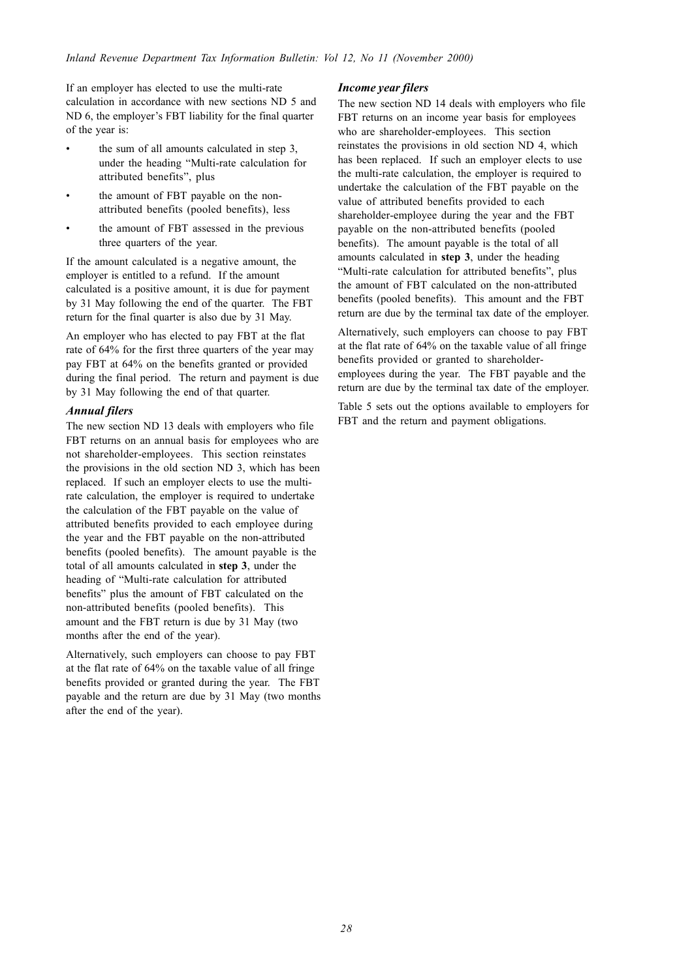If an employer has elected to use the multi-rate calculation in accordance with new sections ND 5 and ND 6, the employer's FBT liability for the final quarter of the year is:

- the sum of all amounts calculated in step 3, under the heading "Multi-rate calculation for attributed benefits", plus
- the amount of FBT payable on the nonattributed benefits (pooled benefits), less
- the amount of FBT assessed in the previous three quarters of the year.

If the amount calculated is a negative amount, the employer is entitled to a refund. If the amount calculated is a positive amount, it is due for payment by 31 May following the end of the quarter. The FBT return for the final quarter is also due by 31 May.

An employer who has elected to pay FBT at the flat rate of 64% for the first three quarters of the year may pay FBT at 64% on the benefits granted or provided during the final period. The return and payment is due by 31 May following the end of that quarter.

#### *Annual filers*

The new section ND 13 deals with employers who file FBT returns on an annual basis for employees who are not shareholder-employees. This section reinstates the provisions in the old section ND 3, which has been replaced. If such an employer elects to use the multirate calculation, the employer is required to undertake the calculation of the FBT payable on the value of attributed benefits provided to each employee during the year and the FBT payable on the non-attributed benefits (pooled benefits). The amount payable is the total of all amounts calculated in **step 3**, under the heading of "Multi-rate calculation for attributed benefits" plus the amount of FBT calculated on the non-attributed benefits (pooled benefits). This amount and the FBT return is due by 31 May (two months after the end of the year).

Alternatively, such employers can choose to pay FBT at the flat rate of 64% on the taxable value of all fringe benefits provided or granted during the year. The FBT payable and the return are due by 31 May (two months after the end of the year).

#### *Income year filers*

The new section ND 14 deals with employers who file FBT returns on an income year basis for employees who are shareholder-employees. This section reinstates the provisions in old section ND 4, which has been replaced. If such an employer elects to use the multi-rate calculation, the employer is required to undertake the calculation of the FBT payable on the value of attributed benefits provided to each shareholder-employee during the year and the FBT payable on the non-attributed benefits (pooled benefits). The amount payable is the total of all amounts calculated in **step 3**, under the heading "Multi-rate calculation for attributed benefits", plus the amount of FBT calculated on the non-attributed benefits (pooled benefits). This amount and the FBT return are due by the terminal tax date of the employer.

Alternatively, such employers can choose to pay FBT at the flat rate of 64% on the taxable value of all fringe benefits provided or granted to shareholderemployees during the year. The FBT payable and the return are due by the terminal tax date of the employer.

Table 5 sets out the options available to employers for FBT and the return and payment obligations.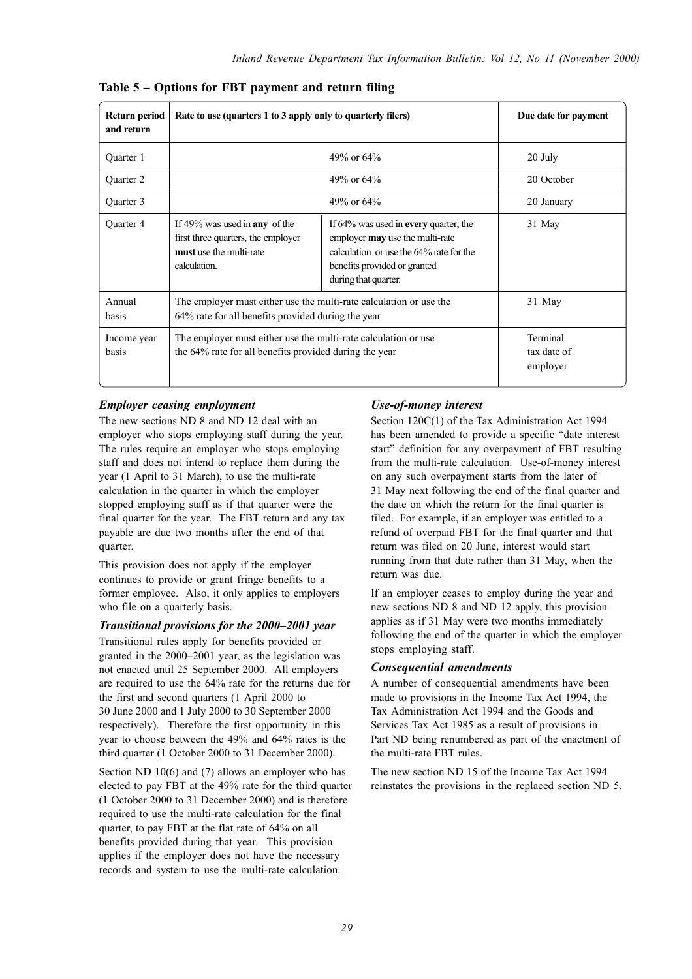| Return period<br>and return | Rate to use (quarters 1 to 3 apply only to quarterly filers)                                                             | Due date for payment                                                                                                                                                               |                                     |
|-----------------------------|--------------------------------------------------------------------------------------------------------------------------|------------------------------------------------------------------------------------------------------------------------------------------------------------------------------------|-------------------------------------|
| Quarter 1                   |                                                                                                                          | 20 July                                                                                                                                                                            |                                     |
| Quarter 2                   |                                                                                                                          | 49% or $64%$                                                                                                                                                                       | 20 October                          |
| Quarter 3                   |                                                                                                                          | 20 January                                                                                                                                                                         |                                     |
| Quarter 4                   | If 49% was used in any of the<br>first three quarters, the employer<br>must use the multi-rate<br>calculation.           | If 64% was used in every quarter, the<br>employer <b>may</b> use the multi-rate<br>calculation or use the 64% rate for the<br>benefits provided or granted<br>during that quarter. | 31 May                              |
| Annual<br>basis             | The employer must either use the multi-rate calculation or use the<br>64% rate for all benefits provided during the year | 31 May                                                                                                                                                                             |                                     |
| Income year<br>basis        | The employer must either use the multi-rate calculation or use<br>the 64% rate for all benefits provided during the year |                                                                                                                                                                                    | Terminal<br>tax date of<br>employer |

**Table 5 – Options for FBT payment and return filing**

## *Employer ceasing employment*

The new sections ND 8 and ND 12 deal with an employer who stops employing staff during the year. The rules require an employer who stops employing staff and does not intend to replace them during the year (1 April to 31 March), to use the multi-rate calculation in the quarter in which the employer stopped employing staff as if that quarter were the final quarter for the year. The FBT return and any tax payable are due two months after the end of that quarter.

This provision does not apply if the employer continues to provide or grant fringe benefits to a former employee. Also, it only applies to employers who file on a quarterly basis.

## *Transitional provisions for the 2000–2001 year*

Transitional rules apply for benefits provided or granted in the 2000–2001 year, as the legislation was not enacted until 25 September 2000. All employers are required to use the 64% rate for the returns due for the first and second quarters (1 April 2000 to 30 June 2000 and 1 July 2000 to 30 September 2000 respectively). Therefore the first opportunity in this year to choose between the 49% and 64% rates is the third quarter (1 October 2000 to 31 December 2000).

Section ND 10(6) and (7) allows an employer who has elected to pay FBT at the 49% rate for the third quarter (1 October 2000 to 31 December 2000) and is therefore required to use the multi-rate calculation for the final quarter, to pay FBT at the flat rate of 64% on all benefits provided during that year. This provision applies if the employer does not have the necessary records and system to use the multi-rate calculation.

## *Use-of-money interest*

Section 120C(1) of the Tax Administration Act 1994 has been amended to provide a specific "date interest start" definition for any overpayment of FBT resulting from the multi-rate calculation. Use-of-money interest on any such overpayment starts from the later of 31 May next following the end of the final quarter and the date on which the return for the final quarter is filed. For example, if an employer was entitled to a refund of overpaid FBT for the final quarter and that return was filed on 20 June, interest would start running from that date rather than 31 May, when the return was due.

If an employer ceases to employ during the year and new sections ND 8 and ND 12 apply, this provision applies as if 31 May were two months immediately following the end of the quarter in which the employer stops employing staff.

## *Consequential amendments*

A number of consequential amendments have been made to provisions in the Income Tax Act 1994, the Tax Administration Act 1994 and the Goods and Services Tax Act 1985 as a result of provisions in Part ND being renumbered as part of the enactment of the multi-rate FBT rules.

The new section ND 15 of the Income Tax Act 1994 reinstates the provisions in the replaced section ND 5.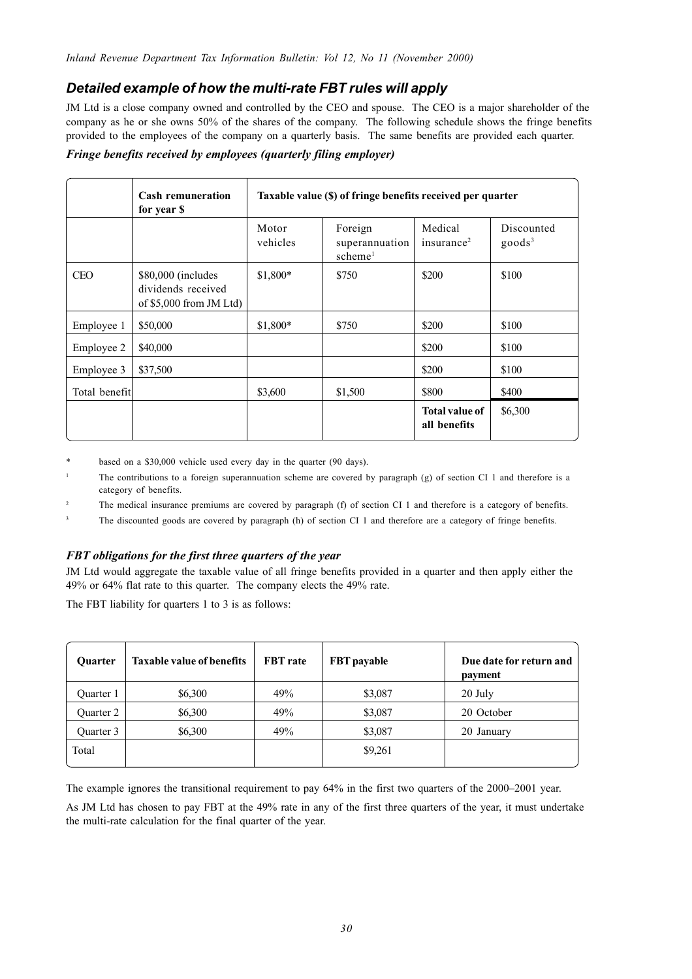## *Detailed example of how the multi-rate FBT rules will apply*

JM Ltd is a close company owned and controlled by the CEO and spouse. The CEO is a major shareholder of the company as he or she owns 50% of the shares of the company. The following schedule shows the fringe benefits provided to the employees of the company on a quarterly basis. The same benefits are provided each quarter.

## *Fringe benefits received by employees (quarterly filing employer)*

|               | <b>Cash remuneration</b><br>for year \$                              | Taxable value (\$) of fringe benefits received per quarter |                                                  |                                       |                                  |  |
|---------------|----------------------------------------------------------------------|------------------------------------------------------------|--------------------------------------------------|---------------------------------------|----------------------------------|--|
|               |                                                                      | Motor<br>vehicles                                          | Foreign<br>superannuation<br>scheme <sup>1</sup> | Medical<br>$in$ surance <sup>2</sup>  | Discounted<br>goods <sup>3</sup> |  |
| <b>CEO</b>    | \$80,000 (includes<br>dividends received<br>of $$5,000$ from JM Ltd) | \$1,800*                                                   | \$750                                            | \$200                                 | \$100                            |  |
| Employee 1    | \$50,000                                                             | \$1,800*                                                   | \$750                                            | \$200                                 | \$100                            |  |
| Employee 2    | \$40,000                                                             |                                                            |                                                  | \$200                                 | \$100                            |  |
| Employee 3    | \$37,500                                                             |                                                            |                                                  | \$200                                 | \$100                            |  |
| Total benefit |                                                                      | \$3,600                                                    | \$1,500                                          | \$800                                 | \$400                            |  |
|               |                                                                      |                                                            |                                                  | <b>Total value of</b><br>all benefits | \$6,300                          |  |

\* based on a \$30,000 vehicle used every day in the quarter (90 days).

- The contributions to a foreign superannuation scheme are covered by paragraph  $(g)$  of section CI 1 and therefore is a category of benefits.
- <sup>2</sup> The medical insurance premiums are covered by paragraph (f) of section CI 1 and therefore is a category of benefits.
- <sup>3</sup> The discounted goods are covered by paragraph (h) of section CI 1 and therefore are a category of fringe benefits.

#### *FBT obligations for the first three quarters of the year*

JM Ltd would aggregate the taxable value of all fringe benefits provided in a quarter and then apply either the 49% or 64% flat rate to this quarter. The company elects the 49% rate.

The FBT liability for quarters 1 to 3 is as follows:

| <b>Ouarter</b> | <b>Taxable value of benefits</b> | <b>FBT</b> rate | <b>FBT</b> payable | Due date for return and<br>payment |
|----------------|----------------------------------|-----------------|--------------------|------------------------------------|
| Ouarter 1      | \$6,300                          | 49%             | \$3,087            | 20 July                            |
| Ouarter 2      | \$6,300                          | 49%             | \$3,087            | 20 October                         |
| Ouarter 3      | \$6,300                          | 49%             | \$3,087            | 20 January                         |
| Total          |                                  |                 | \$9,261            |                                    |

The example ignores the transitional requirement to pay 64% in the first two quarters of the 2000–2001 year.

As JM Ltd has chosen to pay FBT at the 49% rate in any of the first three quarters of the year, it must undertake the multi-rate calculation for the final quarter of the year.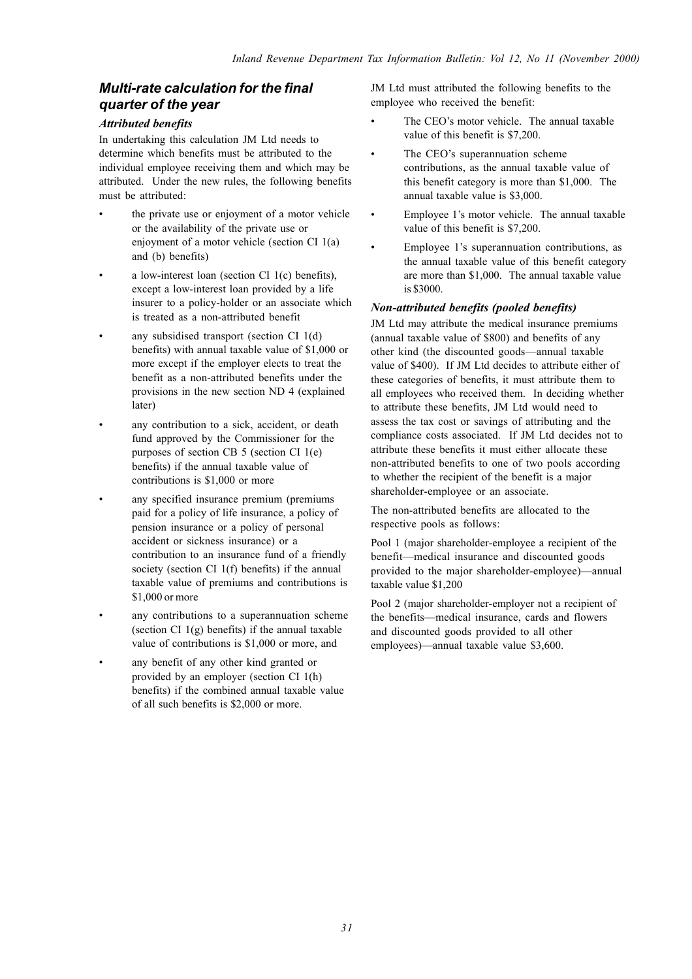## *Multi-rate calculation for the final quarter of the year*

## *Attributed benefits*

In undertaking this calculation JM Ltd needs to determine which benefits must be attributed to the individual employee receiving them and which may be attributed. Under the new rules, the following benefits must be attributed:

- the private use or enjoyment of a motor vehicle or the availability of the private use or enjoyment of a motor vehicle (section CI 1(a) and (b) benefits)
- a low-interest loan (section CI  $1(c)$  benefits), except a low-interest loan provided by a life insurer to a policy-holder or an associate which is treated as a non-attributed benefit
- any subsidised transport (section CI  $1(d)$ benefits) with annual taxable value of \$1,000 or more except if the employer elects to treat the benefit as a non-attributed benefits under the provisions in the new section ND 4 (explained later)
- any contribution to a sick, accident, or death fund approved by the Commissioner for the purposes of section CB 5 (section CI 1(e) benefits) if the annual taxable value of contributions is \$1,000 or more
- any specified insurance premium (premiums paid for a policy of life insurance, a policy of pension insurance or a policy of personal accident or sickness insurance) or a contribution to an insurance fund of a friendly society (section CI 1(f) benefits) if the annual taxable value of premiums and contributions is \$1,000 or more
- any contributions to a superannuation scheme (section CI  $1(g)$  benefits) if the annual taxable value of contributions is \$1,000 or more, and
- any benefit of any other kind granted or provided by an employer (section CI 1(h) benefits) if the combined annual taxable value of all such benefits is \$2,000 or more.

JM Ltd must attributed the following benefits to the employee who received the benefit:

- The CEO's motor vehicle. The annual taxable value of this benefit is \$7,200.
- The CEO's superannuation scheme contributions, as the annual taxable value of this benefit category is more than \$1,000. The annual taxable value is \$3,000.
- Employee 1's motor vehicle. The annual taxable value of this benefit is \$7,200.
- Employee 1's superannuation contributions, as the annual taxable value of this benefit category are more than \$1,000. The annual taxable value is \$3000.

## *Non-attributed benefits (pooled benefits)*

JM Ltd may attribute the medical insurance premiums (annual taxable value of \$800) and benefits of any other kind (the discounted goods—annual taxable value of \$400). If JM Ltd decides to attribute either of these categories of benefits, it must attribute them to all employees who received them. In deciding whether to attribute these benefits, JM Ltd would need to assess the tax cost or savings of attributing and the compliance costs associated. If JM Ltd decides not to attribute these benefits it must either allocate these non-attributed benefits to one of two pools according to whether the recipient of the benefit is a major shareholder-employee or an associate.

The non-attributed benefits are allocated to the respective pools as follows:

Pool 1 (major shareholder-employee a recipient of the benefit—medical insurance and discounted goods provided to the major shareholder-employee)—annual taxable value \$1,200

Pool 2 (major shareholder-employer not a recipient of the benefits—medical insurance, cards and flowers and discounted goods provided to all other employees)—annual taxable value \$3,600.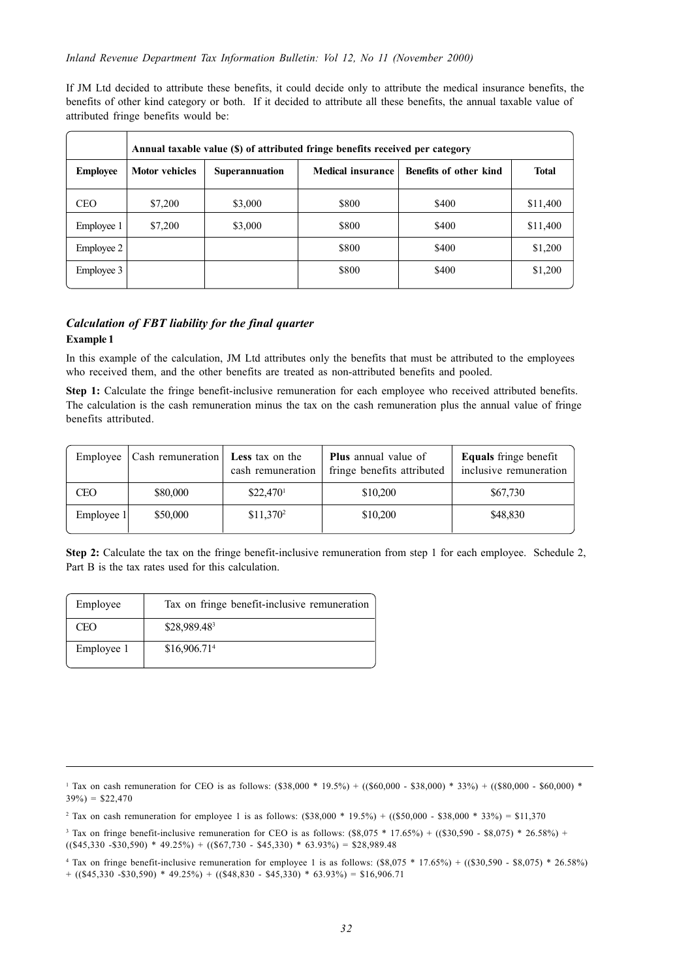#### *Inland Revenue Department Tax Information Bulletin: Vol 12, No 11 (November 2000)*

If JM Ltd decided to attribute these benefits, it could decide only to attribute the medical insurance benefits, the benefits of other kind category or both. If it decided to attribute all these benefits, the annual taxable value of attributed fringe benefits would be:

|                 | Annual taxable value (\$) of attributed fringe benefits received per category |                       |                          |                               |              |  |
|-----------------|-------------------------------------------------------------------------------|-----------------------|--------------------------|-------------------------------|--------------|--|
| <b>Employee</b> | <b>Motor vehicles</b>                                                         | <b>Superannuation</b> | <b>Medical insurance</b> | <b>Benefits of other kind</b> | <b>Total</b> |  |
| <b>CEO</b>      | \$7,200                                                                       | \$3,000               | \$800                    | \$400                         | \$11,400     |  |
| Employee 1      | \$7,200                                                                       | \$3,000               | \$800                    | \$400                         | \$11,400     |  |
| Employee 2      |                                                                               |                       | \$800                    | \$400                         | \$1,200      |  |
| Employee 3      |                                                                               |                       | \$800                    | \$400                         | \$1,200      |  |

#### *Calculation of FBT liability for the final quarter*

#### **Example 1**

In this example of the calculation, JM Ltd attributes only the benefits that must be attributed to the employees who received them, and the other benefits are treated as non-attributed benefits and pooled.

**Step 1:** Calculate the fringe benefit-inclusive remuneration for each employee who received attributed benefits. The calculation is the cash remuneration minus the tax on the cash remuneration plus the annual value of fringe benefits attributed.

| Employee   | Cash remuneration | Less tax on the<br>cash remuneration | <b>Plus</b> annual value of<br>fringe benefits attributed | <b>Equals</b> fringe benefit<br>inclusive remuneration |
|------------|-------------------|--------------------------------------|-----------------------------------------------------------|--------------------------------------------------------|
| CEO        | \$80,000          | \$22,470 <sup>1</sup>                | \$10,200                                                  | \$67,730                                               |
| Employee 1 | \$50,000          | $$11,370^2$                          | \$10,200                                                  | \$48,830                                               |

**Step 2:** Calculate the tax on the fringe benefit-inclusive remuneration from step 1 for each employee. Schedule 2, Part B is the tax rates used for this calculation.

| Employee   | Tax on fringe benefit-inclusive remuneration |
|------------|----------------------------------------------|
| CEO        | \$28,989.483                                 |
| Employee 1 | \$16,906.71 <sup>4</sup>                     |

4 Tax on fringe benefit-inclusive remuneration for employee 1 is as follows: (\$8,075 \* 17.65%) + ((\$30,590 - \$8,075) \* 26.58%)  $+ ((\$45,330 - \$30,590) * 49.25%) + ((\$48,830 - \$45,330) * 63.93%) = \$16,906.71$ 

<sup>&</sup>lt;sup>1</sup> Tax on cash remuneration for CEO is as follows:  $(\$38,000 * 19.5%) + ((\$60,000 - \$38,000) * 33%) + ((\$80,000 - \$60,000) *$  $39\% = $22,470$ 

<sup>&</sup>lt;sup>2</sup> Tax on cash remuneration for employee 1 is as follows:  $(\$38,000 * 19.5%) + ((\$50,000 - \$38,000 * 33%) = \$11,370$ 

<sup>&</sup>lt;sup>3</sup> Tax on fringe benefit-inclusive remuneration for CEO is as follows:  $(\$8,075 * 17.65%) + ((\$30,590 - \$8,075) * 26.58%) +$  $((\$45,330 \cdot \$30,590) * 49.25\%) + ((\$67,730 \cdot \$45,330) * 63.93\%) = \$28,989.48$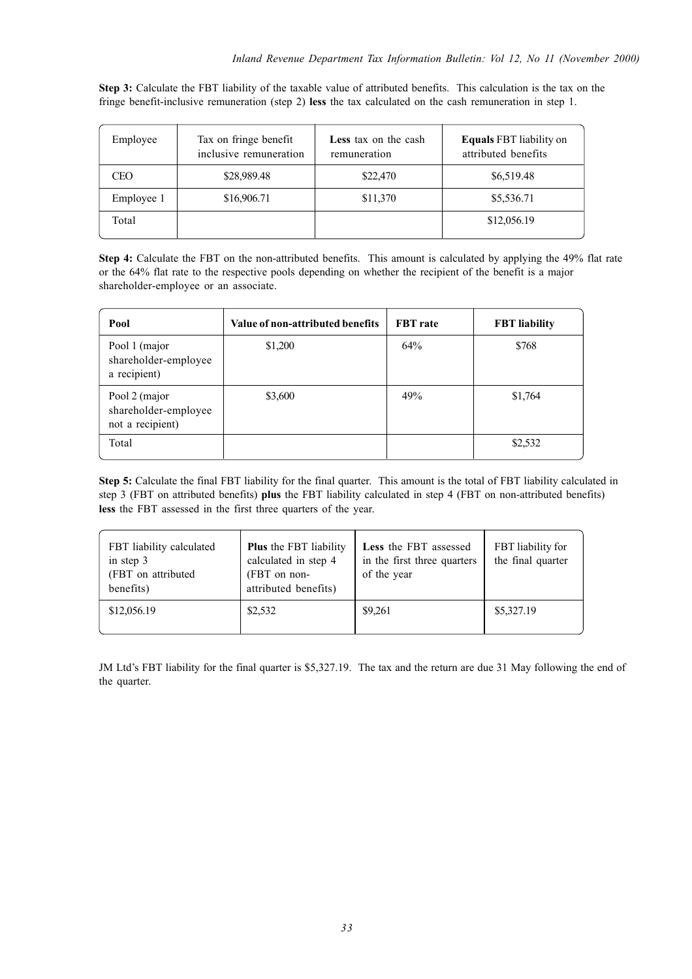| Employee   | Tax on fringe benefit<br>inclusive remuneration | Less tax on the cash<br>remuneration | Equals FBT liability on<br>attributed benefits |
|------------|-------------------------------------------------|--------------------------------------|------------------------------------------------|
| CEO        | \$28,989.48                                     | \$22,470                             | \$6,519.48                                     |
| Employee 1 | \$16,906.71                                     | \$11,370                             | \$5,536.71                                     |
| Total      |                                                 |                                      | \$12,056.19                                    |

**Step 3:** Calculate the FBT liability of the taxable value of attributed benefits. This calculation is the tax on the fringe benefit-inclusive remuneration (step 2) **less** the tax calculated on the cash remuneration in step 1.

**Step 4:** Calculate the FBT on the non-attributed benefits. This amount is calculated by applying the 49% flat rate or the 64% flat rate to the respective pools depending on whether the recipient of the benefit is a major shareholder-employee or an associate.

| Value of non-attributed benefits | <b>FBT</b> rate | <b>FBT</b> liability |
|----------------------------------|-----------------|----------------------|
| \$1,200                          | 64%             | \$768                |
| \$3,600                          | 49%             | \$1,764              |
|                                  |                 | \$2,532              |
|                                  |                 |                      |

**Step 5:** Calculate the final FBT liability for the final quarter. This amount is the total of FBT liability calculated in step 3 (FBT on attributed benefits) **plus** the FBT liability calculated in step 4 (FBT on non-attributed benefits) **less** the FBT assessed in the first three quarters of the year.

| FBT liability calculated<br>in step 3<br>(FBT on attributed<br>benefits) | <b>Plus</b> the FBT liability<br>calculated in step 4<br>(FBT on non-<br>attributed benefits) | Less the FBT assessed<br>in the first three quarters<br>of the year | FBT liability for<br>the final quarter |
|--------------------------------------------------------------------------|-----------------------------------------------------------------------------------------------|---------------------------------------------------------------------|----------------------------------------|
| \$12,056.19                                                              | \$2,532                                                                                       | \$9,261                                                             | \$5,327.19                             |

JM Ltd's FBT liability for the final quarter is \$5,327.19. The tax and the return are due 31 May following the end of the quarter.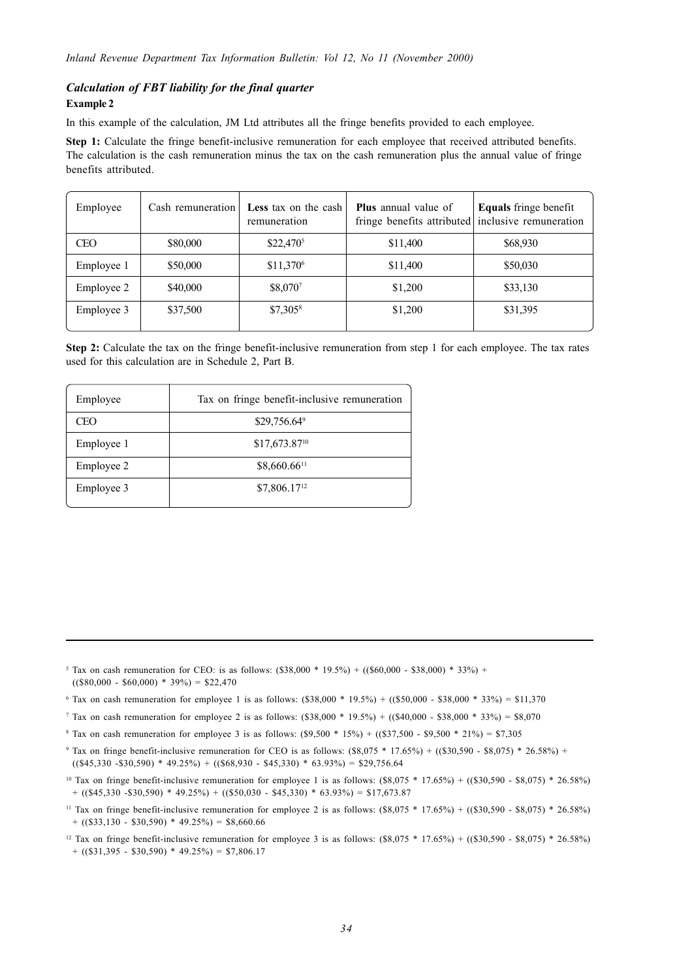## *Calculation of FBT liability for the final quarter* **Example 2**

In this example of the calculation, JM Ltd attributes all the fringe benefits provided to each employee.

**Step 1:** Calculate the fringe benefit-inclusive remuneration for each employee that received attributed benefits. The calculation is the cash remuneration minus the tax on the cash remuneration plus the annual value of fringe benefits attributed.

| Employee   | Cash remuneration | Less tax on the cash<br>remuneration | <b>Plus</b> annual value of<br>fringe benefits attributed | Equals fringe benefit<br>inclusive remuneration |
|------------|-------------------|--------------------------------------|-----------------------------------------------------------|-------------------------------------------------|
| CEO        | \$80,000          | $$22,470^5$                          | \$11,400                                                  | \$68,930                                        |
| Employee 1 | \$50,000          | \$11,370 <sup>6</sup>                | \$11,400                                                  | \$50,030                                        |
| Employee 2 | \$40,000          | $$8,070^7$                           | \$1,200                                                   | \$33,130                                        |
| Employee 3 | \$37,500          | \$7,3058                             | \$1,200                                                   | \$31,395                                        |

**Step 2:** Calculate the tax on the fringe benefit-inclusive remuneration from step 1 for each employee. The tax rates used for this calculation are in Schedule 2, Part B.

| Employee   | Tax on fringe benefit-inclusive remuneration |
|------------|----------------------------------------------|
| CEO        | \$29,756.649                                 |
| Employee 1 | \$17,673.8710                                |
| Employee 2 | \$8,660.6611                                 |
| Employee 3 | $$7,806.17^{12}$                             |

- <sup>6</sup> Tax on cash remuneration for employee 1 is as follows:  $(\$38,000 * 19.5%) + ((\$50,000 \$38,000 * 33%) = \$11,370$
- <sup>7</sup> Tax on cash remuneration for employee 2 is as follows:  $(\$38,000 * 19.5%) + ((\$40,000 \$38,000 * 33%) = \$8,070$
- <sup>8</sup> Tax on cash remuneration for employee 3 is as follows:  $(\text{\$9,500} \cdot \text{15\%}) + ((\text{\$37,500} \cdot \text{$9,500} \cdot \text{$21\%}) = \text{\$7,305}$
- <sup>9</sup> Tax on fringe benefit-inclusive remuneration for CEO is as follows:  $(\$8,075 * 17.65%) + ((\$30,590 \$8,075) * 26.58%) +$  $((\$45,330 - \$30,590) * 49.25%) + ((\$68,930 - \$45,330) * 63.93%) = \$29,756.64$
- <sup>10</sup> Tax on fringe benefit-inclusive remuneration for employee 1 is as follows:  $(\$8,075 * 17.65%) + ((\$30,590 \$8,075) * 26.58%)$ +  $((\$45,330 - \$30,590) * 49.25\%) + ((\$50,030 - \$45,330) * 63.93\%) = \$17,673.87$
- <sup>11</sup> Tax on fringe benefit-inclusive remuneration for employee 2 is as follows:  $(\$8,075 * 17.65%) + ((\$30,590 \$8,075) * 26.58%)$  $+ ((\$33,130 - \$30,590) * 49.25\%) = \$8,660.66$
- <sup>12</sup> Tax on fringe benefit-inclusive remuneration for employee 3 is as follows:  $(\$8,075 * 17.65%) + ((\$30,590 \$8,075) * 26.58%)$  $+ ((\$31.395 - \$30.590) * 49.25\%) = \$7.806.17$

 $5$  Tax on cash remuneration for CEO: is as follows:  $(\$38,000 * 19.5%) + ((\$60,000 - \$38,000) * 33%) +$  $((\$80,000 - \$60,000) * 39\%) = \$22,470$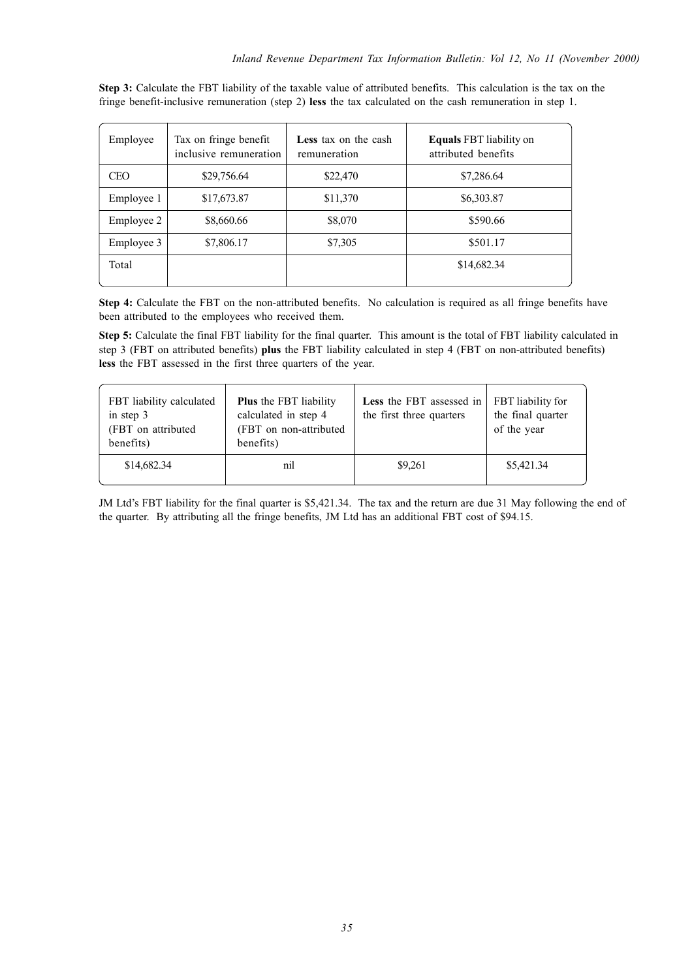| Employee   | Tax on fringe benefit<br>inclusive remuneration | Less tax on the cash<br>remuneration | <b>Equals FBT</b> liability on<br>attributed benefits |
|------------|-------------------------------------------------|--------------------------------------|-------------------------------------------------------|
| CEO.       | \$29,756.64                                     | \$22,470                             | \$7,286.64                                            |
| Employee 1 | \$17,673.87                                     | \$11,370                             | \$6,303.87                                            |
| Employee 2 | \$8,660.66                                      | \$8,070                              | \$590.66                                              |
| Employee 3 | \$7,806.17                                      | \$7,305                              | \$501.17                                              |
| Total      |                                                 |                                      | \$14,682.34                                           |

**Step 3:** Calculate the FBT liability of the taxable value of attributed benefits. This calculation is the tax on the fringe benefit-inclusive remuneration (step 2) **less** the tax calculated on the cash remuneration in step 1.

**Step 4:** Calculate the FBT on the non-attributed benefits. No calculation is required as all fringe benefits have been attributed to the employees who received them.

**Step 5:** Calculate the final FBT liability for the final quarter. This amount is the total of FBT liability calculated in step 3 (FBT on attributed benefits) **plus** the FBT liability calculated in step 4 (FBT on non-attributed benefits) **less** the FBT assessed in the first three quarters of the year.

| FBT liability calculated<br>in step 3<br>(FBT on attributed<br>benefits) | <b>Plus</b> the FBT liability<br>calculated in step 4<br>(FBT on non-attributed)<br>benefits) | <b>Less</b> the FBT assessed in $\vert$<br>the first three quarters | FBT liability for<br>the final quarter<br>of the year |
|--------------------------------------------------------------------------|-----------------------------------------------------------------------------------------------|---------------------------------------------------------------------|-------------------------------------------------------|
| \$14,682.34                                                              | nil                                                                                           | \$9.261                                                             | \$5,421.34                                            |

JM Ltd's FBT liability for the final quarter is \$5,421.34. The tax and the return are due 31 May following the end of the quarter. By attributing all the fringe benefits, JM Ltd has an additional FBT cost of \$94.15.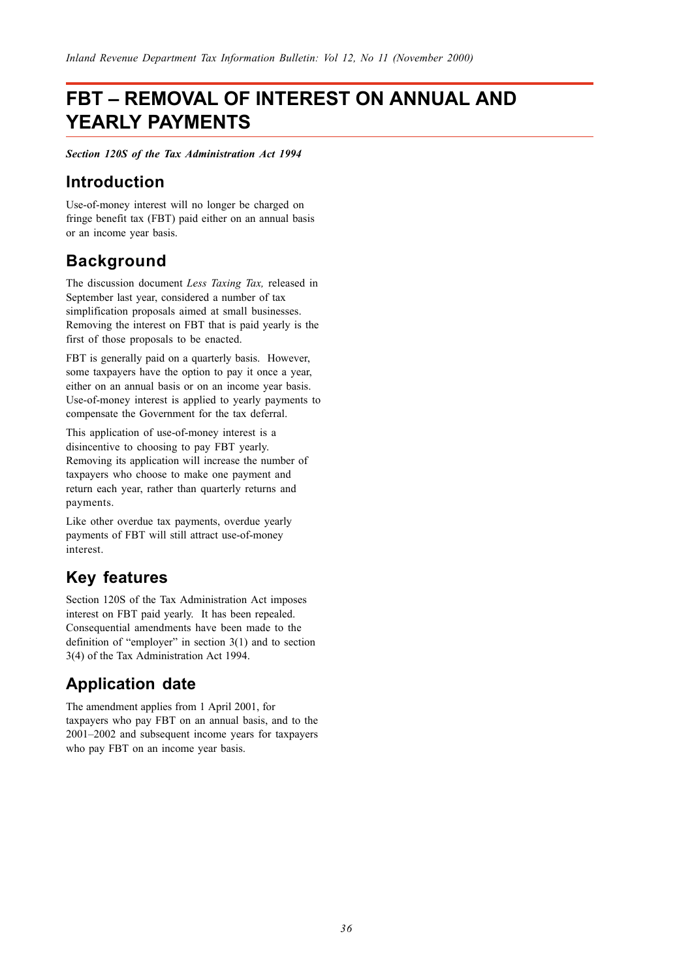# **FBT – REMOVAL OF INTEREST ON ANNUAL AND YEARLY PAYMENTS**

*Section 120S of the Tax Administration Act 1994*

## **Introduction**

Use-of-money interest will no longer be charged on fringe benefit tax (FBT) paid either on an annual basis or an income year basis.

# **Background**

The discussion document *Less Taxing Tax,* released in September last year, considered a number of tax simplification proposals aimed at small businesses. Removing the interest on FBT that is paid yearly is the first of those proposals to be enacted.

FBT is generally paid on a quarterly basis. However, some taxpayers have the option to pay it once a year, either on an annual basis or on an income year basis. Use-of-money interest is applied to yearly payments to compensate the Government for the tax deferral.

This application of use-of-money interest is a disincentive to choosing to pay FBT yearly. Removing its application will increase the number of taxpayers who choose to make one payment and return each year, rather than quarterly returns and payments.

Like other overdue tax payments, overdue yearly payments of FBT will still attract use-of-money interest.

# **Key features**

Section 120S of the Tax Administration Act imposes interest on FBT paid yearly. It has been repealed. Consequential amendments have been made to the definition of "employer" in section  $3(1)$  and to section 3(4) of the Tax Administration Act 1994.

# **Application date**

The amendment applies from 1 April 2001, for taxpayers who pay FBT on an annual basis, and to the 2001–2002 and subsequent income years for taxpayers who pay FBT on an income year basis.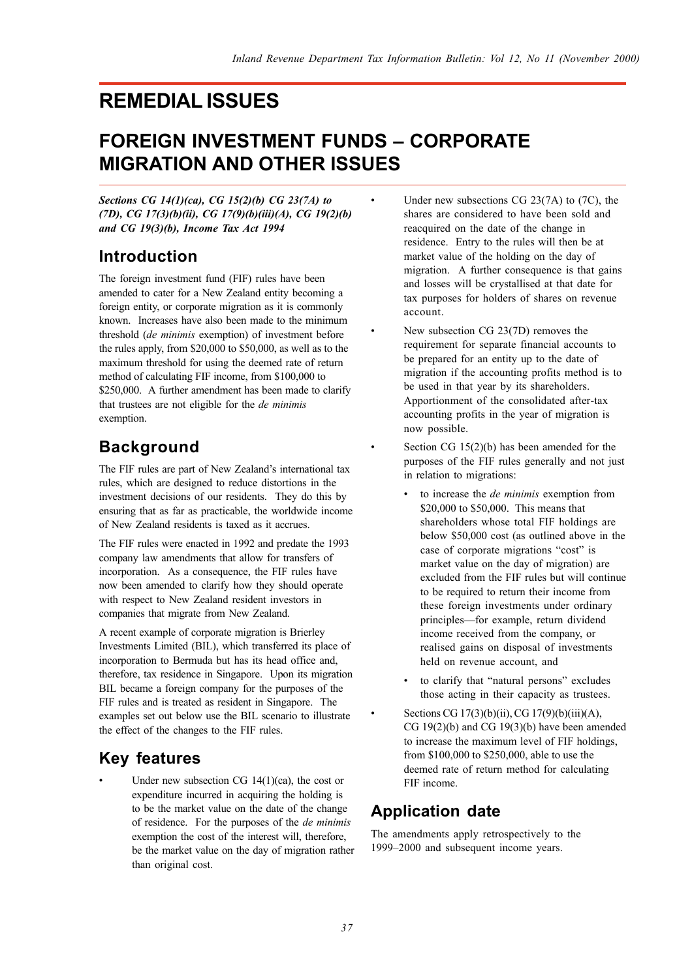# **REMEDIAL ISSUES**

# **FOREIGN INVESTMENT FUNDS – CORPORATE MIGRATION AND OTHER ISSUES**

*Sections CG 14(1)(ca), CG 15(2)(b) CG 23(7A) to (7D), CG 17(3)(b)(ii), CG 17(9)(b)(iii)(A), CG 19(2)(b) and CG 19(3)(b), Income Tax Act 1994*

## **Introduction**

The foreign investment fund (FIF) rules have been amended to cater for a New Zealand entity becoming a foreign entity, or corporate migration as it is commonly known. Increases have also been made to the minimum threshold (*de minimis* exemption) of investment before the rules apply, from \$20,000 to \$50,000, as well as to the maximum threshold for using the deemed rate of return method of calculating FIF income, from \$100,000 to \$250,000. A further amendment has been made to clarify that trustees are not eligible for the *de minimis* exemption.

# **Background**

The FIF rules are part of New Zealand's international tax rules, which are designed to reduce distortions in the investment decisions of our residents. They do this by ensuring that as far as practicable, the worldwide income of New Zealand residents is taxed as it accrues.

The FIF rules were enacted in 1992 and predate the 1993 company law amendments that allow for transfers of incorporation. As a consequence, the FIF rules have now been amended to clarify how they should operate with respect to New Zealand resident investors in companies that migrate from New Zealand.

A recent example of corporate migration is Brierley Investments Limited (BIL), which transferred its place of incorporation to Bermuda but has its head office and, therefore, tax residence in Singapore. Upon its migration BIL became a foreign company for the purposes of the FIF rules and is treated as resident in Singapore. The examples set out below use the BIL scenario to illustrate the effect of the changes to the FIF rules.

# **Key features**

Under new subsection CG  $14(1)(ca)$ , the cost or expenditure incurred in acquiring the holding is to be the market value on the date of the change of residence. For the purposes of the *de minimis* exemption the cost of the interest will, therefore, be the market value on the day of migration rather than original cost.

- Under new subsections CG 23(7A) to (7C), the shares are considered to have been sold and reacquired on the date of the change in residence. Entry to the rules will then be at market value of the holding on the day of migration. A further consequence is that gains and losses will be crystallised at that date for tax purposes for holders of shares on revenue account.
- New subsection CG 23(7D) removes the requirement for separate financial accounts to be prepared for an entity up to the date of migration if the accounting profits method is to be used in that year by its shareholders. Apportionment of the consolidated after-tax accounting profits in the year of migration is now possible.
	- Section CG  $15(2)(b)$  has been amended for the purposes of the FIF rules generally and not just in relation to migrations:
		- to increase the *de minimis* exemption from \$20,000 to \$50,000. This means that shareholders whose total FIF holdings are below \$50,000 cost (as outlined above in the case of corporate migrations "cost" is market value on the day of migration) are excluded from the FIF rules but will continue to be required to return their income from these foreign investments under ordinary principles—for example, return dividend income received from the company, or realised gains on disposal of investments held on revenue account, and
		- to clarify that "natural persons" excludes those acting in their capacity as trustees.
	- Sections CG 17(3)(b)(ii), CG 17(9)(b)(iii)(A), CG 19(2)(b) and CG 19(3)(b) have been amended to increase the maximum level of FIF holdings, from \$100,000 to \$250,000, able to use the deemed rate of return method for calculating FIF income.

## **Application date**

The amendments apply retrospectively to the 1999–2000 and subsequent income years.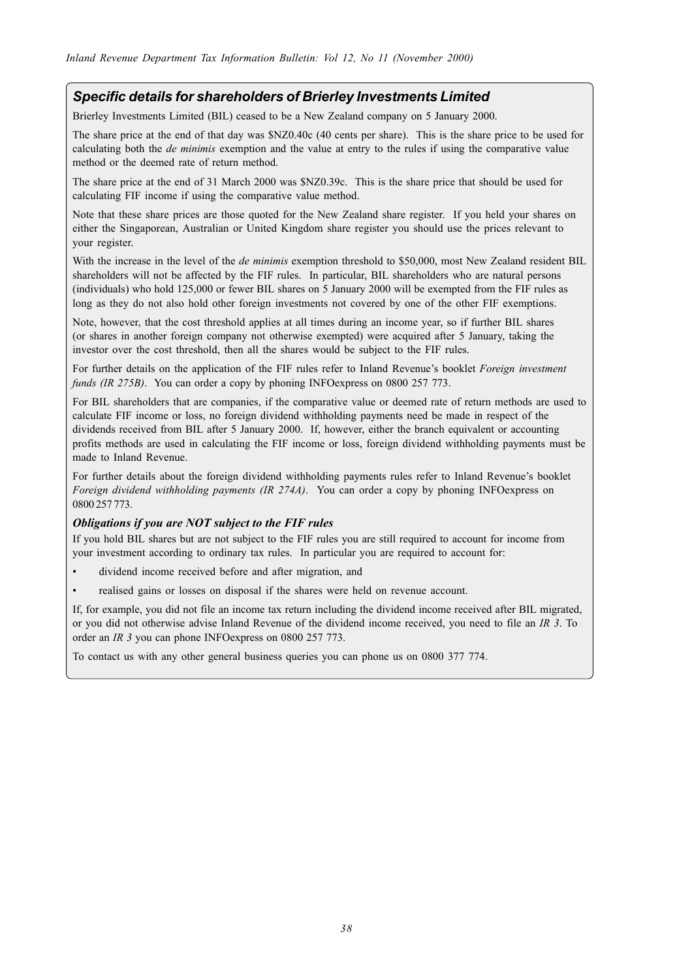## *Specific details for shareholders of Brierley Investments Limited*

Brierley Investments Limited (BIL) ceased to be a New Zealand company on 5 January 2000.

The share price at the end of that day was \$NZ0.40c (40 cents per share). This is the share price to be used for calculating both the *de minimis* exemption and the value at entry to the rules if using the comparative value method or the deemed rate of return method.

The share price at the end of 31 March 2000 was \$NZ0.39c. This is the share price that should be used for calculating FIF income if using the comparative value method.

Note that these share prices are those quoted for the New Zealand share register. If you held your shares on either the Singaporean, Australian or United Kingdom share register you should use the prices relevant to your register.

With the increase in the level of the *de minimis* exemption threshold to \$50,000, most New Zealand resident BIL shareholders will not be affected by the FIF rules. In particular, BIL shareholders who are natural persons (individuals) who hold 125,000 or fewer BIL shares on 5 January 2000 will be exempted from the FIF rules as long as they do not also hold other foreign investments not covered by one of the other FIF exemptions.

Note, however, that the cost threshold applies at all times during an income year, so if further BIL shares (or shares in another foreign company not otherwise exempted) were acquired after 5 January, taking the investor over the cost threshold, then all the shares would be subject to the FIF rules.

For further details on the application of the FIF rules refer to Inland Revenue's booklet *Foreign investment funds (IR 275B)*. You can order a copy by phoning INFOexpress on 0800 257 773.

For BIL shareholders that are companies, if the comparative value or deemed rate of return methods are used to calculate FIF income or loss, no foreign dividend withholding payments need be made in respect of the dividends received from BIL after 5 January 2000. If, however, either the branch equivalent or accounting profits methods are used in calculating the FIF income or loss, foreign dividend withholding payments must be made to Inland Revenue.

For further details about the foreign dividend withholding payments rules refer to Inland Revenue's booklet *Foreign dividend withholding payments (IR 274A)*. You can order a copy by phoning INFOexpress on 0800 257 773.

#### *Obligations if you are NOT subject to the FIF rules*

If you hold BIL shares but are not subject to the FIF rules you are still required to account for income from your investment according to ordinary tax rules. In particular you are required to account for:

- dividend income received before and after migration, and
- realised gains or losses on disposal if the shares were held on revenue account.

If, for example, you did not file an income tax return including the dividend income received after BIL migrated, or you did not otherwise advise Inland Revenue of the dividend income received, you need to file an *IR 3*. To order an *IR 3* you can phone INFOexpress on 0800 257 773.

To contact us with any other general business queries you can phone us on 0800 377 774.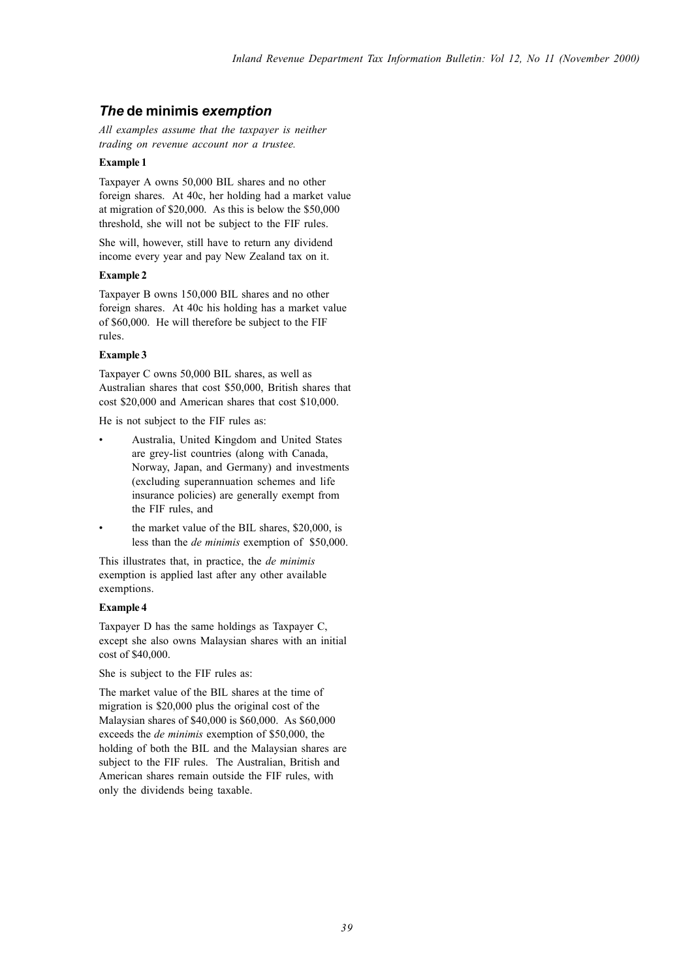## *The* **de minimis** *exemption*

*All examples assume that the taxpayer is neither trading on revenue account nor a trustee.*

#### **Example 1**

Taxpayer A owns 50,000 BIL shares and no other foreign shares. At 40c, her holding had a market value at migration of \$20,000. As this is below the \$50,000 threshold, she will not be subject to the FIF rules.

She will, however, still have to return any dividend income every year and pay New Zealand tax on it.

#### **Example 2**

Taxpayer B owns 150,000 BIL shares and no other foreign shares. At 40c his holding has a market value of \$60,000. He will therefore be subject to the FIF rules.

#### **Example 3**

Taxpayer C owns 50,000 BIL shares, as well as Australian shares that cost \$50,000, British shares that cost \$20,000 and American shares that cost \$10,000.

He is not subject to the FIF rules as:

- Australia, United Kingdom and United States are grey-list countries (along with Canada, Norway, Japan, and Germany) and investments (excluding superannuation schemes and life insurance policies) are generally exempt from the FIF rules, and
- the market value of the BIL shares, \$20,000, is less than the *de minimis* exemption of \$50,000.

This illustrates that, in practice, the *de minimis* exemption is applied last after any other available exemptions.

#### **Example 4**

Taxpayer D has the same holdings as Taxpayer C, except she also owns Malaysian shares with an initial cost of \$40,000.

She is subject to the FIF rules as:

The market value of the BIL shares at the time of migration is \$20,000 plus the original cost of the Malaysian shares of \$40,000 is \$60,000. As \$60,000 exceeds the *de minimis* exemption of \$50,000, the holding of both the BIL and the Malaysian shares are subject to the FIF rules. The Australian, British and American shares remain outside the FIF rules, with only the dividends being taxable.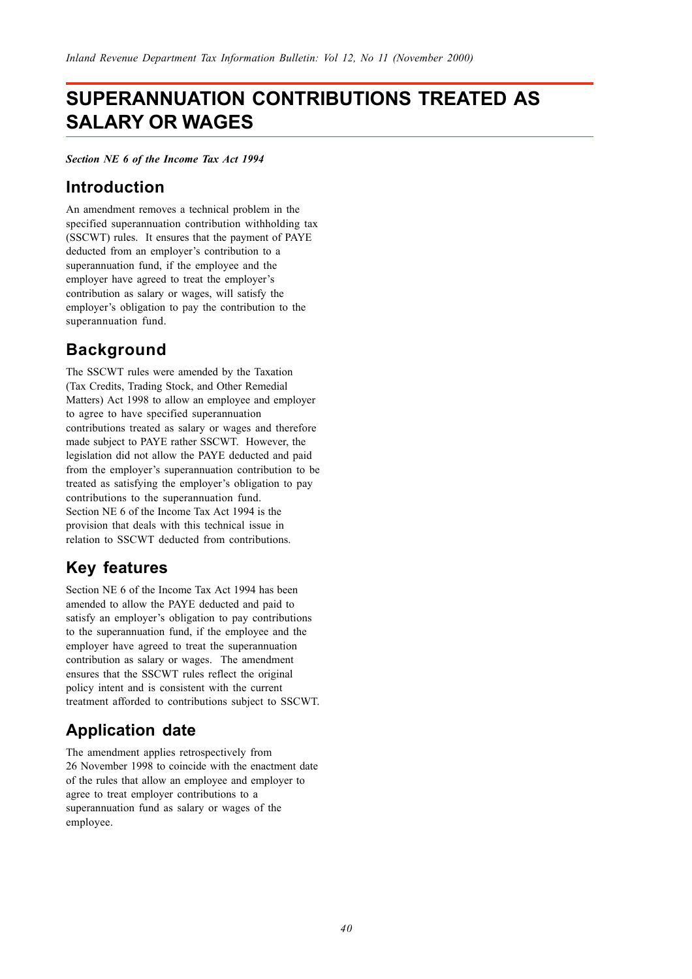# **SUPERANNUATION CONTRIBUTIONS TREATED AS SALARY OR WAGES**

*Section NE 6 of the Income Tax Act 1994*

## **Introduction**

An amendment removes a technical problem in the specified superannuation contribution withholding tax (SSCWT) rules. It ensures that the payment of PAYE deducted from an employer's contribution to a superannuation fund, if the employee and the employer have agreed to treat the employer's contribution as salary or wages, will satisfy the employer's obligation to pay the contribution to the superannuation fund.

## **Background**

The SSCWT rules were amended by the Taxation (Tax Credits, Trading Stock, and Other Remedial Matters) Act 1998 to allow an employee and employer to agree to have specified superannuation contributions treated as salary or wages and therefore made subject to PAYE rather SSCWT. However, the legislation did not allow the PAYE deducted and paid from the employer's superannuation contribution to be treated as satisfying the employer's obligation to pay contributions to the superannuation fund. Section NE 6 of the Income Tax Act 1994 is the provision that deals with this technical issue in relation to SSCWT deducted from contributions.

# **Key features**

Section NE 6 of the Income Tax Act 1994 has been amended to allow the PAYE deducted and paid to satisfy an employer's obligation to pay contributions to the superannuation fund, if the employee and the employer have agreed to treat the superannuation contribution as salary or wages. The amendment ensures that the SSCWT rules reflect the original policy intent and is consistent with the current treatment afforded to contributions subject to SSCWT.

# **Application date**

The amendment applies retrospectively from 26 November 1998 to coincide with the enactment date of the rules that allow an employee and employer to agree to treat employer contributions to a superannuation fund as salary or wages of the employee.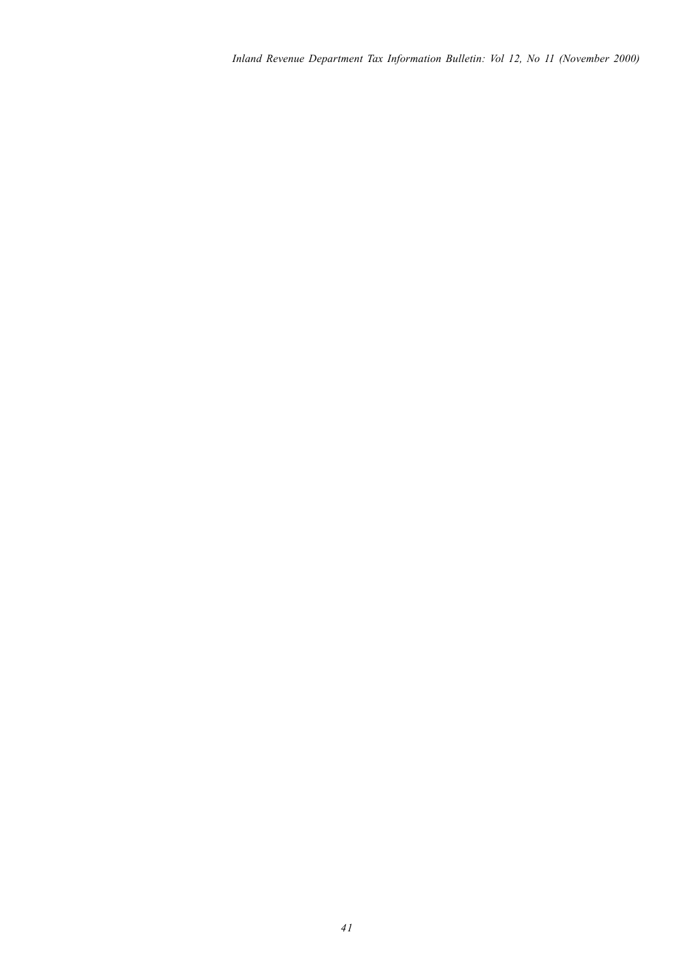*Inland Revenue Department Tax Information Bulletin: Vol 12, No 11 (November 2000)*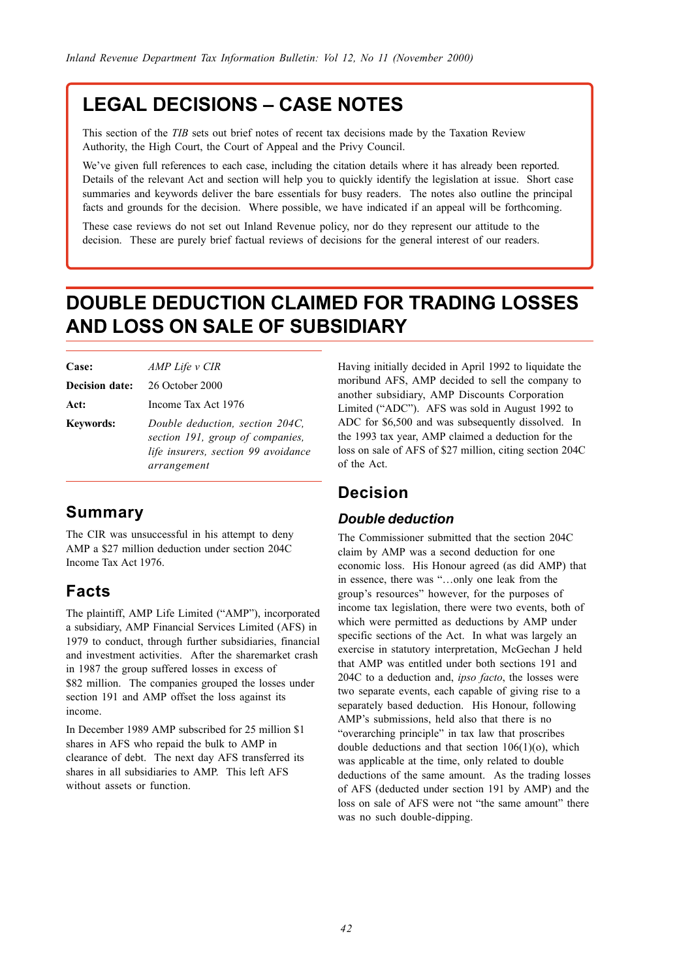# **LEGAL DECISIONS – CASE NOTES**

This section of the *TIB* sets out brief notes of recent tax decisions made by the Taxation Review Authority, the High Court, the Court of Appeal and the Privy Council.

We've given full references to each case, including the citation details where it has already been reported. Details of the relevant Act and section will help you to quickly identify the legislation at issue. Short case summaries and keywords deliver the bare essentials for busy readers. The notes also outline the principal facts and grounds for the decision. Where possible, we have indicated if an appeal will be forthcoming.

These case reviews do not set out Inland Revenue policy, nor do they represent our attitude to the decision. These are purely brief factual reviews of decisions for the general interest of our readers.

# **DOUBLE DEDUCTION CLAIMED FOR TRADING LOSSES AND LOSS ON SALE OF SUBSIDIARY**

| Case:                 | AMP Life v CIR                                                                                                            |
|-----------------------|---------------------------------------------------------------------------------------------------------------------------|
| <b>Decision date:</b> | 26 October 2000                                                                                                           |
| Act:                  | Income Tax Act 1976                                                                                                       |
| <b>Keywords:</b>      | Double deduction, section 204C,<br>section 191, group of companies,<br>life insurers, section 99 avoidance<br>arrangement |

## **Summary**

The CIR was unsuccessful in his attempt to deny AMP a \$27 million deduction under section 204C Income Tax Act 1976.

## **Facts**

The plaintiff, AMP Life Limited ("AMP"), incorporated a subsidiary, AMP Financial Services Limited (AFS) in 1979 to conduct, through further subsidiaries, financial and investment activities. After the sharemarket crash in 1987 the group suffered losses in excess of \$82 million. The companies grouped the losses under section 191 and AMP offset the loss against its income.

In December 1989 AMP subscribed for 25 million \$1 shares in AFS who repaid the bulk to AMP in clearance of debt. The next day AFS transferred its shares in all subsidiaries to AMP. This left AFS without assets or function.

Having initially decided in April 1992 to liquidate the moribund AFS, AMP decided to sell the company to another subsidiary, AMP Discounts Corporation Limited ("ADC"). AFS was sold in August 1992 to ADC for \$6,500 and was subsequently dissolved. In the 1993 tax year, AMP claimed a deduction for the loss on sale of AFS of \$27 million, citing section 204C of the Act.

## **Decision**

## *Double deduction*

The Commissioner submitted that the section 204C claim by AMP was a second deduction for one economic loss. His Honour agreed (as did AMP) that in essence, there was "…only one leak from the group's resources" however, for the purposes of income tax legislation, there were two events, both of which were permitted as deductions by AMP under specific sections of the Act. In what was largely an exercise in statutory interpretation, McGechan J held that AMP was entitled under both sections 191 and 204C to a deduction and, *ipso facto*, the losses were two separate events, each capable of giving rise to a separately based deduction. His Honour, following AMP's submissions, held also that there is no "overarching principle" in tax law that proscribes double deductions and that section 106(1)(o), which was applicable at the time, only related to double deductions of the same amount. As the trading losses of AFS (deducted under section 191 by AMP) and the loss on sale of AFS were not "the same amount" there was no such double-dipping.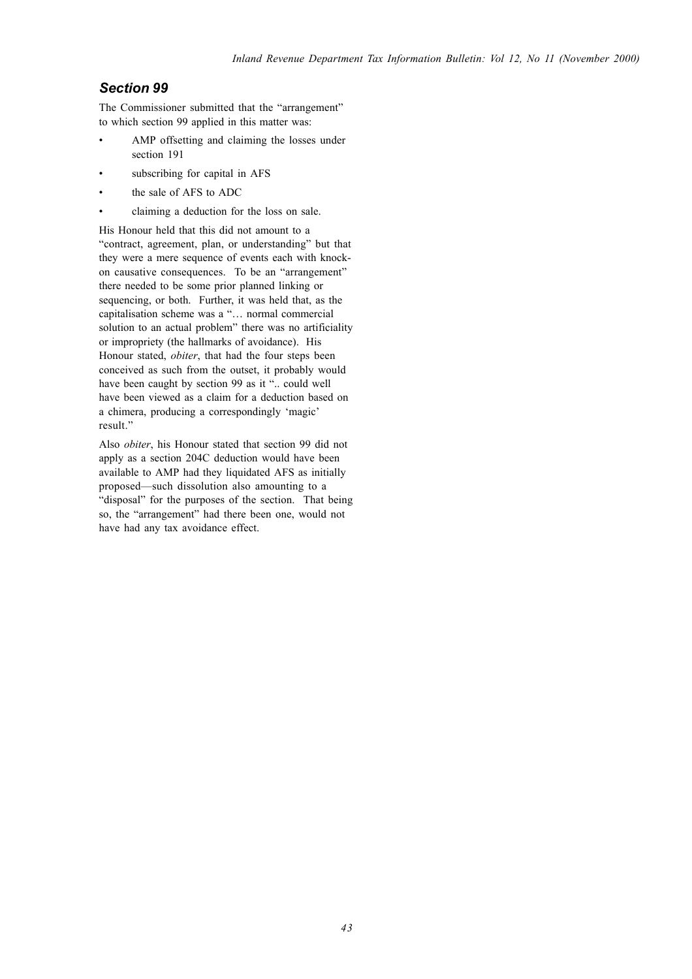## *Section 99*

The Commissioner submitted that the "arrangement" to which section 99 applied in this matter was:

- AMP offsetting and claiming the losses under section 191
- subscribing for capital in AFS
- the sale of AFS to ADC
- claiming a deduction for the loss on sale.

His Honour held that this did not amount to a "contract, agreement, plan, or understanding" but that they were a mere sequence of events each with knockon causative consequences. To be an "arrangement" there needed to be some prior planned linking or sequencing, or both. Further, it was held that, as the capitalisation scheme was a "… normal commercial solution to an actual problem" there was no artificiality or impropriety (the hallmarks of avoidance). His Honour stated, *obiter*, that had the four steps been conceived as such from the outset, it probably would have been caught by section 99 as it "... could well have been viewed as a claim for a deduction based on a chimera, producing a correspondingly 'magic' result."

Also *obiter*, his Honour stated that section 99 did not apply as a section 204C deduction would have been available to AMP had they liquidated AFS as initially proposed—such dissolution also amounting to a "disposal" for the purposes of the section. That being so, the "arrangement" had there been one, would not have had any tax avoidance effect.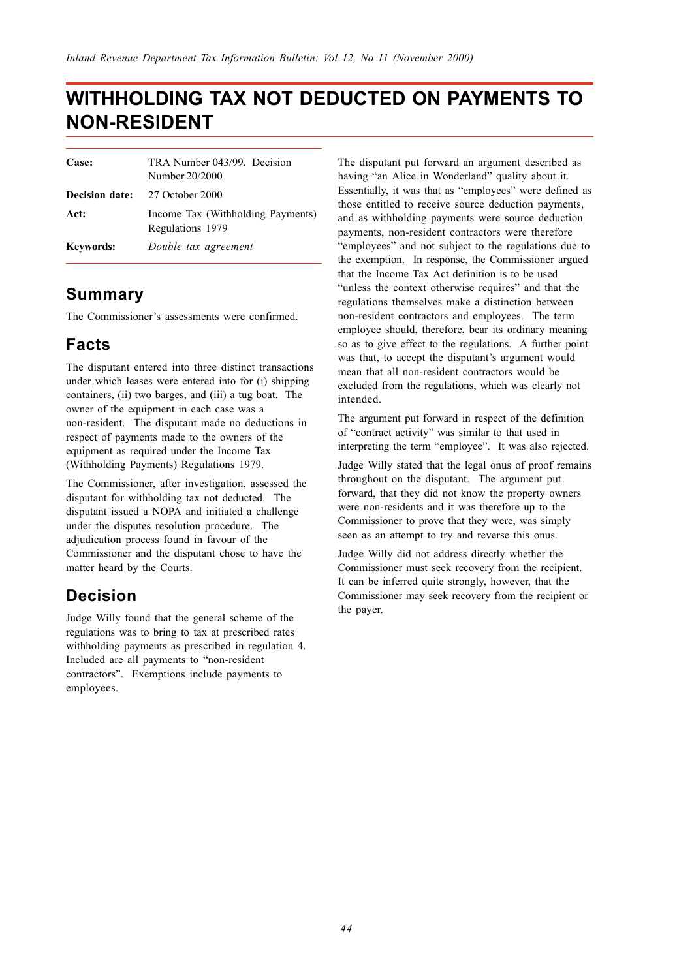# **WITHHOLDING TAX NOT DEDUCTED ON PAYMENTS TO NON-RESIDENT**

| Case:                                 | TRA Number 043/99. Decision<br>Number 20/2000         |
|---------------------------------------|-------------------------------------------------------|
| <b>Decision date:</b> 27 October 2000 |                                                       |
| Act:                                  | Income Tax (Withholding Payments)<br>Regulations 1979 |
| <b>Keywords:</b>                      | Double tax agreement                                  |

## **Summary**

The Commissioner's assessments were confirmed.

# **Facts**

The disputant entered into three distinct transactions under which leases were entered into for (i) shipping containers, (ii) two barges, and (iii) a tug boat. The owner of the equipment in each case was a non-resident. The disputant made no deductions in respect of payments made to the owners of the equipment as required under the Income Tax (Withholding Payments) Regulations 1979.

The Commissioner, after investigation, assessed the disputant for withholding tax not deducted. The disputant issued a NOPA and initiated a challenge under the disputes resolution procedure. The adjudication process found in favour of the Commissioner and the disputant chose to have the matter heard by the Courts.

# **Decision**

Judge Willy found that the general scheme of the regulations was to bring to tax at prescribed rates withholding payments as prescribed in regulation 4. Included are all payments to "non-resident contractors". Exemptions include payments to employees.

The disputant put forward an argument described as having "an Alice in Wonderland" quality about it. Essentially, it was that as "employees" were defined as those entitled to receive source deduction payments, and as withholding payments were source deduction payments, non-resident contractors were therefore "employees" and not subject to the regulations due to the exemption. In response, the Commissioner argued that the Income Tax Act definition is to be used "unless the context otherwise requires" and that the regulations themselves make a distinction between non-resident contractors and employees. The term employee should, therefore, bear its ordinary meaning so as to give effect to the regulations. A further point was that, to accept the disputant's argument would mean that all non-resident contractors would be excluded from the regulations, which was clearly not intended.

The argument put forward in respect of the definition of "contract activity" was similar to that used in interpreting the term "employee". It was also rejected.

Judge Willy stated that the legal onus of proof remains throughout on the disputant. The argument put forward, that they did not know the property owners were non-residents and it was therefore up to the Commissioner to prove that they were, was simply seen as an attempt to try and reverse this onus.

Judge Willy did not address directly whether the Commissioner must seek recovery from the recipient. It can be inferred quite strongly, however, that the Commissioner may seek recovery from the recipient or the payer.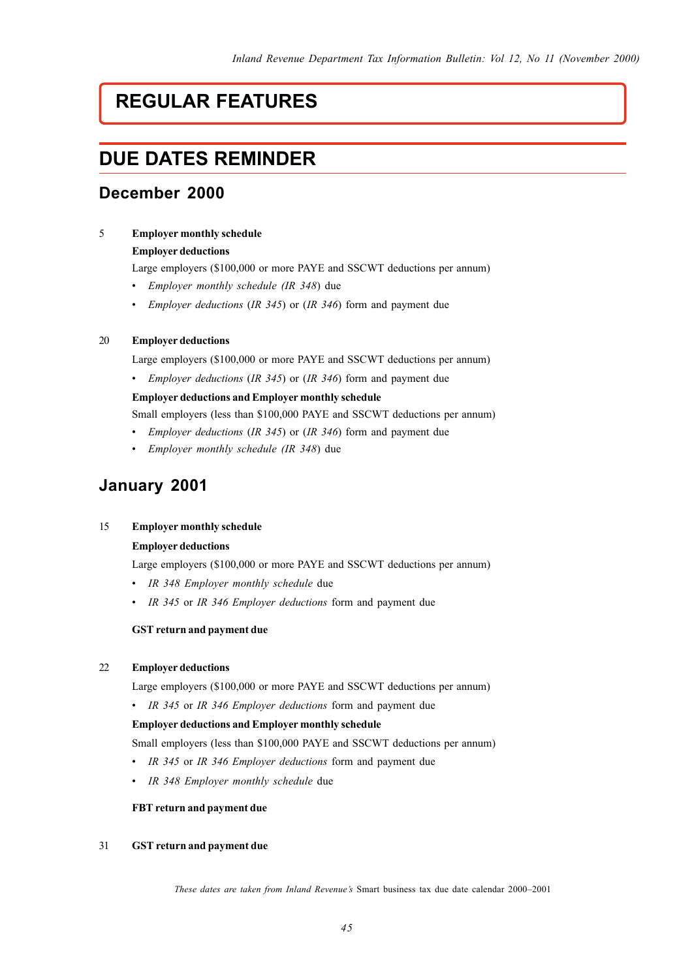# **REGULAR FEATURES**

# **DUE DATES REMINDER**

## **December 2000**

## 5 **Employer monthly schedule**

## **Employer deductions**

Large employers (\$100,000 or more PAYE and SSCWT deductions per annum)

- *Employer monthly schedule (IR 348*) due
- *Employer deductions* (*IR 345*) or (*IR 346*) form and payment due

## 20 **Employer deductions**

Large employers (\$100,000 or more PAYE and SSCWT deductions per annum)

• *Employer deductions* (*IR 345*) or (*IR 346*) form and payment due

## **Employer deductions and Employer monthly schedule**

Small employers (less than \$100,000 PAYE and SSCWT deductions per annum)

- *Employer deductions* (*IR 345*) or (*IR 346*) form and payment due
- *Employer monthly schedule (IR 348*) due

# **January 2001**

## 15 **Employer monthly schedule**

## **Employer deductions**

Large employers (\$100,000 or more PAYE and SSCWT deductions per annum)

- *IR 348 Employer monthly schedule* due
- *IR 345* or *IR 346 Employer deductions* form and payment due

#### **GST return and payment due**

#### 22 **Employer deductions**

Large employers (\$100,000 or more PAYE and SSCWT deductions per annum)

• *IR 345* or *IR 346 Employer deductions* form and payment due

#### **Employer deductions and Employer monthly schedule**

Small employers (less than \$100,000 PAYE and SSCWT deductions per annum)

- *IR 345* or *IR 346 Employer deductions* form and payment due
- *IR 348 Employer monthly schedule* due

#### **FBT return and payment due**

#### 31 **GST return and payment due**

*These dates are taken from Inland Revenue's* Smart business tax due date calendar 2000–2001